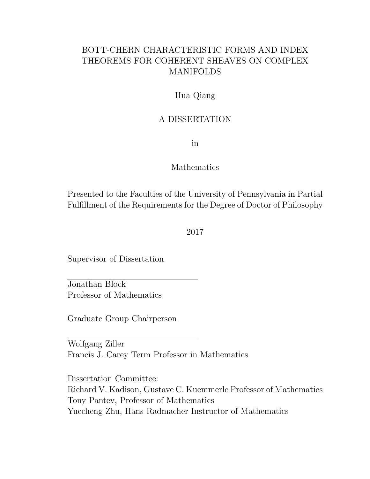#### BOTT-CHERN CHARACTERISTIC FORMS AND INDEX THEOREMS FOR COHERENT SHEAVES ON COMPLEX MANIFOLDS

#### Hua Qiang

#### A DISSERTATION

in

#### Mathematics

Presented to the Faculties of the University of Pennsylvania in Partial Fulfillment of the Requirements for the Degree of Doctor of Philosophy

2017

Supervisor of Dissertation

Jonathan Block Professor of Mathematics

Graduate Group Chairperson

Wolfgang Ziller Francis J. Carey Term Professor in Mathematics

Dissertation Committee: Richard V. Kadison, Gustave C. Kuemmerle Professor of Mathematics Tony Pantev, Professor of Mathematics Yuecheng Zhu, Hans Radmacher Instructor of Mathematics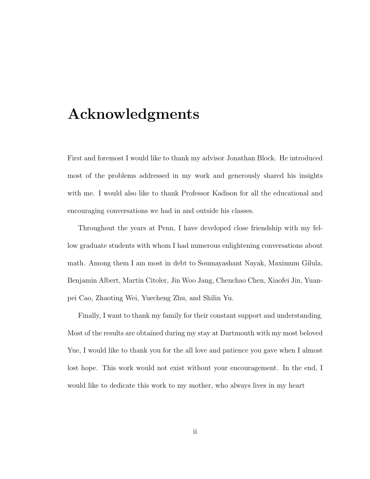## Acknowledgments

First and foremost I would like to thank my advisor Jonathan Block. He introduced most of the problems addressed in my work and generously shared his insights with me. I would also like to thank Professor Kadison for all the educational and encouraging conversations we had in and outside his classes.

Throughout the years at Penn, I have developed close friendship with my fellow graduate students with whom I had numerous enlightening conversations about math. Among them I am most in debt to Soumayashant Nayak, Maximum Gilula, Benjamin Albert, Martin Citoler, Jin Woo Jang, Chenchao Chen, Xiaofei Jin, Yuanpei Cao, Zhaoting Wei, Yuecheng Zhu, and Shilin Yu.

Finally, I want to thank my family for their constant support and understanding. Most of the results are obtained during my stay at Dartmouth with my most beloved Yue, I would like to thank you for the all love and patience you gave when I almost lost hope. This work would not exist without your encouragement. In the end, I would like to dedicate this work to my mother, who always lives in my heart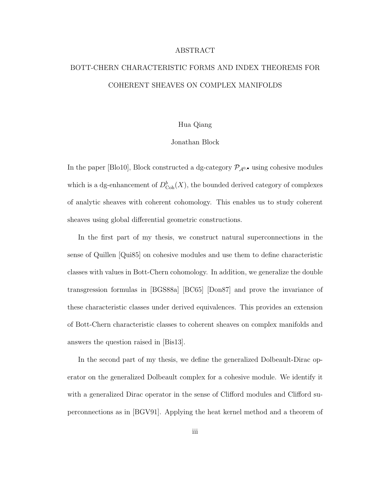#### ABSTRACT

### BOTT-CHERN CHARACTERISTIC FORMS AND INDEX THEOREMS FOR COHERENT SHEAVES ON COMPLEX MANIFOLDS

#### Hua Qiang

#### Jonathan Block

In the paper [Blo10], Block constructed a dg-category  $\mathcal{P}_{\mathcal{A}^{0,\bullet}}$  using cohesive modules which is a dg-enhancement of  $D^b_{\text{Coh}}(X)$ , the bounded derived category of complexes of analytic sheaves with coherent cohomology. This enables us to study coherent sheaves using global differential geometric constructions.

In the first part of my thesis, we construct natural superconnections in the sense of Quillen [Qui85] on cohesive modules and use them to define characteristic classes with values in Bott-Chern cohomology. In addition, we generalize the double transgression formulas in [BGS88a] [BC65] [Don87] and prove the invariance of these characteristic classes under derived equivalences. This provides an extension of Bott-Chern characteristic classes to coherent sheaves on complex manifolds and answers the question raised in [Bis13].

In the second part of my thesis, we define the generalized Dolbeault-Dirac operator on the generalized Dolbeault complex for a cohesive module. We identify it with a generalized Dirac operator in the sense of Clifford modules and Clifford superconnections as in [BGV91]. Applying the heat kernel method and a theorem of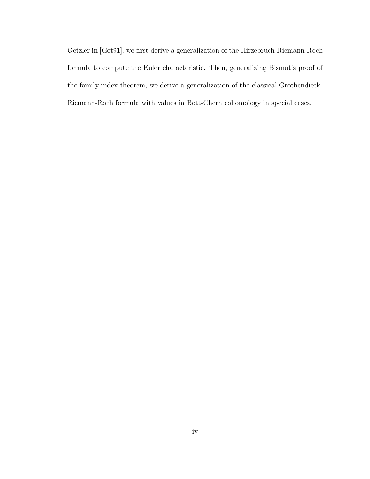Getzler in [Get91], we first derive a generalization of the Hirzebruch-Riemann-Roch formula to compute the Euler characteristic. Then, generalizing Bismut's proof of the family index theorem, we derive a generalization of the classical Grothendieck-Riemann-Roch formula with values in Bott-Chern cohomology in special cases.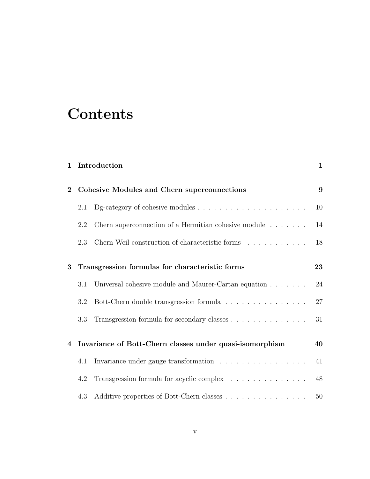## **Contents**

| $\mathbf 1$    |                                             | Introduction                                                                                             | $\mathbf{1}$ |
|----------------|---------------------------------------------|----------------------------------------------------------------------------------------------------------|--------------|
| $\overline{2}$ | Cohesive Modules and Chern superconnections |                                                                                                          |              |
|                | 2.1                                         |                                                                                                          | 10           |
|                | 2.2                                         | Chern superconnection of a Hermitian cohesive module $\ldots \ldots$                                     | 14           |
|                | 2.3                                         | Chern-Weil construction of characteristic forms $\hfill\ldots$ $\hfill\ldots$ $\ldots$ $\ldots$ $\ldots$ | 18           |
| 3              |                                             | Transgression formulas for characteristic forms                                                          | 23           |
|                | 3.1                                         | Universal cohesive module and Maurer-Cartan equation                                                     | 24           |
|                | 3.2                                         | Bott-Chern double transgression formula $\hfill\ldots\ldots\ldots\ldots\ldots\ldots\ldots$               | 27           |
|                | 3.3                                         | Transgression formula for secondary classes                                                              | 31           |
| $\overline{4}$ |                                             | Invariance of Bott-Chern classes under quasi-isomorphism                                                 | 40           |
|                | 4.1                                         | Invariance under gauge transformation<br>$\hfill\ldots\ldots\ldots\ldots\ldots\ldots\ldots\ldots$        | 41           |
|                | 4.2                                         | Transgression formula for acyclic complex                                                                | 48           |
|                | 4.3                                         |                                                                                                          | 50           |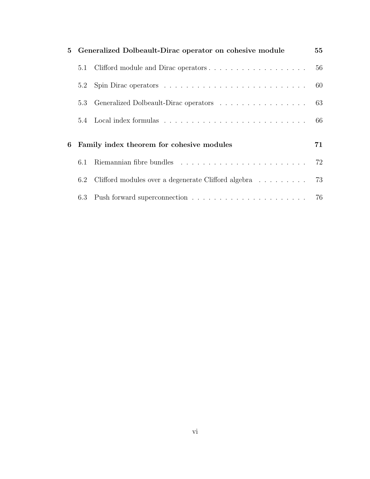|   | 5 Generalized Dolbeault-Dirac operator on cohesive module |                                                     |    |
|---|-----------------------------------------------------------|-----------------------------------------------------|----|
|   | 5.1                                                       |                                                     | 56 |
|   | 5.2                                                       |                                                     | 60 |
|   | 5.3                                                       | Generalized Dolbeault-Dirac operators 63            |    |
|   |                                                           |                                                     |    |
| 6 | Family index theorem for cohesive modules                 |                                                     |    |
|   | 6.1                                                       |                                                     | 72 |
|   | $6.2\,$                                                   | Clifford modules over a degenerate Clifford algebra | 73 |
|   |                                                           |                                                     |    |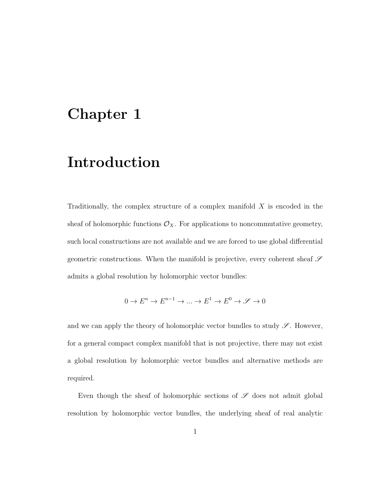## Chapter 1

## Introduction

Traditionally, the complex structure of a complex manifold  $X$  is encoded in the sheaf of holomorphic functions  $\mathcal{O}_X$ . For applications to noncommutative geometry, such local constructions are not available and we are forced to use global differential geometric constructions. When the manifold is projective, every coherent sheaf  ${\mathscr S}$ admits a global resolution by holomorphic vector bundles:

$$
0 \to E^n \to E^{n-1} \to \dots \to E^1 \to E^0 \to \mathscr{S} \to 0
$$

and we can apply the theory of holomorphic vector bundles to study  $\mathscr{S}$ . However, for a general compact complex manifold that is not projective, there may not exist a global resolution by holomorphic vector bundles and alternative methods are required.

Even though the sheaf of holomorphic sections of  $\mathscr S$  does not admit global resolution by holomorphic vector bundles, the underlying sheaf of real analytic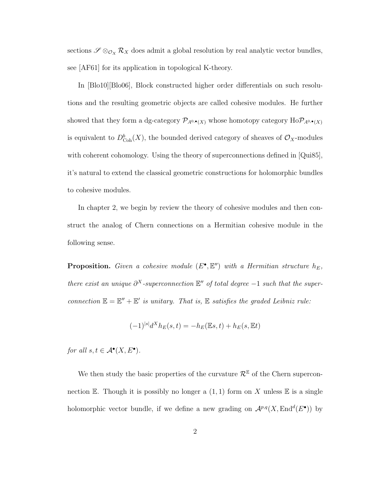sections  $\mathscr{S} \otimes_{\mathcal{O}_X} \mathcal{R}_X$  does admit a global resolution by real analytic vector bundles, see [AF61] for its application in topological K-theory.

In [Blo10][Blo06], Block constructed higher order differentials on such resolutions and the resulting geometric objects are called cohesive modules. He further showed that they form a dg-category  $\mathcal{P}_{A^0,\bullet}(X)$  whose homotopy category  $Ho\mathcal{P}_{A^0,\bullet}(X)$ is equivalent to  $D^b_{\text{Coh}}(X)$ , the bounded derived category of sheaves of  $\mathcal{O}_X$ -modules with coherent cohomology. Using the theory of superconnections defined in [Qui85], it's natural to extend the classical geometric constructions for holomorphic bundles to cohesive modules.

In chapter 2, we begin by review the theory of cohesive modules and then construct the analog of Chern connections on a Hermitian cohesive module in the following sense.

**Proposition.** Given a cohesive module  $(E^{\bullet}, E'')$  with a Hermitian structure  $h_E$ , there exist an unique  $\partial^X$ -superconnection  $\mathbb{E}''$  of total degree  $-1$  such that the superconnection  $\mathbb{E} = \mathbb{E}'' + \mathbb{E}'$  is unitary. That is,  $\mathbb E$  satisfies the graded Leibniz rule:

$$
(-1)^{|s|}d^Xh_E(s,t) = -h_E(\mathbb{E}s,t) + h_E(s,\mathbb{E}t)
$$

for all  $s, t \in \mathcal{A}^{\bullet}(X, E^{\bullet}).$ 

We then study the basic properties of the curvature  $\mathcal{R}^{\mathbb{E}}$  of the Chern superconnection E. Though it is possibly no longer a  $(1, 1)$  form on X unless E is a single holomorphic vector bundle, if we define a new grading on  $\mathcal{A}^{p,q}(X, \text{End}^d(E^{\bullet}))$  by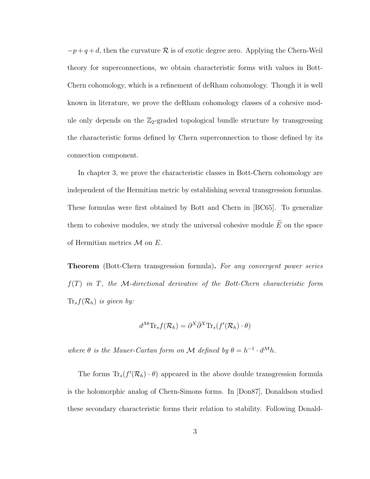$-p+q+d$ , then the curvature R is of exotic degree zero. Applying the Chern-Weil theory for superconnections, we obtain characteristic forms with values in Bott-Chern cohomology, which is a refinement of deRham cohomology. Though it is well known in literature, we prove the deRham cohomology classes of a cohesive module only depends on the  $\mathbb{Z}_2$ -graded topological bundle structure by transgressing the characteristic forms defined by Chern superconnection to those defined by its connection component.

In chapter 3, we prove the characteristic classes in Bott-Chern cohomology are independent of the Hermitian metric by establishing several transgression formulas. These formulas were first obtained by Bott and Chern in [BC65]. To generalize them to cohesive modules, we study the universal cohesive module  $\widetilde{E}$  on the space of Hermitian metrics  $\mathcal M$  on  $E$ .

**Theorem** (Bott-Chern transgression formula). For any convergent power series  $f(T)$  in T, the M-directional derivative of the Bott-Chern characteristic form  $Tr_s f(\mathcal{R}_h)$  is given by:

$$
d^{\mathcal{M}} \text{Tr}_s f(\mathcal{R}_h) = \partial^X \bar{\partial}^X \text{Tr}_s(f'(\mathcal{R}_h) \cdot \theta)
$$

where  $\theta$  is the Mauer-Cartan form on M defined by  $\theta = h^{-1} \cdot d^{\mathcal{M}} h$ .

The forms  $\text{Tr}_s(f'(\mathcal{R}_h) \cdot \theta)$  appeared in the above double transgression formula is the holomorphic analog of Chern-Simons forms. In [Don87], Donaldson studied these secondary characteristic forms their relation to stability. Following Donald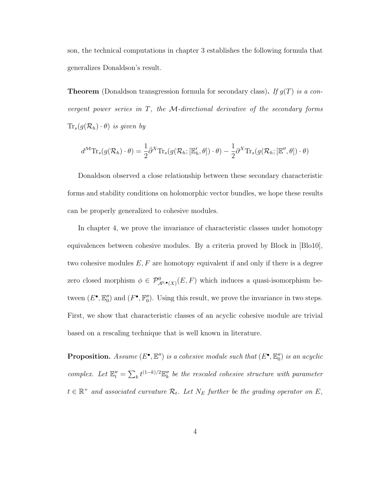son, the technical computations in chapter 3 establishes the following formula that generalizes Donaldson's result.

**Theorem** (Donaldson transgression formula for secondary class). If  $g(T)$  is a convergent power series in  $T$ , the  $M$ -directional derivative of the secondary forms  $\text{Tr}_s(g(\mathcal{R}_h) \cdot \theta)$  is given by

$$
d^{\mathcal{M}} \text{Tr}_{s}(g(\mathcal{R}_{h}) \cdot \theta) = \frac{1}{2} \bar{\partial}^{X} \text{Tr}_{s}(g(\mathcal{R}_{h};[\mathbb{E}'_{h}, \theta]) \cdot \theta) - \frac{1}{2} \partial^{X} \text{Tr}_{s}(g(\mathcal{R}_{h};[\mathbb{E}'', \theta]) \cdot \theta)
$$

Donaldson observed a close relationship between these secondary characteristic forms and stability conditions on holomorphic vector bundles, we hope these results can be properly generalized to cohesive modules.

In chapter 4, we prove the invariance of characteristic classes under homotopy equivalences between cohesive modules. By a criteria proved by Block in [Blo10], two cohesive modules  $E, F$  are homotopy equivalent if and only if there is a degree zero closed morphism  $\phi \in \mathcal{P}_{\mathcal{A}^{0,\bullet}(X)}^{0}(E,F)$  which induces a quasi-isomorphism between  $(E^{\bullet}, \mathbb{E}_0'')$  and  $(F^{\bullet}, \mathbb{F}_0'')$ . Using this result, we prove the invariance in two steps. First, we show that characteristic classes of an acyclic cohesive module are trivial based on a rescaling technique that is well known in literature.

**Proposition.** Assume  $(E^{\bullet}, \mathbb{E}^{\prime\prime})$  is a cohesive module such that  $(E^{\bullet}, \mathbb{E}^{\prime\prime}_0)$  is an acyclic complex. Let  $\mathbb{E}''_t = \sum_k t^{(1-k)/2} \mathbb{E}''_k$  be the rescaled cohesive structure with parameter  $t \in \mathbb{R}^+$  and associated curvature  $\mathcal{R}_t$ . Let  $N_E$  further be the grading operator on E,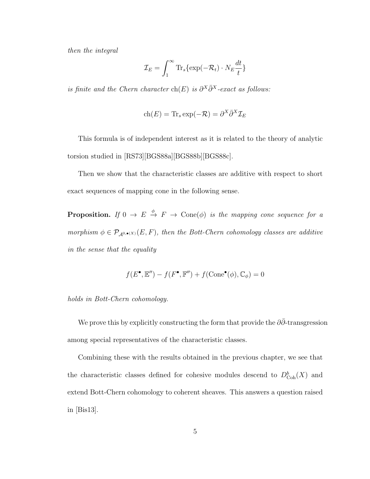then the integral

$$
\mathcal{I}_E = \int_1^\infty \text{Tr}_s \{ \exp(-\mathcal{R}_t) \cdot N_E \frac{dt}{t} \}
$$

is finite and the Chern character ch(E) is  $\partial^X \overline{\partial}^X$ -exact as follows:

$$
ch(E) = Tr_s exp(-\mathcal{R}) = \partial^X \bar{\partial}^X \mathcal{I}_E
$$

This formula is of independent interest as it is related to the theory of analytic torsion studied in [RS73][BGS88a][BGS88b][BGS88c].

Then we show that the characteristic classes are additive with respect to short exact sequences of mapping cone in the following sense.

**Proposition.** If  $0 \to E \stackrel{\phi}{\to} F \to \text{Cone}(\phi)$  is the mapping cone sequence for a morphism  $\phi \in \mathcal{P}_{\mathcal{A}^{0,\bullet}(X)}(E,F)$ , then the Bott-Chern cohomology classes are additive in the sense that the equality

$$
f(E^{\bullet}, \mathbb{E}'') - f(F^{\bullet}, \mathbb{F}'') + f(\text{Cone}^{\bullet}(\phi), \mathbb{C}_{\phi}) = 0
$$

#### holds in Bott-Chern cohomology.

We prove this by explicitly constructing the form that provide the  $\partial\bar{\partial}$ -transgression among special representatives of the characteristic classes.

Combining these with the results obtained in the previous chapter, we see that the characteristic classes defined for cohesive modules descend to  $D^b_{\text{Coh}}(X)$  and extend Bott-Chern cohomology to coherent sheaves. This answers a question raised in [Bis13].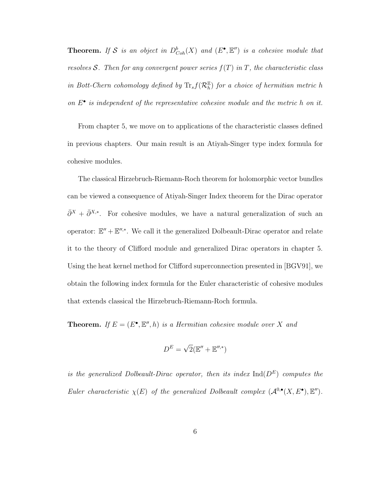**Theorem.** If S is an object in  $D^b_{Coh}(X)$  and  $(E^{\bullet}, E'')$  is a cohesive module that resolves S. Then for any convergent power series  $f(T)$  in T, the characteristic class in Bott-Chern cohomology defined by  $\text{Tr}_s f(\mathcal{R}_h^{\mathbb{E}})$  for a choice of hermitian metric h on  $E^{\bullet}$  is independent of the representative cohesive module and the metric h on it.

From chapter 5, we move on to applications of the characteristic classes defined in previous chapters. Our main result is an Atiyah-Singer type index formula for cohesive modules.

The classical Hirzebruch-Riemann-Roch theorem for holomorphic vector bundles can be viewed a consequence of Atiyah-Singer Index theorem for the Dirac operator  $\bar{\partial}^{X} + \bar{\partial}^{X,*}$ . For cohesive modules, we have a natural generalization of such an operator:  $\mathbb{E}'' + \mathbb{E}''$ <sup>\*</sup>. We call it the generalized Dolbeault-Dirac operator and relate it to the theory of Clifford module and generalized Dirac operators in chapter 5. Using the heat kernel method for Clifford superconnection presented in [BGV91], we obtain the following index formula for the Euler characteristic of cohesive modules that extends classical the Hirzebruch-Riemann-Roch formula.

**Theorem.** If  $E = (E^{\bullet}, \mathbb{E}^{\prime\prime}, h)$  is a Hermitian cohesive module over X and

$$
D^E = \sqrt{2}(\mathbb{E}'' + \mathbb{E}''^{*})
$$

is the generalized Dolbeault-Dirac operator, then its index  $\text{Ind}(D^E)$  computes the Euler characteristic  $\chi(E)$  of the generalized Dolbeault complex  $(\mathcal{A}^{0,\bullet}(X,E^{\bullet}), \mathbb{E}^{\prime\prime}).$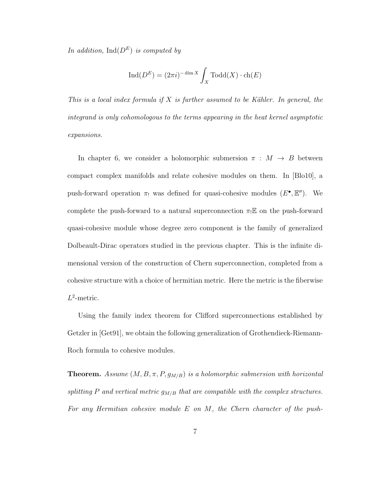In addition,  $\text{Ind}(D^E)$  is computed by

$$
\operatorname{Ind}(D^E) = (2\pi i)^{-\dim X} \int_X \operatorname{Todd}(X) \cdot \operatorname{ch}(E)
$$

This is a local index formula if X is further assumed to be Kähler. In general, the integrand is only cohomologous to the terms appearing in the heat kernel asymptotic expansions.

In chapter 6, we consider a holomorphic submersion  $\pi : M \rightarrow B$  between compact complex manifolds and relate cohesive modules on them. In [Blo10], a push-forward operation  $\pi_!$  was defined for quasi-cohesive modules  $(E^{\bullet}, \mathbb{E}^{\prime\prime})$ . We complete the push-forward to a natural superconnection  $\pi_! \mathbb{E}$  on the push-forward quasi-cohesive module whose degree zero component is the family of generalized Dolbeault-Dirac operators studied in the previous chapter. This is the infinite dimensional version of the construction of Chern superconnection, completed from a cohesive structure with a choice of hermitian metric. Here the metric is the fiberwise  $L^2$ -metric.

Using the family index theorem for Clifford superconnections established by Getzler in [Get91], we obtain the following generalization of Grothendieck-Riemann-Roch formula to cohesive modules.

**Theorem.** Assume  $(M, B, \pi, P, g_{M/B})$  is a holomorphic submersion with horizontal splitting P and vertical metric  $g_{M/B}$  that are compatible with the complex structures. For any Hermitian cohesive module  $E$  on  $M$ , the Chern character of the push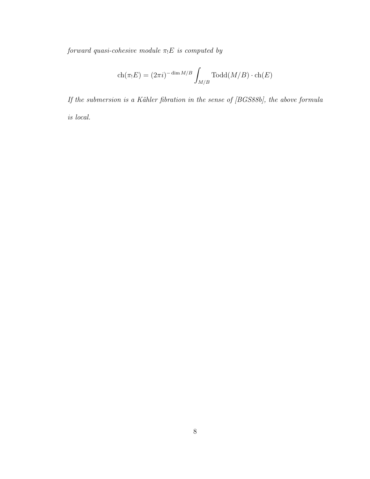forward quasi-cohesive module  $\pi_!E$  is computed by

$$
\mathrm{ch}(\pi_! E) = (2\pi i)^{-\dim M/B} \int_{M/B} \mathrm{Todd}(M/B) \cdot \mathrm{ch}(E)
$$

If the submersion is a Kähler fibration in the sense of [BGS88b], the above formula is local.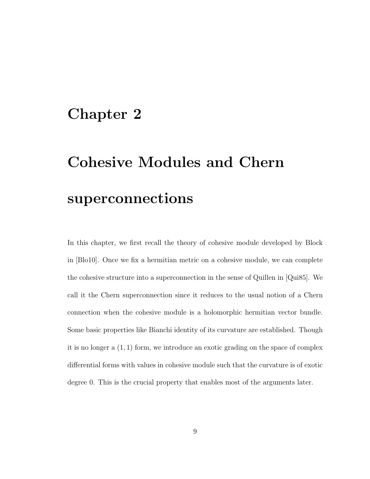## Chapter 2

# Cohesive Modules and Chern superconnections

In this chapter, we first recall the theory of cohesive module developed by Block in [Blo10]. Once we fix a hermitian metric on a cohesive module, we can complete the cohesive structure into a superconnection in the sense of Quillen in [Qui85]. We call it the Chern superconnection since it reduces to the usual notion of a Chern connection when the cohesive module is a holomorphic hermitian vector bundle. Some basic properties like Bianchi identity of its curvature are established. Though it is no longer a  $(1, 1)$  form, we introduce an exotic grading on the space of complex differential forms with values in cohesive module such that the curvature is of exotic degree 0. This is the crucial property that enables most of the arguments later.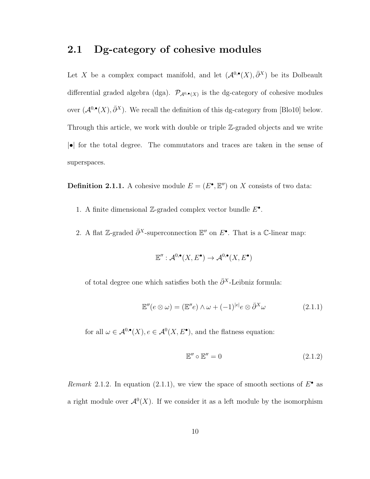#### 2.1 Dg-category of cohesive modules

Let X be a complex compact manifold, and let  $(\mathcal{A}^{0,\bullet}(X), \bar{\partial}^X)$  be its Dolbeault differential graded algebra (dga).  $\mathcal{P}_{\mathcal{A}^{0,\bullet}(X)}$  is the dg-category of cohesive modules over  $(\mathcal{A}^{0,\bullet}(X), \bar{\partial}^X)$ . We recall the definition of this dg-category from [Blo10] below. Through this article, we work with double or triple Z-graded objects and we write |•| for the total degree. The commutators and traces are taken in the sense of superspaces.

**Definition 2.1.1.** A cohesive module  $E = (E^{\bullet}, \mathbb{E}^{\prime\prime})$  on X consists of two data:

- 1. A finite dimensional Z-graded complex vector bundle  $E^{\bullet}$ .
- 2. A flat Z-graded  $\bar{\partial}^X$ -superconnection  $\mathbb{E}''$  on  $E^{\bullet}$ . That is a C-linear map:

$$
\mathbb{E}'' : \mathcal{A}^{0,\bullet}(X,E^{\bullet}) \to \mathcal{A}^{0,\bullet}(X,E^{\bullet})
$$

of total degree one which satisfies both the  $\bar{\partial}^{X}$ -Leibniz formula:

$$
\mathbb{E}''(e \otimes \omega) = (\mathbb{E}''e) \wedge \omega + (-1)^{|e|}e \otimes \bar{\partial}^X \omega \qquad (2.1.1)
$$

for all  $\omega \in \mathcal{A}^{0,\bullet}(X), e \in \mathcal{A}^0(X, E^{\bullet}),$  and the flatness equation:

$$
\mathbb{E}'' \circ \mathbb{E}'' = 0 \tag{2.1.2}
$$

Remark 2.1.2. In equation (2.1.1), we view the space of smooth sections of  $E^{\bullet}$  as a right module over  $\mathcal{A}^0(X)$ . If we consider it as a left module by the isomorphism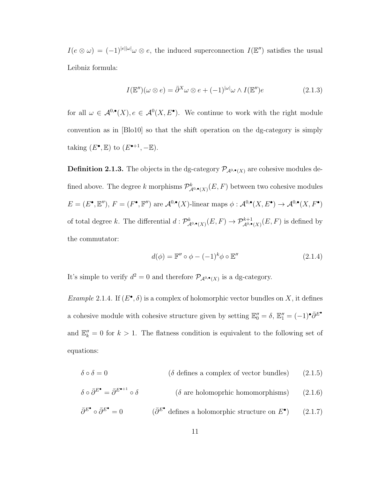$I(e \otimes \omega) = (-1)^{|e||\omega|} \omega \otimes e$ , the induced superconnection  $I(\mathbb{E}^{\prime\prime})$  satisfies the usual Leibniz formula:

$$
I(\mathbb{E}'')(\omega \otimes e) = \bar{\partial}^X \omega \otimes e + (-1)^{|\omega|} \omega \wedge I(\mathbb{E}'')e \tag{2.1.3}
$$

for all  $\omega \in \mathcal{A}^{0,\bullet}(X), e \in \mathcal{A}^{0}(X, E^{\bullet}).$  We continue to work with the right module convention as in [Blo10] so that the shift operation on the dg-category is simply taking  $(E^{\bullet}, \mathbb{E})$  to  $(E^{\bullet+1}, -\mathbb{E})$ .

**Definition 2.1.3.** The objects in the dg-category  $\mathcal{P}_{\mathcal{A}^{0,\bullet}(X)}$  are cohesive modules defined above. The degree k morphisms  $\mathcal{P}_{\mathcal{A}^{0,\bullet}(X)}^{k}(E,F)$  between two cohesive modules  $E = (E^{\bullet}, \mathbb{E}^{\prime\prime}), F = (F^{\bullet}, \mathbb{F}^{\prime\prime})$  are  $\mathcal{A}^{0,\bullet}(X)$ -linear maps  $\phi : \mathcal{A}^{0,\bullet}(X, E^{\bullet}) \to \mathcal{A}^{0,\bullet}(X, F^{\bullet})$ of total degree k. The differential  $d: \mathcal{P}_{\mathcal{A}^{0,\bullet}(X)}^{k}(E,F) \to \mathcal{P}_{\mathcal{A}^{0,\bullet}(X)}^{k+1}(E,F)$  is defined by the commutator:

$$
d(\phi) = \mathbb{F}'' \circ \phi - (-1)^k \phi \circ \mathbb{E}'' \tag{2.1.4}
$$

It's simple to verify  $d^2 = 0$  and therefore  $\mathcal{P}_{\mathcal{A}^{0,\bullet}(X)}$  is a dg-category.

*Example* 2.1.4. If  $(E^{\bullet}, \delta)$  is a complex of holomorphic vector bundles on X, it defines a cohesive module with cohesive structure given by setting  $\mathbb{E}''_0 = \delta$ ,  $\mathbb{E}''_1 = (-1) \cdot \bar{\partial}^{E^*}$ and  $\mathbb{E}''_k = 0$  for  $k > 1$ . The flatness condition is equivalent to the following set of equations:

$$
\delta \circ \delta = 0 \qquad (\delta \text{ defines a complex of vector bundles}) \qquad (2.1.5)
$$

$$
\delta \circ \bar{\partial}^{E^{\bullet}} = \bar{\partial}^{E^{\bullet+1}} \circ \delta \qquad (\delta \text{ are holomorphic homomorphisms}) \qquad (2.1.6)
$$

$$
\bar{\partial}^{E^{\bullet}} \circ \bar{\partial}^{E^{\bullet}} = 0 \qquad (\bar{\partial}^{E^{\bullet}} \text{ defines a holomorphic structure on } E^{\bullet}) \qquad (2.1.7)
$$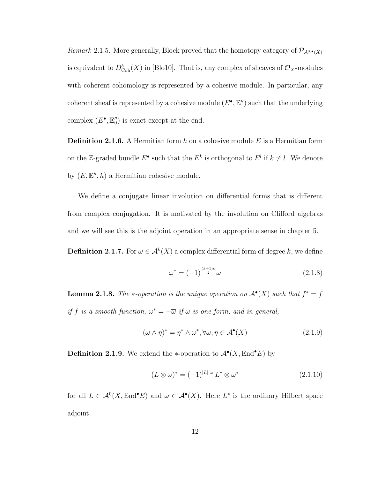Remark 2.1.5. More generally, Block proved that the homotopy category of  $\mathcal{P}_{\mathcal{A}^{0,\bullet}(X)}$ is equivalent to  $D^b_{\text{Coh}}(X)$  in [Blo10]. That is, any complex of sheaves of  $\mathcal{O}_X$ -modules with coherent cohomology is represented by a cohesive module. In particular, any coherent sheaf is represented by a cohesive module  $(E^{\bullet}, \mathbb{E}^{\prime\prime})$  such that the underlying complex  $(E^{\bullet}, \mathbb{E}_0'')$  is exact except at the end.

**Definition 2.1.6.** A Hermitian form h on a cohesive module E is a Hermitian form on the Z-graded bundle  $E^{\bullet}$  such that the  $E^k$  is orthogonal to  $E^l$  if  $k \neq l$ . We denote by  $(E, \mathbb{E}^n, h)$  a Hermitian cohesive module.

We define a conjugate linear involution on differential forms that is different from complex conjugation. It is motivated by the involution on Clifford algebras and we will see this is the adjoint operation in an appropriate sense in chapter 5.

**Definition 2.1.7.** For  $\omega \in A^k(X)$  a complex differential form of degree k, we define

$$
\omega^* = (-1)^{\frac{(k+1)k}{2}} \overline{\omega}
$$
 (2.1.8)

**Lemma 2.1.8.** The \*-operation is the unique operation on  $\mathcal{A}^{\bullet}(X)$  such that  $f^* = \overline{f}$ if f is a smooth function,  $\omega^* = -\overline{\omega}$  if  $\omega$  is one form, and in general,

$$
(\omega \wedge \eta)^* = \eta^* \wedge \omega^*, \forall \omega, \eta \in \mathcal{A}^\bullet(X) \tag{2.1.9}
$$

**Definition 2.1.9.** We extend the \*-operation to  $\mathcal{A}^{\bullet}(X, \text{End}^{\bullet}E)$  by

$$
(L \otimes \omega)^* = (-1)^{|L||\omega|} L^* \otimes \omega^* \tag{2.1.10}
$$

for all  $L \in \mathcal{A}^0(X, \text{End}^\bullet E)$  and  $\omega \in \mathcal{A}^\bullet(X)$ . Here  $L^*$  is the ordinary Hilbert space adjoint.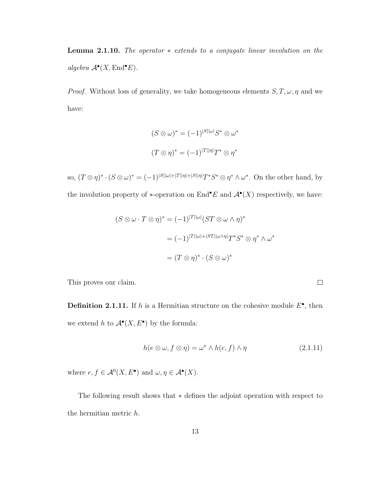Lemma 2.1.10. The operator ∗ extends to a conjugate linear involution on the algebra  $\mathcal{A}^{\bullet}(X, \text{End}^{\bullet} E)$ .

*Proof.* Without loss of generality, we take homogeneous elements  $S, T, \omega, \eta$  and we have:

$$
(S \otimes \omega)^* = (-1)^{|S||\omega|} S^* \otimes \omega^*
$$

$$
(T \otimes \eta)^* = (-1)^{|T||\eta|} T^* \otimes \eta^*
$$

so,  $(T \otimes \eta)^* \cdot (S \otimes \omega)^* = (-1)^{|S||\omega| + |T||\eta| + |S||\eta|} T^* S^* \otimes \eta^* \wedge \omega^*$ . On the other hand, by the involution property of \*-operation on End<sup>•</sup>E and  $\mathcal{A}^{\bullet}(X)$  respectively, we have:

$$
(S \otimes \omega \cdot T \otimes \eta)^* = (-1)^{|T||\omega|} (ST \otimes \omega \wedge \eta)^*
$$

$$
= (-1)^{|T||\omega| + |ST||\omega \wedge \eta|} T^* S^* \otimes \eta^* \wedge \omega^*
$$

$$
= (T \otimes \eta)^* \cdot (S \otimes \omega)^*
$$

This proves our claim.

**Definition 2.1.11.** If h is a Hermitian structure on the cohesive module  $E^{\bullet}$ , then we extend h to  $\mathcal{A}^{\bullet}(X, E^{\bullet})$  by the formula:

$$
h(e \otimes \omega, f \otimes \eta) = \omega^* \wedge h(e, f) \wedge \eta \tag{2.1.11}
$$

 $\Box$ 

where  $e, f \in \mathcal{A}^0(X, E^{\bullet})$  and  $\omega, \eta \in \mathcal{A}^{\bullet}(X)$ .

The following result shows that ∗ defines the adjoint operation with respect to the hermitian metric h.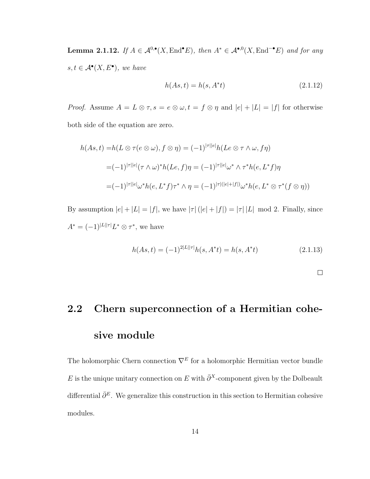**Lemma 2.1.12.** If  $A \in \mathcal{A}^{0,\bullet}(X, \text{End}^{\bullet}E)$ , then  $A^* \in \mathcal{A}^{\bullet,0}(X, \text{End}^{-\bullet}E)$  and for any  $s, t \in \mathcal{A}^{\bullet}(X, E^{\bullet}),$  we have

$$
h(As, t) = h(s, A^*t)
$$
\n(2.1.12)

*Proof.* Assume  $A = L \otimes \tau$ ,  $s = e \otimes \omega$ ,  $t = f \otimes \eta$  and  $|e| + |L| = |f|$  for otherwise both side of the equation are zero.

$$
h(As, t) = h(L \otimes \tau(e \otimes \omega), f \otimes \eta) = (-1)^{|\tau||e|} h(Le \otimes \tau \wedge \omega, f\eta)
$$
  

$$
= (-1)^{|\tau||e|} (\tau \wedge \omega)^* h(Le, f)\eta = (-1)^{|\tau||e|} \omega^* \wedge \tau^* h(e, L^* f)\eta
$$
  

$$
= (-1)^{|\tau||e|} \omega^* h(e, L^* f) \tau^* \wedge \eta = (-1)^{|\tau|(|e| + |f|)} \omega^* h(e, L^* \otimes \tau^*(f \otimes \eta))
$$

By assumption  $|e| + |L| = |f|$ , we have  $|\tau| (|e| + |f|) = |\tau| |L|$  mod 2. Finally, since  $A^* = (-1)^{|L||\tau|} L^* \otimes \tau^*$ , we have

$$
h(As, t) = (-1)^{2|L||\tau|} h(s, A^*t) = h(s, A^*t)
$$
\n(2.1.13)

 $\Box$ 

## 2.2 Chern superconnection of a Hermitian cohesive module

The holomorphic Chern connection  $\nabla^E$  for a holomorphic Hermitian vector bundle E is the unique unitary connection on E with  $\bar{\partial}^X$ -component given by the Dolbeault differential  $\bar{\partial}^E$ . We generalize this construction in this section to Hermitian cohesive modules.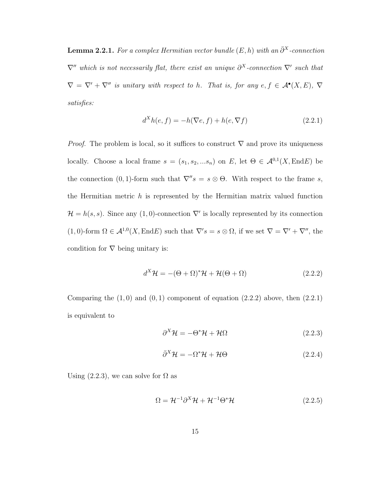**Lemma 2.2.1.** For a complex Hermitian vector bundle  $(E, h)$  with an  $\bar{\partial}^{X}$ -connection  $\nabla''$  which is not necessarily flat, there exist an unique  $\partial^X$ -connection  $\nabla'$  such that  $\nabla = \nabla' + \nabla''$  is unitary with respect to h. That is, for any  $e, f \in \mathcal{A}^{\bullet}(X, E), \nabla$ satisfies:

$$
dXh(e, f) = -h(\nabla e, f) + h(e, \nabla f)
$$
\n(2.2.1)

*Proof.* The problem is local, so it suffices to construct  $\nabla$  and prove its uniqueness locally. Choose a local frame  $s = (s_1, s_2, ... s_n)$  on E, let  $\Theta \in \mathcal{A}^{0,1}(X, \text{End}E)$  be the connection (0, 1)-form such that  $\nabla'' s = s \otimes \Theta$ . With respect to the frame s, the Hermitian metric  $h$  is represented by the Hermitian matrix valued function  $\mathcal{H} = h(s, s)$ . Since any (1,0)-connection  $\nabla'$  is locally represented by its connection  $(1,0)$ -form  $\Omega \in \mathcal{A}^{1,0}(X,\text{End}E)$  such that  $\nabla's = s \otimes \Omega$ , if we set  $\nabla = \nabla' + \nabla''$ , the condition for  $\nabla$  being unitary is:

$$
d^{X}\mathcal{H} = -(\Theta + \Omega)^{*}\mathcal{H} + \mathcal{H}(\Theta + \Omega)
$$
\n(2.2.2)

Comparing the  $(1,0)$  and  $(0,1)$  component of equation  $(2.2.2)$  above, then  $(2.2.1)$ is equivalent to

$$
\partial^X \mathcal{H} = -\Theta^* \mathcal{H} + \mathcal{H}\Omega \tag{2.2.3}
$$

$$
\bar{\partial}^X \mathcal{H} = -\Omega^* \mathcal{H} + \mathcal{H} \Theta \tag{2.2.4}
$$

Using  $(2.2.3)$ , we can solve for  $\Omega$  as

$$
\Omega = \mathcal{H}^{-1} \partial^X \mathcal{H} + \mathcal{H}^{-1} \Theta^* \mathcal{H}
$$
\n
$$
(2.2.5)
$$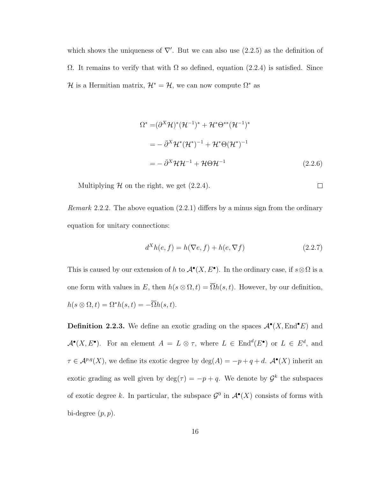which shows the uniqueness of  $\nabla'$ . But we can also use (2.2.5) as the definition of  $Ω$ . It remains to verify that with  $Ω$  so defined, equation (2.2.4) is satisfied. Since H is a Hermitian matrix,  $\mathcal{H}^* = \mathcal{H}$ , we can now compute  $\Omega^*$  as

$$
\Omega^* = (\partial^X \mathcal{H})^* (\mathcal{H}^{-1})^* + \mathcal{H}^* \Theta^{**} (\mathcal{H}^{-1})^*
$$
  
=  $-\bar{\partial}^X \mathcal{H}^* (\mathcal{H}^*)^{-1} + \mathcal{H}^* \Theta (\mathcal{H}^*)^{-1}$   
=  $-\bar{\partial}^X \mathcal{H} \mathcal{H}^{-1} + \mathcal{H} \Theta \mathcal{H}^{-1}$  (2.2.6)

 $\Box$ 

Multiplying  $H$  on the right, we get  $(2.2.4)$ .

*Remark* 2.2.2. The above equation  $(2.2.1)$  differs by a minus sign from the ordinary equation for unitary connections:

$$
dXh(e, f) = h(\nabla e, f) + h(e, \nabla f)
$$
\n(2.2.7)

This is caused by our extension of h to  $\mathcal{A}^{\bullet}(X, E^{\bullet})$ . In the ordinary case, if  $s \otimes \Omega$  is a one form with values in E, then  $h(s \otimes \Omega, t) = \overline{\Omega}h(s, t)$ . However, by our definition,  $h(s \otimes \Omega, t) = \Omega^* h(s, t) = -\overline{\Omega} h(s, t).$ 

**Definition 2.2.3.** We define an exotic grading on the spaces  $\mathcal{A}^{\bullet}(X, \text{End}^{\bullet}E)$  and  $\mathcal{A}^{\bullet}(X, E^{\bullet})$ . For an element  $A = L \otimes \tau$ , where  $L \in \text{End}^{d}(E^{\bullet})$  or  $L \in E^{d}$ , and  $\tau \in \mathcal{A}^{p,q}(X)$ , we define its exotic degree by  $\deg(A) = -p + q + d$ .  $\mathcal{A}^{\bullet}(X)$  inherit an exotic grading as well given by  $\deg(\tau) = -p + q$ . We denote by  $\mathcal{G}^k$  the subspaces of exotic degree k. In particular, the subspace  $\mathcal{G}^0$  in  $\mathcal{A}^{\bullet}(X)$  consists of forms with bi-degree  $(p, p)$ .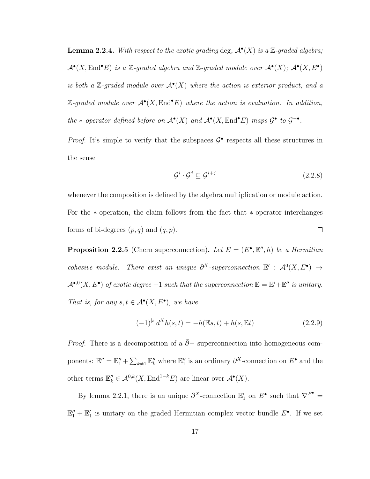**Lemma 2.2.4.** With respect to the exotic grading deg,  $\mathcal{A}^{\bullet}(X)$  is a Z-graded algebra;  $\mathcal{A}^{\bullet}(X, \text{End}^{\bullet} E)$  is a Z-graded algebra and Z-graded module over  $\mathcal{A}^{\bullet}(X);$   $\mathcal{A}^{\bullet}(X, E^{\bullet})$ is both a Z-graded module over  $\mathcal{A}^{\bullet}(X)$  where the action is exterior product, and a  $\mathbb{Z}\text{-}\mathrm{graded}\mod$  module over  $\mathcal{A}^{\bullet}(X,\mathrm{End}^{\bullet}E)$  where the action is evaluation. In addition, the \*-operator defined before on  $\mathcal{A}^{\bullet}(X)$  and  $\mathcal{A}^{\bullet}(X, \text{End}^{\bullet} E)$  maps  $\mathcal{G}^{\bullet}$  to  $\mathcal{G}^{-\bullet}$ .

*Proof.* It's simple to verify that the subspaces  $\mathcal{G}^{\bullet}$  respects all these structures in the sense

$$
\mathcal{G}^i \cdot \mathcal{G}^j \subseteq \mathcal{G}^{i+j} \tag{2.2.8}
$$

whenever the composition is defined by the algebra multiplication or module action. For the ∗-operation, the claim follows from the fact that ∗-operator interchanges forms of bi-degrees  $(p, q)$  and  $(q, p)$ .  $\Box$ 

**Proposition 2.2.5** (Chern superconnection). Let  $E = (E^{\bullet}, \mathbb{E}^{\prime\prime}, h)$  be a Hermitian cohesive module. There exist an unique  $\partial^X$ -superconnection  $\mathbb{E}' : \mathcal{A}^0(X, E^{\bullet}) \to$  $\mathcal{A}^{\bullet,0}(X, E^{\bullet})$  of exotic degree  $-1$  such that the superconnection  $\mathbb{E} = \mathbb{E}' + \mathbb{E}''$  is unitary. That is, for any  $s, t \in \mathcal{A}^{\bullet}(X, E^{\bullet})$ , we have

$$
(-1)^{|s|}d^{X}h(s,t) = -h(\mathbb{E}s,t) + h(s,\mathbb{E}t)
$$
\n(2.2.9)

*Proof.* There is a decomposition of a  $\bar{\partial}$ − superconnection into homogeneous components:  $\mathbb{E}'' = \mathbb{E}''_1 + \sum_{k\neq 1} \mathbb{E}''_k$  where  $\mathbb{E}''_1$  is an ordinary  $\bar{\partial}^X$ -connection on  $E^{\bullet}$  and the other terms  $\mathbb{E}_{k}'' \in \mathcal{A}^{0,k}(X, \text{End}^{1-k}E)$  are linear over  $\mathcal{A}^{\bullet}(X)$ .

By lemma 2.2.1, there is an unique  $\partial^X$ -connection  $\mathbb{E}'_1$  on  $E^{\bullet}$  such that  $\nabla^{E^{\bullet}}$  =  $\mathbb{E}_1'' + \mathbb{E}_1'$  is unitary on the graded Hermitian complex vector bundle  $E^{\bullet}$ . If we set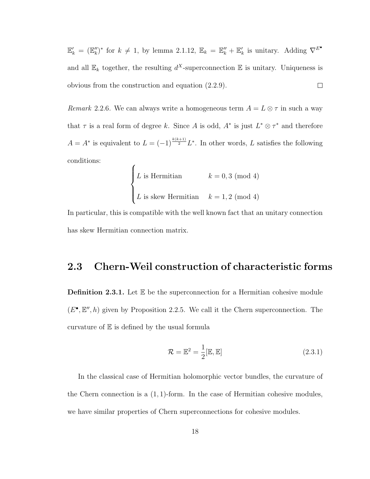$\mathbb{E}'_k = (\mathbb{E}''_k)^*$  for  $k \neq 1$ , by lemma 2.1.12,  $\mathbb{E}_k = \mathbb{E}''_k + \mathbb{E}'_k$  is unitary. Adding  $\nabla^{E^{\bullet}}$ and all  $\mathbb{E}_k$  together, the resulting  $d^X$ -superconnection  $\mathbb E$  is unitary. Uniqueness is obvious from the construction and equation (2.2.9).  $\Box$ 

Remark 2.2.6. We can always write a homogeneous term  $A = L \otimes \tau$  in such a way that  $\tau$  is a real form of degree k. Since A is odd,  $A^*$  is just  $L^* \otimes \tau^*$  and therefore  $A = A^*$  is equivalent to  $L = (-1)^{\frac{k(k+1)}{2}} L^*$ . In other words, L satisfies the following conditions:  $\epsilon$ 

L is Hermitian 
$$
k = 0, 3 \pmod{4}
$$
  
L is skew Hermitian  $k = 1, 2 \pmod{4}$ 

In particular, this is compatible with the well known fact that an unitary connection has skew Hermitian connection matrix.

#### 2.3 Chern-Weil construction of characteristic forms

**Definition 2.3.1.** Let  $E$  be the superconnection for a Hermitian cohesive module  $(E^{\bullet}, \mathbb{E}'', h)$  given by Proposition 2.2.5. We call it the Chern superconnection. The curvature of E is defined by the usual formula

$$
\mathcal{R} = \mathbb{E}^2 = \frac{1}{2} [\mathbb{E}, \mathbb{E}]
$$
\n(2.3.1)

In the classical case of Hermitian holomorphic vector bundles, the curvature of the Chern connection is a  $(1, 1)$ -form. In the case of Hermitian cohesive modules, we have similar properties of Chern superconnections for cohesive modules.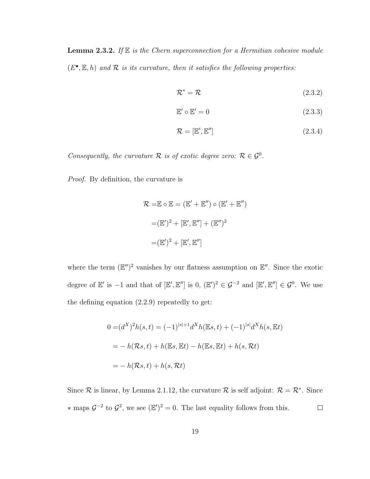**Lemma 2.3.2.** If  $E$  is the Chern superconnection for a Hermitian cohesive module  $(E^{\bullet}, \mathbb{E}, h)$  and  $\mathcal R$  is its curvature, then it satisfies the following properties:

$$
\mathcal{R}^* = \mathcal{R} \tag{2.3.2}
$$

$$
\mathbb{E}' \circ \mathbb{E}' = 0 \tag{2.3.3}
$$

$$
\mathcal{R} = [\mathbb{E}', \mathbb{E}''] \tag{2.3.4}
$$

Consequently, the curvature  $\mathcal R$  is of exotic degree zero:  $\mathcal R \in \mathcal G^0$ .

Proof. By definition, the curvature is

$$
\mathcal{R} = \mathbb{E} \circ \mathbb{E} = (\mathbb{E}' + \mathbb{E}'') \circ (\mathbb{E}' + \mathbb{E}'')
$$

$$
= (\mathbb{E}')^2 + [\mathbb{E}', \mathbb{E}''] + (\mathbb{E}'')^2
$$

$$
= (\mathbb{E}')^2 + [\mathbb{E}', \mathbb{E}'']
$$

where the term  $(\mathbb{E}^{\prime\prime})^2$  vanishes by our flatness assumption on  $\mathbb{E}^{\prime\prime}$ . Since the exotic degree of  $\mathbb{E}'$  is  $-1$  and that of  $[\mathbb{E}', \mathbb{E}'']$  is  $0, (\mathbb{E}')^2 \in \mathcal{G}^{-2}$  and  $[\mathbb{E}', \mathbb{E}''] \in \mathcal{G}^0$ . We use the defining equation (2.2.9) repeatedly to get:

$$
0 = (d^X)^2 h(s, t) = (-1)^{|s|+1} d^X h(\mathbb{E}s, t) + (-1)^{|s|} d^X h(s, \mathbb{E}t)
$$

$$
= -h(\mathcal{R}s, t) + h(\mathbb{E}s, \mathbb{E}t) - h(\mathbb{E}s, \mathbb{E}t) + h(s, \mathcal{R}t)
$$

$$
= -h(\mathcal{R}s, t) + h(s, \mathcal{R}t)
$$

Since R is linear, by Lemma 2.1.12, the curvature R is self adjoint:  $\mathcal{R} = \mathcal{R}^*$ . Since  $\ast$  maps  $\mathcal{G}^{-2}$  to  $\mathcal{G}^2$ , we see ( $\mathbb{E}')^2 = 0$ . The last equality follows from this.  $\Box$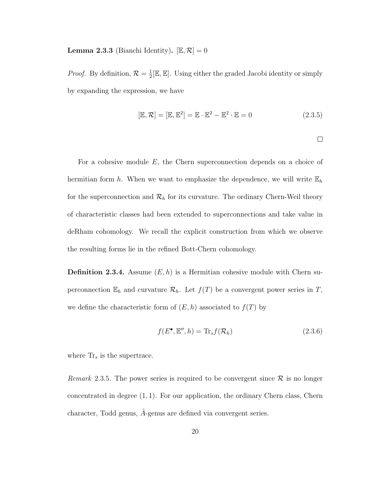**Lemma 2.3.3** (Bianchi Identity).  $[\mathbb{E}, \mathcal{R}] = 0$ 

*Proof.* By definition,  $\mathcal{R} = \frac{1}{2}$  $\frac{1}{2}[\mathbb{E}, \mathbb{E}]$ . Using either the graded Jacobi identity or simply by expanding the expression, we have

$$
[\mathbb{E}, \mathcal{R}] = [\mathbb{E}, \mathbb{E}^2] = \mathbb{E} \cdot \mathbb{E}^2 - \mathbb{E}^2 \cdot \mathbb{E} = 0 \qquad (2.3.5)
$$

 $\Box$ 

For a cohesive module E, the Chern superconnection depends on a choice of hermitian form h. When we want to emphasize the dependence, we will write  $\mathbb{E}_h$ for the superconnection and  $\mathcal{R}_h$  for its curvature. The ordinary Chern-Weil theory of characteristic classes had been extended to superconnections and take value in deRham cohomology. We recall the explicit construction from which we observe the resulting forms lie in the refined Bott-Chern cohomology.

**Definition 2.3.4.** Assume  $(E, h)$  is a Hermitian cohesive module with Chern superconnection  $\mathbb{E}_h$  and curvature  $\mathcal{R}_h$ . Let  $f(T)$  be a convergent power series in T, we define the characteristic form of  $(E, h)$  associated to  $f(T)$  by

$$
f(E^{\bullet}, \mathbb{E}^{\prime\prime}, h) = \text{Tr}_s f(\mathcal{R}_h)
$$
\n(2.3.6)

where  $\text{Tr}_s$  is the supertrace.

Remark 2.3.5. The power series is required to be convergent since  $\mathcal R$  is no longer concentrated in degree  $(1, 1)$ . For our application, the ordinary Chern class, Chern character, Todd genus,  $\hat{A}$ -genus are defined via convergent series.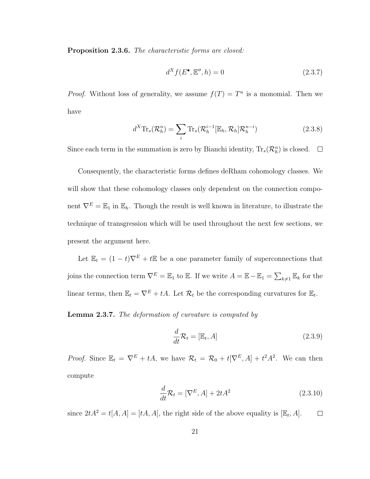Proposition 2.3.6. The characteristic forms are closed:

$$
d^X f(E^{\bullet}, \mathbb{E}^{\prime\prime}, h) = 0 \tag{2.3.7}
$$

*Proof.* Without loss of generality, we assume  $f(T) = T^n$  is a monomial. Then we have

$$
d^X \text{Tr}_s(\mathcal{R}_h^n) = \sum_i \text{Tr}_s(\mathcal{R}_h^{i-1}[\mathbb{E}_h, \mathcal{R}_h] \mathcal{R}_h^{n-i}) \tag{2.3.8}
$$

Since each term in the summation is zero by Bianchi identity,  $\text{Tr}_s(\mathcal{R}_h^n)$  is closed.

Consequently, the characteristic forms defines deRham cohomology classes. We will show that these cohomology classes only dependent on the connection component  $\nabla^E = \mathbb{E}_1$  in  $\mathbb{E}_h$ . Though the result is well known in literature, to illustrate the technique of transgression which will be used throughout the next few sections, we present the argument here.

Let  $\mathbb{E}_t = (1 - t)\nabla^E + t\mathbb{E}$  be a one parameter family of superconnections that joins the connection term  $\nabla^E = \mathbb{E}_1$  to  $\mathbb{E}_1$ . If we write  $A = \mathbb{E} - \mathbb{E}_1 = \sum_{k \neq 1} \mathbb{E}_k$  for the linear terms, then  $\mathbb{E}_t = \nabla^E + tA$ . Let  $\mathcal{R}_t$  be the corresponding curvatures for  $\mathbb{E}_t$ .

**Lemma 2.3.7.** The deformation of curvature is computed by

$$
\frac{d}{dt}\mathcal{R}_t = [\mathbb{E}_t, A] \tag{2.3.9}
$$

*Proof.* Since  $\mathbb{E}_t = \nabla^E + tA$ , we have  $\mathcal{R}_t = \mathcal{R}_0 + t[\nabla^E, A] + t^2 A^2$ . We can then compute

$$
\frac{d}{dt}\mathcal{R}_t = [\nabla^E, A] + 2tA^2
$$
\n(2.3.10)

since  $2tA^2 = t[A, A] = [tA, A]$ , the right side of the above equality is  $[\mathbb{E}_t, A]$ .  $\Box$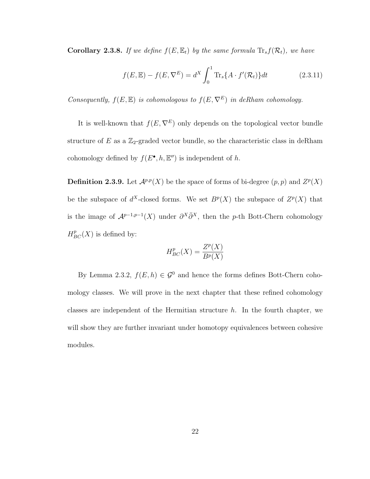**Corollary 2.3.8.** If we define  $f(E, \mathbb{E}_t)$  by the same formula  $\text{Tr}_s f(\mathcal{R}_t)$ , we have

$$
f(E, \mathbb{E}) - f(E, \nabla^{E}) = d^{X} \int_{0}^{1} \text{Tr}_{s} \{ A \cdot f'(\mathcal{R}_{t}) \} dt \qquad (2.3.11)
$$

Consequently,  $f(E, \mathbb{E})$  is cohomologous to  $f(E, \nabla^E)$  in deRham cohomology.

It is well-known that  $f(E, \nabla^E)$  only depends on the topological vector bundle structure of  $E$  as a  $\mathbb{Z}_2$ -graded vector bundle, so the characteristic class in deRham cohomology defined by  $f(E^{\bullet}, h, \mathbb{E}^{\prime\prime})$  is independent of h.

**Definition 2.3.9.** Let  $\mathcal{A}^{p,p}(X)$  be the space of forms of bi-degree  $(p, p)$  and  $Z^p(X)$ be the subspace of  $d^X$ -closed forms. We set  $B^p(X)$  the subspace of  $Z^p(X)$  that is the image of  $\mathcal{A}^{p-1,p-1}(X)$  under  $\partial^X \bar{\partial}^X$ , then the p-th Bott-Chern cohomology  $H_{BC}^p(X)$  is defined by:

$$
H_{BC}^p(X) = \frac{Z^p(X)}{B^p(X)}
$$

By Lemma 2.3.2,  $f(E, h) \in \mathcal{G}^0$  and hence the forms defines Bott-Chern cohomology classes. We will prove in the next chapter that these refined cohomology classes are independent of the Hermitian structure  $h$ . In the fourth chapter, we will show they are further invariant under homotopy equivalences between cohesive modules.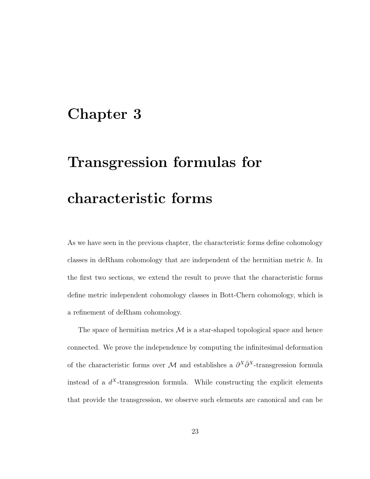## Chapter 3

# Transgression formulas for characteristic forms

As we have seen in the previous chapter, the characteristic forms define cohomology classes in deRham cohomology that are independent of the hermitian metric h. In the first two sections, we extend the result to prove that the characteristic forms define metric independent cohomology classes in Bott-Chern cohomology, which is a refinement of deRham cohomology.

The space of hermitian metrics  $\mathcal M$  is a star-shaped topological space and hence connected. We prove the independence by computing the infinitesimal deformation of the characteristic forms over M and establishes a  $\partial^X \bar{\partial}^X$ -transgression formula instead of a  $d^X$ -transgression formula. While constructing the explicit elements that provide the transgression, we observe such elements are canonical and can be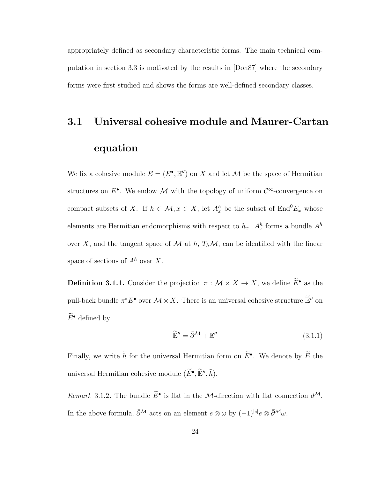appropriately defined as secondary characteristic forms. The main technical computation in section 3.3 is motivated by the results in [Don87] where the secondary forms were first studied and shows the forms are well-defined secondary classes.

## 3.1 Universal cohesive module and Maurer-Cartan equation

We fix a cohesive module  $E = (E^{\bullet}, \mathbb{E}^{\prime\prime})$  on X and let M be the space of Hermitian structures on  $E^{\bullet}$ . We endow M with the topology of uniform  $\mathcal{C}^{\infty}$ -convergence on compact subsets of X. If  $h \in \mathcal{M}$ ,  $x \in X$ , let  $A_x^h$  be the subset of  $\text{End}^0E_x$  whose elements are Hermitian endomorphisms with respect to  $h_x$ .  $A_x^h$  forms a bundle  $A^h$ over X, and the tangent space of M at h,  $T_h \mathcal{M}$ , can be identified with the linear space of sections of  $A<sup>h</sup>$  over X.

**Definition 3.1.1.** Consider the projection  $\pi : \mathcal{M} \times X \to X$ , we define  $\widetilde{E}^{\bullet}$  as the pull-back bundle  $\pi^* E^{\bullet}$  over  $\mathcal{M} \times X$ . There is an universal cohesive structure  $\widetilde{\mathbb{E}}''$  on  $\widetilde{E}^{\bullet}$  defined by

$$
\widetilde{\mathbb{E}}'' = \bar{\partial}^{\mathcal{M}} + \mathbb{E}'' \tag{3.1.1}
$$

Finally, we write  $\tilde{h}$  for the universal Hermitian form on  $\tilde{E}^{\bullet}$ . We denote by  $\tilde{E}$  the universal Hermitian cohesive module  $(\widetilde{E}^{\bullet}, \widetilde{\mathbb{E}}'', \widetilde{h})$ .

Remark 3.1.2. The bundle  $\tilde{E}^{\bullet}$  is flat in the *M*-direction with flat connection  $d^{\mathcal{M}}$ . In the above formula,  $\bar{\partial}^{\mathcal{M}}$  acts on an element  $e \otimes \omega$  by  $(-1)^{|e|}e \otimes \bar{\partial}^{\mathcal{M}} \omega$ .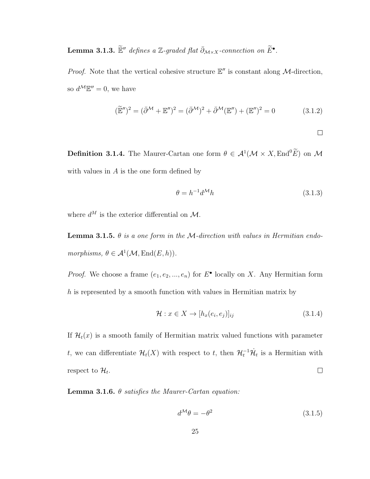Lemma 3.1.3.  $\widetilde{\mathbb{E}}''$  defines a Z-graded flat  $\bar{\partial}_{\mathcal{M}\times X}$ -connection on  $\widetilde{E}^{\bullet}$ .

*Proof.* Note that the vertical cohesive structure  $\mathbb{E}''$  is constant along M-direction, so  $d^{\mathcal{M}}\mathbb{E}''=0$ , we have

$$
(\widetilde{\mathbb{E}}'')^2 = (\bar{\partial}^{\mathcal{M}} + \mathbb{E}'')^2 = (\bar{\partial}^{\mathcal{M}})^2 + \bar{\partial}^{\mathcal{M}}(\mathbb{E}'') + (\mathbb{E}'')^2 = 0 \tag{3.1.2}
$$

 $\Box$ 

**Definition 3.1.4.** The Maurer-Cartan one form  $\theta \in \mathcal{A}^1(\mathcal{M} \times X, \text{End}^0 \widetilde{E})$  on  $\mathcal{M}$ with values in  $A$  is the one form defined by

$$
\theta = h^{-1} d^M h \tag{3.1.3}
$$

where  $d^M$  is the exterior differential on M.

**Lemma 3.1.5.**  $\theta$  is a one form in the M-direction with values in Hermitian endomorphisms,  $\theta \in \mathcal{A}^1(\mathcal{M}, \text{End}(E, h)).$ 

*Proof.* We choose a frame  $(e_1, e_2, ..., e_n)$  for  $E^{\bullet}$  locally on X. Any Hermitian form  $h$  is represented by a smooth function with values in Hermitian matrix by

$$
\mathcal{H}: x \in X \to [h_x(e_i, e_j)]_{ij} \tag{3.1.4}
$$

If  $\mathcal{H}_t(x)$  is a smooth family of Hermitian matrix valued functions with parameter t, we can differentiate  $\mathcal{H}_t(X)$  with respect to t, then  $\mathcal{H}_t^{-1}\dot{\mathcal{H}}_t$  is a Hermitian with respect to  $\mathcal{H}_t$ .  $\Box$ 

**Lemma 3.1.6.**  $\theta$  satisfies the Maurer-Cartan equation:

$$
d^{\mathcal{M}}\theta = -\theta^2 \tag{3.1.5}
$$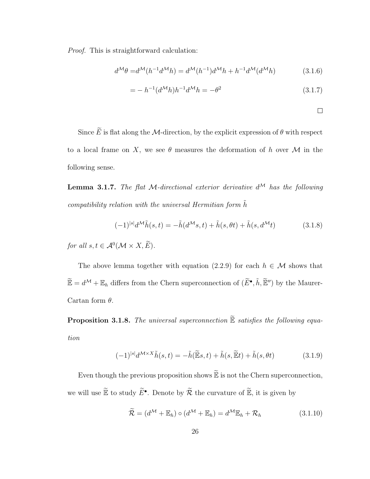Proof. This is straightforward calculation:

$$
d^{\mathcal{M}}\theta = d^{\mathcal{M}}(h^{-1}d^{\mathcal{M}}h) = d^{\mathcal{M}}(h^{-1})d^{\mathcal{M}}h + h^{-1}d^{\mathcal{M}}(d^{\mathcal{M}}h)
$$
(3.1.6)

$$
= -h^{-1}(d^{\mathcal{M}}h)h^{-1}d^{\mathcal{M}}h = -\theta^2
$$
\n(3.1.7)

$$
\qquad \qquad \Box
$$

Since  $\widetilde{E}$  is flat along the M-direction, by the explicit expression of  $\theta$  with respect to a local frame on X, we see  $\theta$  measures the deformation of h over M in the following sense.

**Lemma 3.1.7.** The flat M-directional exterior derivative  $d^{\mathcal{M}}$  has the following compatibility relation with the universal Hermitian form  $\tilde{h}$ 

$$
(-1)^{|s|}d^{\mathcal{M}}\tilde{h}(s,t) = -\tilde{h}(d^{\mathcal{M}}s,t) + \tilde{h}(s,\theta t) + \tilde{h}(s,d^{\mathcal{M}}t)
$$
(3.1.8)

for all  $s, t \in \mathcal{A}^0(\mathcal{M} \times X, E)$ .

The above lemma together with equation (2.2.9) for each  $h \in \mathcal{M}$  shows that  $\widetilde{\mathbb{E}} = d^{\mathcal{M}} + \mathbb{E}_h$  differs from the Chern superconnection of  $(\widetilde{E}^{\bullet}, \widetilde{h}, \widetilde{\mathbb{E}}'')$  by the Maurer-Cartan form  $\theta$ .

**Proposition 3.1.8.** The universal superconnection  $\widetilde{\mathbb{E}}$  satisfies the following equation

$$
(-1)^{|s|}d^{\mathcal{M}\times X}\tilde{h}(s,t) = -\tilde{h}(\tilde{\mathbb{E}}s,t) + \tilde{h}(s,\tilde{\mathbb{E}}t) + \tilde{h}(s,\theta t)
$$
(3.1.9)

Even though the previous proposition shows  $\widetilde{\mathbb{E}}$  is not the Chern superconnection, we will use  $\widetilde{\mathbb{E}}$  to study  $\widetilde{E}^{\bullet}$ . Denote by  $\widetilde{\mathcal{R}}$  the curvature of  $\widetilde{\mathbb{E}}$ , it is given by

$$
\widetilde{\mathcal{R}} = (d^{\mathcal{M}} + \mathbb{E}_h) \circ (d^{\mathcal{M}} + \mathbb{E}_h) = d^{\mathcal{M}} \mathbb{E}_h + \mathcal{R}_h \tag{3.1.10}
$$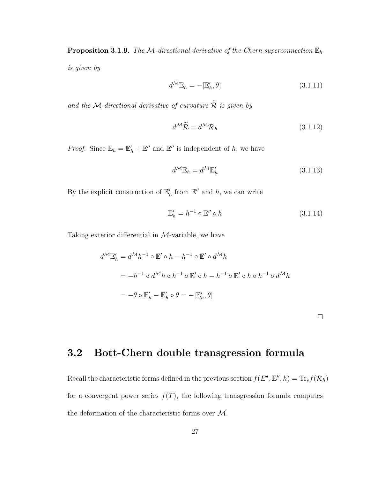**Proposition 3.1.9.** The M-directional derivative of the Chern superconnection  $\mathbb{E}_h$ is given by

$$
d^{\mathcal{M}}\mathbb{E}_h = -[\mathbb{E}'_h, \theta] \tag{3.1.11}
$$

and the M-directional derivative of curvature  $\widetilde{\mathcal{R}}$  is given by

$$
d^{\mathcal{M}}\widetilde{\mathcal{R}} = d^{\mathcal{M}}\mathcal{R}_h \tag{3.1.12}
$$

*Proof.* Since  $\mathbb{E}_h = \mathbb{E}'_h + \mathbb{E}''$  and  $\mathbb{E}''$  is independent of h, we have

$$
d^{\mathcal{M}}\mathbb{E}_h = d^{\mathcal{M}}\mathbb{E}'_h \tag{3.1.13}
$$

By the explicit construction of  $\mathbb{E}'_h$  from  $\mathbb{E}''$  and h, we can write

$$
\mathbb{E}'_h = h^{-1} \circ \mathbb{E}'' \circ h \tag{3.1.14}
$$

Taking exterior differential in  $M$ -variable, we have

$$
d^{\mathcal{M}}\mathbb{E}'_h = d^{\mathcal{M}}h^{-1} \circ \mathbb{E}' \circ h - h^{-1} \circ \mathbb{E}' \circ d^{\mathcal{M}}h
$$
  
=  $-h^{-1} \circ d^{\mathcal{M}}h \circ h^{-1} \circ \mathbb{E}' \circ h - h^{-1} \circ \mathbb{E}' \circ h \circ h^{-1} \circ d^{\mathcal{M}}h$   
=  $-\theta \circ \mathbb{E}'_h - \mathbb{E}'_h \circ \theta = -[\mathbb{E}'_h, \theta]$ 

 $\Box$ 

#### 3.2 Bott-Chern double transgression formula

Recall the characteristic forms defined in the previous section  $f(E^{\bullet}, E'', h) = \text{Tr}_s f(\mathcal{R}_h)$ for a convergent power series  $f(T)$ , the following transgression formula computes the deformation of the characteristic forms over M.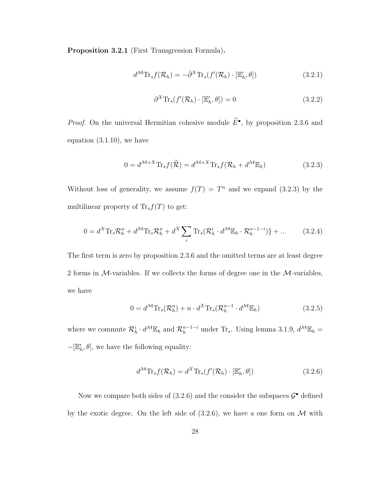Proposition 3.2.1 (First Transgression Formula).

$$
d^{\mathcal{M}} \text{Tr}_s f(\mathcal{R}_h) = -\bar{\partial}^X \text{Tr}_s(f'(\mathcal{R}_h) \cdot [\mathbb{E}'_h, \theta]) \tag{3.2.1}
$$

$$
\partial^X \text{Tr}_s(f'(\mathcal{R}_h) \cdot [\mathbb{E}'_h, \theta]) = 0 \tag{3.2.2}
$$

*Proof.* On the universal Hermitian cohesive module  $\tilde{E}^{\bullet}$ , by proposition 2.3.6 and equation (3.1.10), we have

$$
0 = d^{\mathcal{M} \times X} \text{Tr}_s f(\widetilde{\mathcal{R}}) = d^{\mathcal{M} \times X} \text{Tr}_s f(\mathcal{R}_h + d^{\mathcal{M}} \mathbb{E}_h)
$$
(3.2.3)

Without loss of generality, we assume  $f(T) = T^n$  and we expand (3.2.3) by the multilinear property of  $\text{Tr}_s f(T)$  to get:

$$
0 = d^X \text{Tr}_s \mathcal{R}_h^n + d^{\mathcal{M}} \text{Tr}_s \mathcal{R}_h^n + d^X \sum_i \text{Tr}_s (\mathcal{R}_h^i \cdot d^{\mathcal{M}} \mathbb{E}_h \cdot \mathcal{R}_h^{n-1-i}) \} + \dots \qquad (3.2.4)
$$

The first term is zero by proposition 2.3.6 and the omitted terms are at least degree 2 forms in  $M$ -variables. If we collects the forms of degree one in the  $M$ -variables, we have

$$
0 = d^{\mathcal{M}} \text{Tr}_s(\mathcal{R}_h^n) + n \cdot d^X \text{Tr}_s(\mathcal{R}_h^{n-1} \cdot d^{\mathcal{M}} \mathbb{E}_h)
$$
\n(3.2.5)

where we commute  $\mathcal{R}_h^i \cdot d^{\mathcal{M}} \mathbb{E}_h$  and  $\mathcal{R}_h^{n-1-i}$  under  $\text{Tr}_s$ . Using lemma 3.1.9,  $d^{\mathcal{M}} \mathbb{E}_h =$  $-[\mathbb{E}'_h, \theta]$ , we have the following equality:

$$
d^{\mathcal{M}} \text{Tr}_s f(\mathcal{R}_h) = d^X \text{Tr}_s(f'(\mathcal{R}_h) \cdot [\mathbb{E}'_h, \theta]) \tag{3.2.6}
$$

Now we compare both sides of  $(3.2.6)$  and the consider the subspaces  $\mathcal{G}^{\bullet}$  defined by the exotic degree. On the left side of  $(3.2.6)$ , we have a one form on M with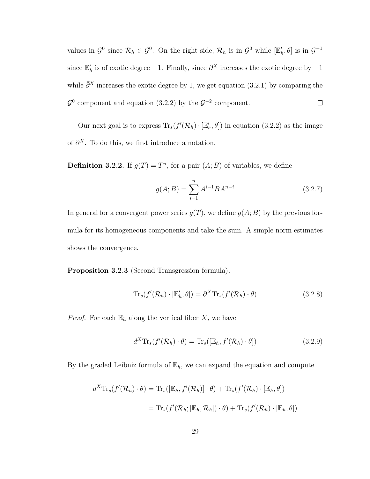values in  $\mathcal{G}^0$  since  $\mathcal{R}_h \in \mathcal{G}^0$ . On the right side,  $\mathcal{R}_h$  is in  $\mathcal{G}^0$  while  $[\mathbb{E}'_h, \theta]$  is in  $\mathcal{G}^{-1}$ since  $\mathbb{E}'_h$  is of exotic degree -1. Finally, since  $\partial^X$  increases the exotic degree by -1 while  $\bar{\partial}^X$  increases the exotic degree by 1, we get equation (3.2.1) by comparing the  $\mathcal{G}^0$  component and equation (3.2.2) by the  $\mathcal{G}^{-2}$  component.  $\Box$ 

Our next goal is to express  $\text{Tr}_s(f'(\mathcal{R}_h) \cdot [\mathbb{E}'_h, \theta])$  in equation (3.2.2) as the image of  $\partial^X$ . To do this, we first introduce a notation.

**Definition 3.2.2.** If  $g(T) = T<sup>n</sup>$ , for a pair  $(A;B)$  of variables, we define

$$
g(A;B) = \sum_{i=1}^{n} A^{i-1} B A^{n-i}
$$
 (3.2.7)

In general for a convergent power series  $q(T)$ , we define  $q(A;B)$  by the previous formula for its homogeneous components and take the sum. A simple norm estimates shows the convergence.

Proposition 3.2.3 (Second Transgression formula).

$$
\mathrm{Tr}_s(f'(\mathcal{R}_h) \cdot [\mathbb{E}'_h, \theta]) = \partial^X \mathrm{Tr}_s(f'(\mathcal{R}_h) \cdot \theta)
$$
\n(3.2.8)

*Proof.* For each  $\mathbb{E}_h$  along the vertical fiber X, we have

$$
d^{X} \text{Tr}_{s}(f'(\mathcal{R}_{h}) \cdot \theta) = \text{Tr}_{s}([\mathbb{E}_{h}, f'(\mathcal{R}_{h}) \cdot \theta])
$$
\n(3.2.9)

By the graded Leibniz formula of  $\mathbb{E}_h$ , we can expand the equation and compute

$$
d^{X} \text{Tr}_{s}(f'(\mathcal{R}_{h}) \cdot \theta) = \text{Tr}_{s}([\mathbb{E}_{h}, f'(\mathcal{R}_{h})] \cdot \theta) + \text{Tr}_{s}(f'(\mathcal{R}_{h}) \cdot [\mathbb{E}_{h}, \theta])
$$
  

$$
= \text{Tr}_{s}(f'(\mathcal{R}_{h}; [\mathbb{E}_{h}, \mathcal{R}_{h}]) \cdot \theta) + \text{Tr}_{s}(f'(\mathcal{R}_{h}) \cdot [\mathbb{E}_{h}, \theta])
$$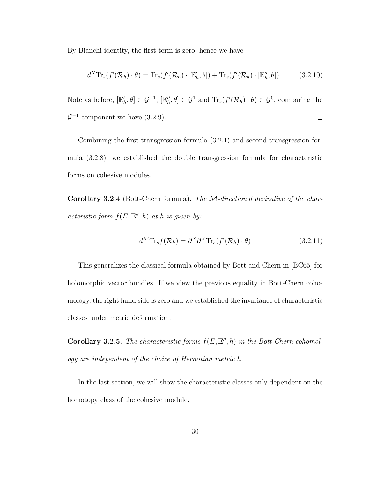By Bianchi identity, the first term is zero, hence we have

$$
d^X \text{Tr}_s(f'(\mathcal{R}_h) \cdot \theta) = \text{Tr}_s(f'(\mathcal{R}_h) \cdot [\mathbb{E}'_h, \theta]) + \text{Tr}_s(f'(\mathcal{R}_h) \cdot [\mathbb{E}''_h, \theta]) \tag{3.2.10}
$$

Note as before,  $[\mathbb{E}'_h, \theta] \in \mathcal{G}^{-1}$ ,  $[\mathbb{E}''_h, \theta] \in \mathcal{G}^1$  and  $\text{Tr}_s(f'(\mathcal{R}_h) \cdot \theta) \in \mathcal{G}^0$ , comparing the  $\mathcal{G}^{-1}$  component we have  $(3.2.9)$ .  $\Box$ 

Combining the first transgression formula (3.2.1) and second transgression formula (3.2.8), we established the double transgression formula for characteristic forms on cohesive modules.

Corollary 3.2.4 (Bott-Chern formula). The M-directional derivative of the characteristic form  $f(E, \mathbb{E}^n, h)$  at h is given by:

$$
d^{\mathcal{M}} \text{Tr}_s f(\mathcal{R}_h) = \partial^X \bar{\partial}^X \text{Tr}_s(f'(\mathcal{R}_h) \cdot \theta)
$$
\n(3.2.11)

This generalizes the classical formula obtained by Bott and Chern in [BC65] for holomorphic vector bundles. If we view the previous equality in Bott-Chern cohomology, the right hand side is zero and we established the invariance of characteristic classes under metric deformation.

**Corollary 3.2.5.** The characteristic forms  $f(E, \mathbb{E}^n, h)$  in the Bott-Chern cohomology are independent of the choice of Hermitian metric h.

In the last section, we will show the characteristic classes only dependent on the homotopy class of the cohesive module.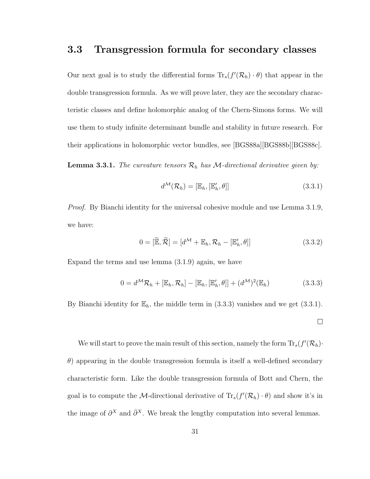#### 3.3 Transgression formula for secondary classes

Our next goal is to study the differential forms  $\text{Tr}_s(f'(\mathcal{R}_h) \cdot \theta)$  that appear in the double transgression formula. As we will prove later, they are the secondary characteristic classes and define holomorphic analog of the Chern-Simons forms. We will use them to study infinite determinant bundle and stability in future research. For their applications in holomorphic vector bundles, see [BGS88a][BGS88b][BGS88c].

**Lemma 3.3.1.** The curvature tensors  $\mathcal{R}_h$  has M-directional derivative given by:

$$
d^{\mathcal{M}}(\mathcal{R}_h) = [\mathbb{E}_h, [\mathbb{E}'_h, \theta]] \tag{3.3.1}
$$

*Proof.* By Bianchi identity for the universal cohesive module and use Lemma 3.1.9, we have:

$$
0 = [\widetilde{\mathbb{E}}, \widetilde{\mathcal{R}}] = [d^{\mathcal{M}} + \mathbb{E}_h, \mathcal{R}_h - [\mathbb{E}'_h, \theta]] \qquad (3.3.2)
$$

Expand the terms and use lemma (3.1.9) again, we have

$$
0 = d^{\mathcal{M}} \mathcal{R}_h + [\mathbb{E}_h, \mathcal{R}_h] - [\mathbb{E}_h, [\mathbb{E}'_h, \theta]] + (d^{\mathcal{M}})^2 (\mathbb{E}_h)
$$
(3.3.3)

By Bianchi identity for  $\mathbb{E}_h$ , the middle term in (3.3.3) vanishes and we get (3.3.1).

 $\Box$ 

We will start to prove the main result of this section, namely the form  $\text{Tr}_s(f'(\mathcal{R}_h))$  $\theta$ ) appearing in the double transgression formula is itself a well-defined secondary characteristic form. Like the double transgression formula of Bott and Chern, the goal is to compute the *M*-directional derivative of  $\text{Tr}_s(f'(\mathcal{R}_h) \cdot \theta)$  and show it's in the image of  $\partial^X$  and  $\bar{\partial}^X$ . We break the lengthy computation into several lemmas.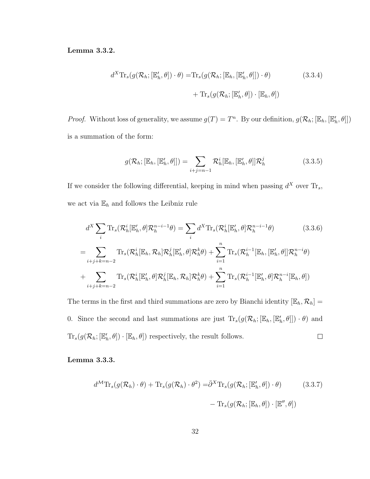Lemma 3.3.2.

$$
d^{X} \text{Tr}_{s}(g(\mathcal{R}_{h};[\mathbb{E}'_{h},\theta]) \cdot \theta) = \text{Tr}_{s}(g(\mathcal{R}_{h};[\mathbb{E}_{h},[\mathbb{E}'_{h},\theta]]) \cdot \theta) \qquad (3.3.4)
$$

$$
+ \text{Tr}_{s}(g(\mathcal{R}_{h};[\mathbb{E}'_{h},\theta]) \cdot [\mathbb{E}_{h},\theta])
$$

*Proof.* Without loss of generality, we assume  $g(T) = T^n$ . By our definition,  $g(\mathcal{R}_h; [\mathbb{E}_h, [\mathbb{E}'_h, \theta]])$ is a summation of the form:

$$
g(\mathcal{R}_h; [\mathbb{E}_h, [\mathbb{E}'_h, \theta]]) = \sum_{i+j=n-1} \mathcal{R}_h^i[\mathbb{E}_h, [\mathbb{E}'_h, \theta]] \mathcal{R}_h^j
$$
(3.3.5)

If we consider the following differential, keeping in mind when passing  $d^X$  over  $\text{Tr}_s$ , we act via  $\mathbb{E}_h$  and follows the Leibniz rule

$$
d^{X} \sum_{i} \text{Tr}_{s}(\mathcal{R}_{h}^{i}|\mathbb{E}_{h}',\theta) \mathcal{R}_{h}^{n-i-1}\theta) = \sum_{i} d^{X} \text{Tr}_{s}(\mathcal{R}_{h}^{i}|\mathbb{E}_{h}',\theta) \mathcal{R}_{h}^{n-i-1}\theta) \qquad (3.3.6)
$$

$$
= \sum_{i+j+k=n-2} \text{Tr}_{s}(\mathcal{R}_{h}^{i}|\mathbb{E}_{h},\mathcal{R}_{h}) \mathcal{R}_{h}^{j}|\mathbb{E}_{h}',\theta] \mathcal{R}_{h}^{k}\theta) + \sum_{i=1}^{n} \text{Tr}_{s}(\mathcal{R}_{h}^{i-1}|\mathbb{E}_{h},[\mathbb{E}_{h}',\theta] \mathcal{R}_{h}^{n-i}\theta)
$$

$$
+ \sum_{i+j+k=n-2} \text{Tr}_{s}(\mathcal{R}_{h}^{i}|\mathbb{E}_{h}',\theta) \mathcal{R}_{h}^{j}|\mathbb{E}_{h},\mathcal{R}_{h}|\mathcal{R}_{h}^{k}\theta) + \sum_{i=1}^{n} \text{Tr}_{s}(\mathcal{R}_{h}^{i-1}|\mathbb{E}_{h}',\theta) \mathcal{R}_{h}^{n-i}|\mathbb{E}_{h},\theta)
$$

The terms in the first and third summations are zero by Bianchi identity  $[\mathbb{E}_h, \mathcal{R}_h] =$ 0. Since the second and last summations are just  $\text{Tr}_s(g(\mathcal{R}_h; [\mathbb{E}_h, [\mathbb{E}'_h, \theta]]) \cdot \theta)$  and  $\text{Tr}_s(g(\mathcal{R}_h; [\mathbb{E}_h', \theta]) \cdot [\mathbb{E}_h, \theta])$  respectively, the result follows.  $\Box$ 

Lemma 3.3.3.

$$
d^{\mathcal{M}} \text{Tr}_{s}(g(\mathcal{R}_{h}) \cdot \theta) + \text{Tr}_{s}(g(\mathcal{R}_{h}) \cdot \theta^{2}) = \bar{\partial}^{X} \text{Tr}_{s}(g(\mathcal{R}_{h}; [\mathbb{E}'_{h}, \theta]) \cdot \theta)
$$
(3.3.7)  

$$
- \text{Tr}_{s}(g(\mathcal{R}_{h}; [\mathbb{E}_{h}, \theta]) \cdot [\mathbb{E}'', \theta])
$$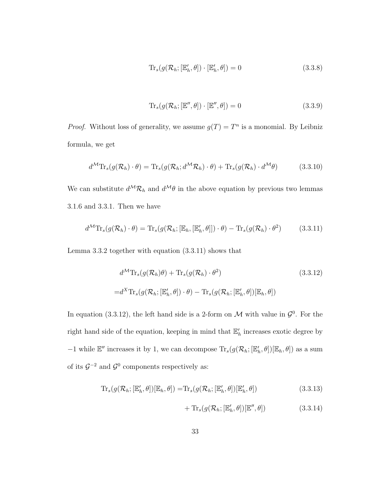$$
\mathrm{Tr}_s(g(\mathcal{R}_h; [\mathbb{E}'_h, \theta]) \cdot [\mathbb{E}'_h, \theta]) = 0 \tag{3.3.8}
$$

$$
\mathrm{Tr}_s(g(\mathcal{R}_h; [\mathbb{E}'', \theta]) \cdot [\mathbb{E}'', \theta]) = 0 \tag{3.3.9}
$$

*Proof.* Without loss of generality, we assume  $g(T) = T^n$  is a monomial. By Leibniz formula, we get

$$
d^{\mathcal{M}} \text{Tr}_{s}(g(\mathcal{R}_{h}) \cdot \theta) = \text{Tr}_{s}(g(\mathcal{R}_{h}; d^{\mathcal{M}} \mathcal{R}_{h}) \cdot \theta) + \text{Tr}_{s}(g(\mathcal{R}_{h}) \cdot d^{\mathcal{M}} \theta)
$$
(3.3.10)

We can substitute  $d^{\mathcal{M}}\mathcal{R}_h$  and  $d^{\mathcal{M}}\theta$  in the above equation by previous two lemmas 3.1.6 and 3.3.1. Then we have

$$
d^{\mathcal{M}} \text{Tr}_{s}(g(\mathcal{R}_{h}) \cdot \theta) = \text{Tr}_{s}(g(\mathcal{R}_{h};[\mathbb{E}_{h},[\mathbb{E}'_{h},\theta]]]) \cdot \theta) - \text{Tr}_{s}(g(\mathcal{R}_{h}) \cdot \theta^{2}) \tag{3.3.11}
$$

Lemma 3.3.2 together with equation (3.3.11) shows that

$$
d^{\mathcal{M}} \text{Tr}_s(g(\mathcal{R}_h)\theta) + \text{Tr}_s(g(\mathcal{R}_h) \cdot \theta^2)
$$
\n
$$
= d^{\mathcal{X}} \text{Tr}_s(g(\mathcal{R}_h; [\mathbb{E}'_h, \theta]) \cdot \theta) - \text{Tr}_s(g(\mathcal{R}_h; [\mathbb{E}'_h, \theta])[\mathbb{E}_h, \theta])
$$
\n(3.3.12)

In equation (3.3.12), the left hand side is a 2-form on  $\mathcal M$  with value in  $\mathcal G^0$ . For the right hand side of the equation, keeping in mind that  $\mathbb{E}'_h$  increases exotic degree by −1 while  $\mathbb{E}''$  increases it by 1, we can decompose  $\text{Tr}_s(g(\mathcal{R}_h; [\mathbb{E}'_h, \theta])[\mathbb{E}_h, \theta])$  as a sum of its  $\mathcal{G}^{-2}$  and  $\mathcal{G}^0$  components respectively as:

$$
\mathrm{Tr}_s(g(\mathcal{R}_h; [\mathbb{E}'_h, \theta])[\mathbb{E}_h, \theta]) = \mathrm{Tr}_s(g(\mathcal{R}_h; [\mathbb{E}'_h, \theta])[\mathbb{E}'_h, \theta])
$$
\n(3.3.13)

+ 
$$
\text{Tr}_s(g(\mathcal{R}_h; [\mathbb{E}'_h, \theta])[\mathbb{E}'', \theta])
$$
 (3.3.14)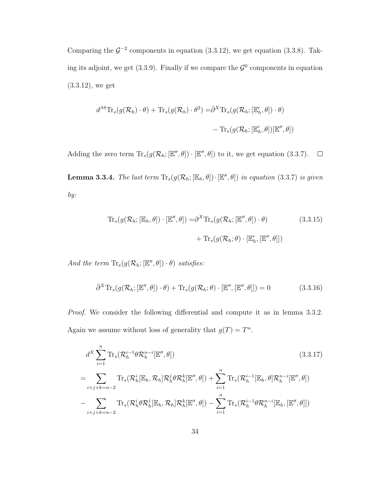Comparing the  $\mathcal{G}^{-2}$  components in equation (3.3.12), we get equation (3.3.8). Taking its adjoint, we get (3.3.9). Finally if we compare the  $\mathcal{G}^0$  components in equation (3.3.12), we get

$$
d^{\mathcal{M}} \text{Tr}_{s}(g(\mathcal{R}_{h}) \cdot \theta) + \text{Tr}_{s}(g(\mathcal{R}_{h}) \cdot \theta^{2}) = \bar{\partial}^{X} \text{Tr}_{s}(g(\mathcal{R}_{h}; [\mathbb{E}'_{h}, \theta]) \cdot \theta)
$$

$$
- \text{Tr}_{s}(g(\mathcal{R}_{h}; [\mathbb{E}'_{h}, \theta])[\mathbb{E}'', \theta])
$$

Adding the zero term  $\text{Tr}_s(g(\mathcal{R}_h; [\mathbb{E}'', \theta]) \cdot [\mathbb{E}'', \theta])$  to it, we get equation (3.3.7).  $\Box$ **Lemma 3.3.4.** The last term  $\text{Tr}_s(g(\mathcal{R}_h; [\mathbb{E}_h, \theta]) \cdot [\mathbb{E}'', \theta])$  in equation (3.3.7) is given by:

$$
\mathrm{Tr}_s(g(\mathcal{R}_h; [\mathbb{E}_h, \theta]) \cdot [\mathbb{E}'', \theta]) = \partial^X \mathrm{Tr}_s(g(\mathcal{R}_h; [\mathbb{E}'', \theta]) \cdot \theta) \tag{3.3.15}
$$

$$
+ \mathrm{Tr}_s(g(\mathcal{R}_h; \theta) \cdot [\mathbb{E}'_h, [\mathbb{E}'', \theta]])
$$

And the term  $\text{Tr}_s(g(\mathcal{R}_h; [\mathbb{E}^{\prime\prime}, \theta]) \cdot \theta)$  satisfies:

$$
\bar{\partial}^{X} \text{Tr}_{s}(g(\mathcal{R}_{h};[\mathbb{E}'',\theta]) \cdot \theta) + \text{Tr}_{s}(g(\mathcal{R}_{h};\theta) \cdot [\mathbb{E}'',[\mathbb{E}'',\theta]]) = 0 \qquad (3.3.16)
$$

Proof. We consider the following differential and compute it as in lemma 3.3.2. Again we assume without loss of generality that  $g(T) = T^n$ .

$$
d^{X} \sum_{i=1}^{n} \text{Tr}_{s}(\mathcal{R}_{h}^{i-1}\theta\mathcal{R}_{h}^{n-i}[\mathbb{E}'',\theta])
$$
\n
$$
= \sum_{i+j+k=n-2} \text{Tr}_{s}(\mathcal{R}_{h}^{i}[\mathbb{E}_{h},\mathcal{R}_{h}]\mathcal{R}_{h}^{j}\theta\mathcal{R}_{h}^{k}[\mathbb{E}'',\theta]) + \sum_{i=1}^{n} \text{Tr}_{s}(\mathcal{R}_{h}^{i-1}[\mathbb{E}_{h},\theta]\mathcal{R}_{h}^{n-i}[\mathbb{E}'',\theta])
$$
\n
$$
- \sum_{i+j+k=n-2} \text{Tr}_{s}(\mathcal{R}_{h}^{i}\theta\mathcal{R}_{h}^{j}[\mathbb{E}_{h},\mathcal{R}_{h}]\mathcal{R}_{h}^{k}[\mathbb{E}'',\theta]) - \sum_{i=1}^{n} \text{Tr}_{s}(\mathcal{R}_{h}^{i-1}\theta\mathcal{R}_{h}^{n-i}[\mathbb{E}_{h},[\mathbb{E}'',\theta]])
$$
\n(3.3.17)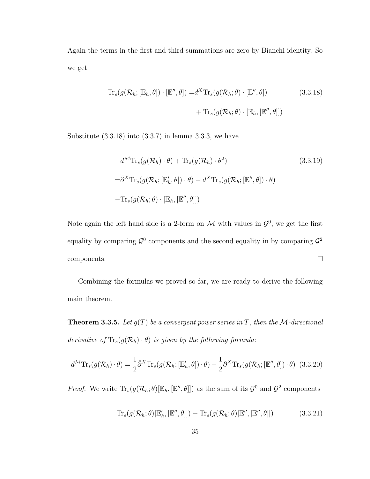Again the terms in the first and third summations are zero by Bianchi identity. So we get

$$
\mathrm{Tr}_s(g(\mathcal{R}_h; [\mathbb{E}_h, \theta]) \cdot [\mathbb{E}'', \theta]) = d^X \mathrm{Tr}_s(g(\mathcal{R}_h; \theta) \cdot [\mathbb{E}'', \theta])
$$
(3.3.18)  
+ 
$$
\mathrm{Tr}_s(g(\mathcal{R}_h; \theta) \cdot [\mathbb{E}_h, [\mathbb{E}'', \theta]])
$$

Substitute  $(3.3.18)$  into  $(3.3.7)$  in lemma 3.3.3, we have

$$
d^{\mathcal{M}} \text{Tr}_s(g(\mathcal{R}_h) \cdot \theta) + \text{Tr}_s(g(\mathcal{R}_h) \cdot \theta^2)
$$
(3.3.19)  

$$
= \bar{\partial}^X \text{Tr}_s(g(\mathcal{R}_h; [\mathbb{E}'_h, \theta]) \cdot \theta) - d^X \text{Tr}_s(g(\mathcal{R}_h; [\mathbb{E}'', \theta]) \cdot \theta)
$$

$$
- \text{Tr}_s(g(\mathcal{R}_h; \theta) \cdot [\mathbb{E}_h, [\mathbb{E}'', \theta]])
$$

Note again the left hand side is a 2-form on M with values in  $\mathcal{G}^0$ , we get the first equality by comparing  $\mathcal{G}^0$  components and the second equality in by comparing  $\mathcal{G}^2$  $\Box$ components.

Combining the formulas we proved so far, we are ready to derive the following main theorem.

**Theorem 3.3.5.** Let  $g(T)$  be a convergent power series in T, then the M-directional derivative of  $\text{Tr}_s(g(\mathcal{R}_h) \cdot \theta)$  is given by the following formula:

$$
d^{\mathcal{M}} \text{Tr}_{s}(g(\mathcal{R}_{h}) \cdot \theta) = \frac{1}{2} \bar{\partial}^{X} \text{Tr}_{s}(g(\mathcal{R}_{h};[\mathbb{E}'_{h}, \theta]) \cdot \theta) - \frac{1}{2} \partial^{X} \text{Tr}_{s}(g(\mathcal{R}_{h};[\mathbb{E}'', \theta]) \cdot \theta)
$$
(3.3.20)

*Proof.* We write  $\text{Tr}_s(g(\mathcal{R}_h; \theta)[\mathbb{E}_h, [\mathbb{E}'', \theta]])$  as the sum of its  $\mathcal{G}^0$  and  $\mathcal{G}^2$  components

$$
\mathrm{Tr}_s(g(\mathcal{R}_h; \theta)[\mathbb{E}'_h, [\mathbb{E}'', \theta]]) + \mathrm{Tr}_s(g(\mathcal{R}_h; \theta)[\mathbb{E}'', [\mathbb{E}'', \theta]]) \tag{3.3.21}
$$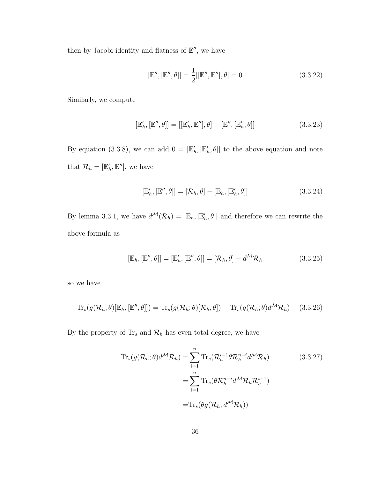then by Jacobi identity and flatness of  $\mathbb{E}^{\prime\prime}$ , we have

$$
[\mathbb{E}'', [\mathbb{E}'', \theta]] = \frac{1}{2} [[\mathbb{E}'', \mathbb{E}''], \theta] = 0
$$
\n(3.3.22)

Similarly, we compute

$$
[\mathbb{E}'_h, [\mathbb{E}'', \theta]] = [[\mathbb{E}'_h, \mathbb{E}''], \theta] - [\mathbb{E}'', [\mathbb{E}'_h, \theta]] \tag{3.3.23}
$$

By equation (3.3.8), we can add  $0 = [\mathbb{E}'_h, [\mathbb{E}'_h, \theta]]$  to the above equation and note that  $\mathcal{R}_h = [\mathbb{E}_h', \mathbb{E}'']$ , we have

$$
[\mathbb{E}'_h, [\mathbb{E}'', \theta]] = [\mathcal{R}_h, \theta] - [\mathbb{E}_h, [\mathbb{E}'_h, \theta]] \qquad (3.3.24)
$$

By lemma 3.3.1, we have  $d^{\mathcal{M}}(\mathcal{R}_h) = [\mathbb{E}_h, [\mathbb{E}'_h, \theta]]$  and therefore we can rewrite the above formula as

$$
[\mathbb{E}_h, [\mathbb{E}'', \theta]] = [\mathbb{E}'_h, [\mathbb{E}'', \theta]] = [\mathcal{R}_h, \theta] - d^{\mathcal{M}} \mathcal{R}_h \tag{3.3.25}
$$

so we have

$$
\mathrm{Tr}_s(g(\mathcal{R}_h; \theta)[\mathbb{E}_h, [\mathbb{E}'', \theta]]) = \mathrm{Tr}_s(g(\mathcal{R}_h; \theta)[\mathcal{R}_h, \theta]) - \mathrm{Tr}_s(g(\mathcal{R}_h; \theta)d^{\mathcal{M}}\mathcal{R}_h)
$$
(3.3.26)

By the property of  $\text{Tr}_s$  and  $\mathcal{R}_h$  has even total degree, we have

$$
\mathrm{Tr}_{s}(g(\mathcal{R}_{h};\theta)d^{\mathcal{M}}\mathcal{R}_{h}) = \sum_{i=1}^{n} \mathrm{Tr}_{s}(\mathcal{R}_{h}^{i-1}\theta\mathcal{R}_{h}^{n-i}d^{\mathcal{M}}\mathcal{R}_{h})
$$
\n
$$
= \sum_{i=1}^{n} \mathrm{Tr}_{s}(\theta\mathcal{R}_{h}^{n-i}d^{\mathcal{M}}\mathcal{R}_{h}\mathcal{R}_{h}^{i-1})
$$
\n
$$
= \mathrm{Tr}_{s}(\theta g(\mathcal{R}_{h};d^{\mathcal{M}}\mathcal{R}_{h}))
$$
\n(3.3.27)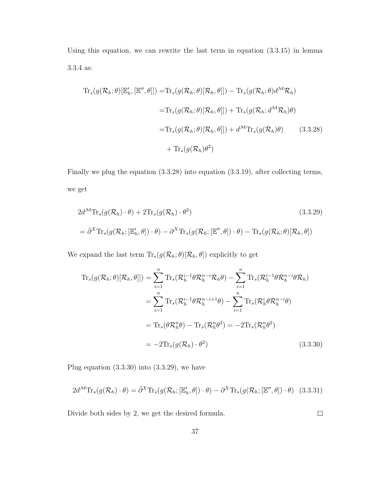Using this equation, we can rewrite the last term in equation (3.3.15) in lemma 3.3.4 as:

$$
\begin{split} \operatorname{Tr}_{s}(g(\mathcal{R}_{h};\theta)[\mathbb{E}'_{h},[\mathbb{E}'',\theta]]) &= \operatorname{Tr}_{s}(g(\mathcal{R}_{h};\theta)[\mathcal{R}_{h},\theta]]) - \operatorname{Tr}_{s}(g(\mathcal{R}_{h};\theta)d^{\mathcal{M}}\mathcal{R}_{h}) \\ &= \operatorname{Tr}_{s}(g(\mathcal{R}_{h};\theta)[\mathcal{R}_{h},\theta]]) + \operatorname{Tr}_{s}(g(\mathcal{R}_{h};d^{\mathcal{M}}\mathcal{R}_{h})\theta) \\ &= \operatorname{Tr}_{s}(g(\mathcal{R}_{h};\theta)[\mathcal{R}_{h},\theta]]) + d^{\mathcal{M}}\operatorname{Tr}_{s}(g(\mathcal{R}_{h})\theta) \end{split} \tag{3.3.28}
$$
\n
$$
+ \operatorname{Tr}_{s}(g(\mathcal{R}_{h})\theta^{2})
$$

Finally we plug the equation (3.3.28) into equation (3.3.19), after collecting terms, we get

$$
2d^{\mathcal{M}} \text{Tr}_s(g(\mathcal{R}_h) \cdot \theta) + 2\text{Tr}_s(g(\mathcal{R}_h) \cdot \theta^2)
$$
(3.3.29)  
=  $\bar{\partial}^X \text{Tr}_s(g(\mathcal{R}_h; [\mathbb{E}'_h, \theta]) \cdot \theta) - \partial^X \text{Tr}_s(g(\mathcal{R}_h; [\mathbb{E}'', \theta]) \cdot \theta) - \text{Tr}_s(g(\mathcal{R}_h; \theta)[\mathcal{R}_h, \theta])$ 

We expand the last term  $\text{Tr}_s(g(\mathcal{R}_h; \theta)[\mathcal{R}_h, \theta])$  explicitly to get

$$
\begin{split} \operatorname{Tr}_{s}(g(\mathcal{R}_{h};\theta)[\mathcal{R}_{h},\theta]]) &= \sum_{i=1}^{n} \operatorname{Tr}_{s}(\mathcal{R}_{h}^{i-1}\theta\mathcal{R}_{h}^{n-i}\mathcal{R}_{h}\theta) - \sum_{i=1}^{n} \operatorname{Tr}_{s}(\mathcal{R}_{h}^{i-1}\theta\mathcal{R}_{h}^{n-i}\theta\mathcal{R}_{h}) \\ &= \sum_{i=1}^{n} \operatorname{Tr}_{s}(\mathcal{R}_{h}^{i-1}\theta\mathcal{R}_{h}^{n-i+1}\theta) - \sum_{i=1}^{n} \operatorname{Tr}_{s}(\mathcal{R}_{h}^{i}\theta\mathcal{R}_{h}^{n-i}\theta) \\ &= \operatorname{Tr}_{s}(\theta\mathcal{R}_{h}^{n}\theta) - \operatorname{Tr}_{s}(\mathcal{R}_{h}^{n}\theta^{2}) = -2\operatorname{Tr}_{s}(\mathcal{R}_{h}^{n}\theta^{2}) \\ &= -2\operatorname{Tr}_{s}(g(\mathcal{R}_{h}) \cdot \theta^{2}) \end{split} \tag{3.3.30}
$$

Plug equation (3.3.30) into (3.3.29), we have

$$
2d^{\mathcal{M}}\mathrm{Tr}_{s}(g(\mathcal{R}_{h})\cdot\theta)=\bar{\partial}^{X}\mathrm{Tr}_{s}(g(\mathcal{R}_{h};[\mathbb{E}'_{h},\theta])\cdot\theta)-\partial^{X}\mathrm{Tr}_{s}(g(\mathcal{R}_{h};[\mathbb{E}'',\theta])\cdot\theta)
$$
(3.3.31)

Divide both sides by 2, we get the desired formula.

 $\Box$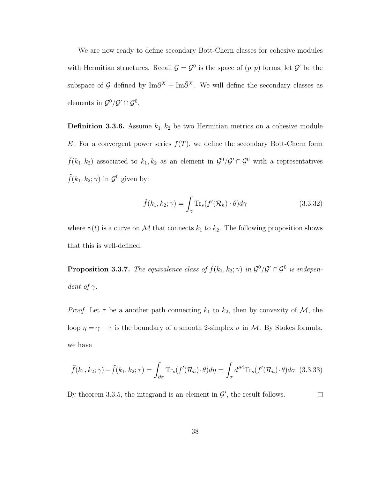We are now ready to define secondary Bott-Chern classes for cohesive modules with Hermitian structures. Recall  $\mathcal{G} = \mathcal{G}^0$  is the space of  $(p, p)$  forms, let  $\mathcal{G}'$  be the subspace of G defined by  $\text{Im}\partial^{X} + \text{Im}\bar{\partial}^{X}$ . We will define the secondary classes as elements in  $\mathcal{G}^0/\mathcal{G}' \cap \mathcal{G}^0$ .

**Definition 3.3.6.** Assume  $k_1, k_2$  be two Hermitian metrics on a cohesive module E. For a convergent power series  $f(T)$ , we define the secondary Bott-Chern form  $\tilde{f}(k_1, k_2)$  associated to  $k_1, k_2$  as an element in  $\mathcal{G}^0/\mathcal{G}' \cap \mathcal{G}^0$  with a representatives  $\tilde{f}(k_1, k_2; \gamma)$  in  $\mathcal{G}^0$  given by:

$$
\tilde{f}(k_1, k_2; \gamma) = \int_{\gamma} \text{Tr}_s(f'(\mathcal{R}_h) \cdot \theta) d\gamma \qquad (3.3.32)
$$

where  $\gamma(t)$  is a curve on M that connects  $k_1$  to  $k_2$ . The following proposition shows that this is well-defined.

**Proposition 3.3.7.** The equivalence class of  $\tilde{f}(k_1, k_2; \gamma)$  in  $\mathcal{G}^0/\mathcal{G}' \cap \mathcal{G}^0$  is independent of  $\gamma$ .

*Proof.* Let  $\tau$  be a another path connecting  $k_1$  to  $k_2$ , then by convexity of  $\mathcal{M}$ , the loop  $\eta = \gamma - \tau$  is the boundary of a smooth 2-simplex  $\sigma$  in M. By Stokes formula, we have

$$
\tilde{f}(k_1, k_2; \gamma) - \tilde{f}(k_1, k_2; \tau) = \int_{\partial \sigma} \text{Tr}_s(f'(\mathcal{R}_h) \cdot \theta) d\eta = \int_{\sigma} d^{\mathcal{M}} \text{Tr}_s(f'(\mathcal{R}_h) \cdot \theta) d\sigma \tag{3.3.33}
$$

By theorem 3.3.5, the integrand is an element in  $\mathcal{G}'$ , the result follows.  $\Box$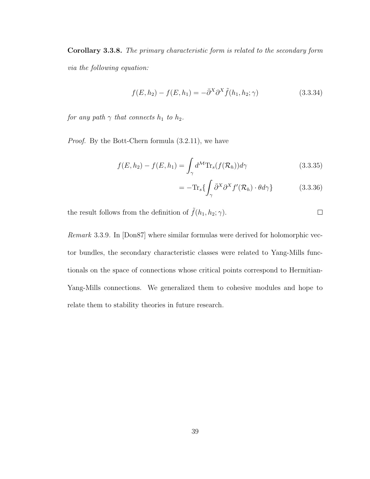Corollary 3.3.8. The primary characteristic form is related to the secondary form via the following equation:

$$
f(E, h_2) - f(E, h_1) = -\bar{\partial}^X \partial^X \tilde{f}(h_1, h_2; \gamma)
$$
\n(3.3.34)

for any path  $\gamma$  that connects  $h_1$  to  $h_2$ .

Proof. By the Bott-Chern formula (3.2.11), we have

$$
f(E, h_2) - f(E, h_1) = \int_{\gamma} d^{\mathcal{M}} \text{Tr}_s(f(\mathcal{R}_h)) d\gamma \qquad (3.3.35)
$$

$$
= -\text{Tr}_s \{ \int_{\gamma} \bar{\partial}^X \partial^X f'(\mathcal{R}_h) \cdot \theta d\gamma \} \tag{3.3.36}
$$

the result follows from the definition of  $\tilde{f}(h_1, h_2; \gamma)$ .

Remark 3.3.9. In [Don87] where similar formulas were derived for holomorphic vector bundles, the secondary characteristic classes were related to Yang-Mills functionals on the space of connections whose critical points correspond to Hermitian-Yang-Mills connections. We generalized them to cohesive modules and hope to relate them to stability theories in future research.

 $\Box$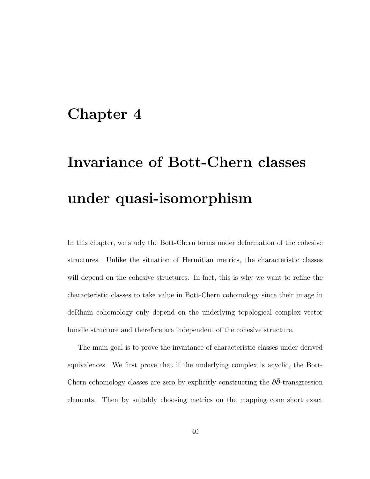## Chapter 4

# Invariance of Bott-Chern classes under quasi-isomorphism

In this chapter, we study the Bott-Chern forms under deformation of the cohesive structures. Unlike the situation of Hermitian metrics, the characteristic classes will depend on the cohesive structures. In fact, this is why we want to refine the characteristic classes to take value in Bott-Chern cohomology since their image in deRham cohomology only depend on the underlying topological complex vector bundle structure and therefore are independent of the cohesive structure.

The main goal is to prove the invariance of characteristic classes under derived equivalences. We first prove that if the underlying complex is acyclic, the Bott-Chern cohomology classes are zero by explicitly constructing the  $\partial\bar{\partial}$ -transgression elements. Then by suitably choosing metrics on the mapping cone short exact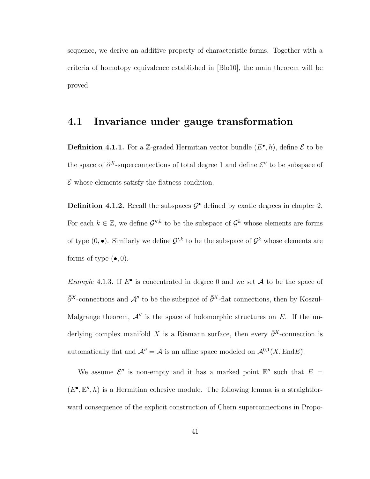sequence, we derive an additive property of characteristic forms. Together with a criteria of homotopy equivalence established in [Blo10], the main theorem will be proved.

#### 4.1 Invariance under gauge transformation

**Definition 4.1.1.** For a Z-graded Hermitian vector bundle  $(E^{\bullet}, h)$ , define  $\mathcal{E}$  to be the space of  $\bar{\partial}^X$ -superconnections of total degree 1 and define  $\mathcal{E}''$  to be subspace of  $\mathcal E$  whose elements satisfy the flatness condition.

**Definition 4.1.2.** Recall the subspaces  $\mathcal{G}^{\bullet}$  defined by exotic degrees in chapter 2. For each  $k \in \mathbb{Z}$ , we define  $\mathcal{G}^{\prime\prime,k}$  to be the subspace of  $\mathcal{G}^k$  whose elements are forms of type  $(0, \bullet)$ . Similarly we define  $\mathcal{G}'^{k}$  to be the subspace of  $\mathcal{G}^{k}$  whose elements are forms of type  $(\bullet, 0)$ .

Example 4.1.3. If  $E^{\bullet}$  is concentrated in degree 0 and we set A to be the space of  $\bar{\partial}^X$ -connections and  $\mathcal{A}''$  to be the subspace of  $\bar{\partial}^X$ -flat connections, then by Koszul-Malgrange theorem,  $\mathcal{A}^{\prime\prime}$  is the space of holomorphic structures on E. If the underlying complex manifold X is a Riemann surface, then every  $\bar{\partial}^X$ -connection is automatically flat and  $\mathcal{A}'' = \mathcal{A}$  is an affine space modeled on  $\mathcal{A}^{0,1}(X,\text{End}E)$ .

We assume  $\mathcal{E}''$  is non-empty and it has a marked point  $\mathbb{E}''$  such that  $E =$  $(E^{\bullet}, \mathbb{E}'', h)$  is a Hermitian cohesive module. The following lemma is a straightforward consequence of the explicit construction of Chern superconnections in Propo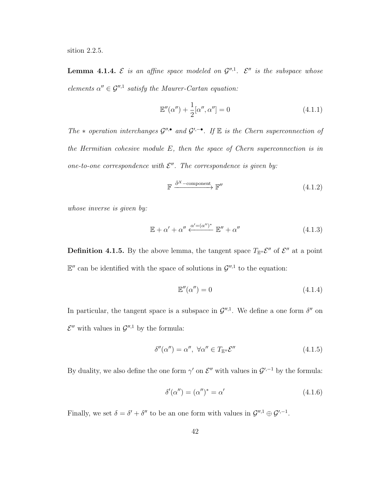sition 2.2.5.

**Lemma 4.1.4.**  $\mathcal{E}$  is an affine space modeled on  $\mathcal{G}^{",1}$ .  $\mathcal{E}^{"}$  is the subspace whose elements  $\alpha'' \in \mathcal{G}''$ , satisfy the Maurer-Cartan equation:

$$
\mathbb{E}''(\alpha'') + \frac{1}{2} [\alpha'', \alpha''] = 0 \tag{4.1.1}
$$

The  $*$  operation interchanges  $\mathcal{G}''$ ,• and  $\mathcal{G}'$ ,  $\bullet$ . If  $\mathbb E$  is the Chern superconnection of the Hermitian cohesive module E, then the space of Chern superconnection is in one-to-one correspondence with  $\mathcal{E}''$ . The correspondence is given by:

$$
\mathbb{F} \xrightarrow{\bar{\partial}^X - \text{component}} \mathbb{F}'' \tag{4.1.2}
$$

whose inverse is given by:

$$
\mathbb{E} + \alpha' + \alpha'' \xleftarrow{\alpha' = (\alpha'')^*} \mathbb{E}'' + \alpha''
$$
\n(4.1.3)

**Definition 4.1.5.** By the above lemma, the tangent space  $T_{\mathbb{E}''} \mathcal{E}''$  of  $\mathcal{E}''$  at a point  $\mathbb{E}''$  can be identified with the space of solutions in  $\mathcal{G}''$ , to the equation:

$$
\mathbb{E}''(\alpha'') = 0\tag{4.1.4}
$$

In particular, the tangent space is a subspace in  $\mathcal{G}''$ . We define a one form  $\delta''$  on  $\mathcal{E}''$  with values in  $\mathcal{G}''$ , by the formula:

$$
\delta''(\alpha'') = \alpha'', \ \forall \alpha'' \in T_{\mathbb{E}''} \mathcal{E}'' \tag{4.1.5}
$$

By duality, we also define the one form  $\gamma'$  on  $\mathcal{E}''$  with values in  $\mathcal{G}'^{,-1}$  by the formula:

$$
\delta'(\alpha'') = (\alpha'')^* = \alpha' \tag{4.1.6}
$$

Finally, we set  $\delta = \delta' + \delta''$  to be an one form with values in  $\mathcal{G}''$ ,  $\theta \in \mathcal{G}'$ ,  $\delta$ -1.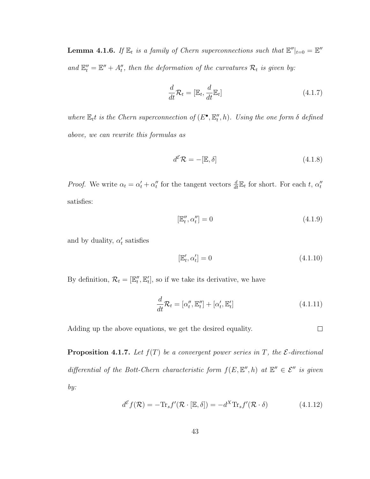**Lemma 4.1.6.** If  $\mathbb{E}_t$  is a family of Chern superconnections such that  $\mathbb{E}''|_{t=0} = \mathbb{E}''$ and  $\mathbb{E}_{t}'' = \mathbb{E}'' + A_{t}''$ , then the deformation of the curvatures  $\mathcal{R}_t$  is given by:

$$
\frac{d}{dt}\mathcal{R}_t = [\mathbb{E}_t, \frac{d}{dt}\mathbb{E}_t]
$$
\n(4.1.7)

where  $\mathbb{E}_t t$  is the Chern superconnection of  $(E^{\bullet}, \mathbb{E}_t'', h)$ . Using the one form  $\delta$  defined above, we can rewrite this formulas as

$$
d^{\mathcal{E}}\mathcal{R} = -[\mathbb{E}, \delta] \tag{4.1.8}
$$

*Proof.* We write  $\alpha_t = \alpha'_t + \alpha''_t$  for the tangent vectors  $\frac{d}{dt} \mathbb{E}_t$  for short. For each t,  $\alpha''_t$ satisfies:

$$
[\mathbb{E}_t'', \alpha_t''] = 0 \tag{4.1.9}
$$

and by duality,  $\alpha'_t$  satisfies

$$
[\mathbb{E}'_t, \alpha'_t] = 0 \tag{4.1.10}
$$

By definition,  $\mathcal{R}_t = [\mathbb{E}_t'', \mathbb{E}_t'],$  so if we take its derivative, we have

$$
\frac{d}{dt}\mathcal{R}_t = [\alpha_t'', \mathbb{E}_t''] + [\alpha_t', \mathbb{E}_t'] \tag{4.1.11}
$$

Adding up the above equations, we get the desired equality.

 $\Box$ 

**Proposition 4.1.7.** Let  $f(T)$  be a convergent power series in T, the  $\mathcal{E}\text{-directional}$ differential of the Bott-Chern characteristic form  $f(E, E'', h)$  at  $E'' \in \mathcal{E}''$  is given by:

$$
d^{\mathcal{E}}f(\mathcal{R}) = -\text{Tr}_s f'(\mathcal{R} \cdot [\mathbb{E}, \delta]) = -d^X \text{Tr}_s f'(\mathcal{R} \cdot \delta)
$$
(4.1.12)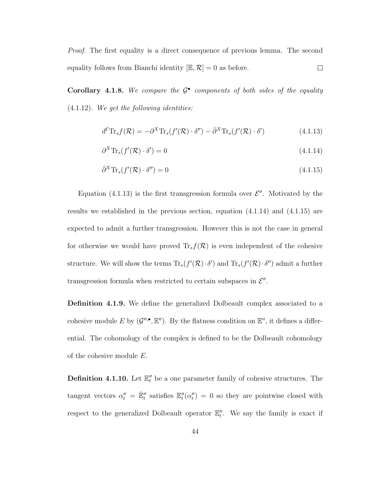Proof. The first equality is a direct consequence of previous lemma. The second equality follows from Bianchi identity  $[\mathbb{E}, \mathcal{R}] = 0$  as before.  $\Box$ 

Corollary 4.1.8. We compare the  $\mathcal{G}^{\bullet}$  components of both sides of the equality  $(4.1.12)$ . We get the following identities:

$$
d^{\mathcal{E}} \text{Tr}_s f(\mathcal{R}) = -\partial^X \text{Tr}_s(f'(\mathcal{R}) \cdot \delta'') - \bar{\partial}^X \text{Tr}_s(f'(\mathcal{R}) \cdot \delta') \tag{4.1.13}
$$

$$
\partial^X \text{Tr}_s(f'(\mathcal{R}) \cdot \delta') = 0 \tag{4.1.14}
$$

$$
\bar{\partial}^X \text{Tr}_s(f'(\mathcal{R}) \cdot \delta'') = 0 \tag{4.1.15}
$$

Equation (4.1.13) is the first transgression formula over  $\mathcal{E}''$ . Motivated by the results we established in the previous section, equation  $(4.1.14)$  and  $(4.1.15)$  are expected to admit a further transgression. However this is not the case in general for otherwise we would have proved  $\text{Tr}_s f(\mathcal{R})$  is even independent of the cohesive structure. We will show the terms  $\text{Tr}_s(f'(\mathcal{R}) \cdot \delta')$  and  $\text{Tr}_s(f'(\mathcal{R}) \cdot \delta'')$  admit a further transgression formula when restricted to certain subspaces in  $\mathcal{E}''$ .

Definition 4.1.9. We define the generalized Dolbeault complex associated to a cohesive module E by  $(\mathcal{G}^{\prime\prime,\bullet}, \mathbb{E}^{\prime\prime})$ . By the flatness condition on  $\mathbb{E}^{\prime\prime}$ , it defines a differential. The cohomology of the complex is defined to be the Dolbeault cohomology of the cohesive module E.

**Definition 4.1.10.** Let  $\mathbb{E}_t''$  be a one parameter family of cohesive structures. The tangent vectors  $\alpha''_t = \dot{\mathbb{E}}''_t$  satisfies  $\mathbb{E}''_t(\alpha''_t) = 0$  so they are pointwise closed with respect to the generalized Dolbeault operator  $\mathbb{E}''_t$ . We say the family is exact if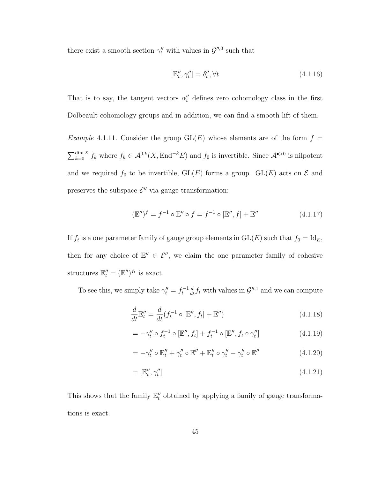there exist a smooth section  $\gamma_t''$  with values in  $\mathcal{G}^{\prime\prime,0}$  such that

$$
[\mathbb{E}_t'', \gamma_t''] = \delta_t'', \forall t \tag{4.1.16}
$$

That is to say, the tangent vectors  $\alpha''_t$  defines zero cohomology class in the first Dolbeault cohomology groups and in addition, we can find a smooth lift of them.

*Example* 4.1.11. Consider the group  $GL(E)$  whose elements are of the form  $f =$  $\sum_{k=0}^{\dim X} f_k$  where  $f_k \in \mathcal{A}^{0,k}(X, \text{End}^{-k}E)$  and  $f_0$  is invertible. Since  $\mathcal{A}^{\bullet>0}$  is nilpotent and we required  $f_0$  to be invertible,  $GL(E)$  forms a group.  $GL(E)$  acts on  $\mathcal E$  and preserves the subspace  $\mathcal{E}''$  via gauge transformation:

$$
(\mathbb{E}'')^f = f^{-1} \circ \mathbb{E}'' \circ f = f^{-1} \circ [\mathbb{E}'', f] + \mathbb{E}'' \tag{4.1.17}
$$

If  $f_t$  is a one parameter family of gauge group elements in  $GL(E)$  such that  $f_0 = Id_E$ , then for any choice of  $\mathbb{E}'' \in \mathcal{E}''$ , we claim the one parameter family of cohesive structures  $\mathbb{E}_{t}'' = (\mathbb{E}'')^{f_t}$  is exact.

To see this, we simply take  $\gamma''_t = f_t^{-1} \frac{d}{dt} f_t$  with values in  $\mathcal{G}''$ , and we can compute

$$
\frac{d}{dt}\mathbb{E}_t'' = \frac{d}{dt}(f_t^{-1} \circ [\mathbb{E}'', f_t] + \mathbb{E}'')
$$
\n(4.1.18)

$$
= -\gamma_t'' \circ f_t^{-1} \circ [\mathbb{E}'', f_t] + f_t^{-1} \circ [\mathbb{E}'', f_t \circ \gamma_t''] \tag{4.1.19}
$$

$$
= -\gamma_t'' \circ \mathbb{E}_t'' + \gamma_t'' \circ \mathbb{E}'' + \mathbb{E}_t'' \circ \gamma_t'' - \gamma_t'' \circ \mathbb{E}'' \tag{4.1.20}
$$

$$
= [\mathbb{E}_t'', \gamma_t''] \tag{4.1.21}
$$

This shows that the family  $\mathbb{E}''_t$  obtained by applying a family of gauge transformations is exact.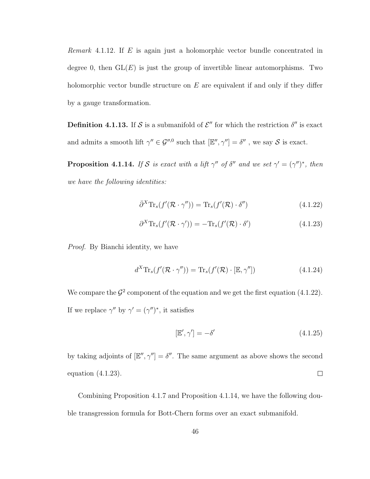Remark 4.1.12. If  $E$  is again just a holomorphic vector bundle concentrated in degree 0, then  $GL(E)$  is just the group of invertible linear automorphisms. Two holomorphic vector bundle structure on  $E$  are equivalent if and only if they differ by a gauge transformation.

**Definition 4.1.13.** If S is a submanifold of  $\mathcal{E}''$  for which the restriction  $\delta''$  is exact and admits a smooth lift  $\gamma'' \in \mathcal{G}''^{,0}$  such that  $[\mathbb{E}'', \gamma''] = \delta''$ , we say S is exact.

**Proposition 4.1.14.** If S is exact with a lift  $\gamma''$  of  $\delta''$  and we set  $\gamma' = (\gamma'')^*$ , then we have the following identities:

$$
\bar{\partial}^X \text{Tr}_s(f'(\mathcal{R} \cdot \gamma'')) = \text{Tr}_s(f'(\mathcal{R}) \cdot \delta'')
$$
\n(4.1.22)

$$
\partial^X \text{Tr}_s(f'(\mathcal{R} \cdot \gamma')) = -\text{Tr}_s(f'(\mathcal{R}) \cdot \delta')
$$
\n(4.1.23)

Proof. By Bianchi identity, we have

$$
d^X \text{Tr}_s(f'(\mathcal{R} \cdot \gamma'')) = \text{Tr}_s(f'(\mathcal{R}) \cdot [\mathbb{E}, \gamma''])
$$
\n(4.1.24)

We compare the  $\mathcal{G}^2$  component of the equation and we get the first equation (4.1.22). If we replace  $\gamma''$  by  $\gamma' = (\gamma'')^*$ , it satisfies

$$
[\mathbb{E}', \gamma'] = -\delta' \tag{4.1.25}
$$

by taking adjoints of  $[\mathbb{E}'', \gamma''] = \delta''$ . The same argument as above shows the second  $\Box$ equation (4.1.23).

Combining Proposition 4.1.7 and Proposition 4.1.14, we have the following double transgression formula for Bott-Chern forms over an exact submanifold.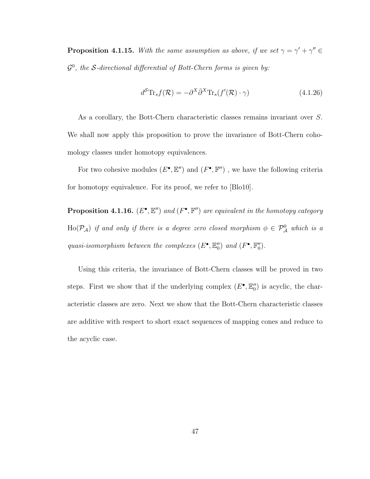**Proposition 4.1.15.** With the same assumption as above, if we set  $\gamma = \gamma' + \gamma'' \in$  $\mathcal{G}^0$ , the S-directional differential of Bott-Chern forms is given by:

$$
d^{\mathcal{S}} \text{Tr}_{s} f(\mathcal{R}) = -\partial^{X} \bar{\partial}^{X} \text{Tr}_{s} (f'(\mathcal{R}) \cdot \gamma) \tag{4.1.26}
$$

As a corollary, the Bott-Chern characteristic classes remains invariant over S. We shall now apply this proposition to prove the invariance of Bott-Chern cohomology classes under homotopy equivalences.

For two cohesive modules  $(E^{\bullet}, \mathbb{E}^{\prime\prime})$  and  $(F^{\bullet}, \mathbb{F}^{\prime\prime})$ , we have the following criteria for homotopy equivalence. For its proof, we refer to [Blo10].

**Proposition 4.1.16.**  $(E^{\bullet}, \mathbb{E}^{\prime\prime})$  and  $(F^{\bullet}, \mathbb{F}^{\prime\prime})$  are equivalent in the homotopy category  $\text{Ho}(\mathcal{P}_\mathcal{A})$  if and only if there is a degree zero closed morphism  $\phi \in \mathcal{P}_\mathcal{A}^0$  which is a quasi-isomorphism between the complexes  $(E^{\bullet}, \mathbb{E}_0'')$  and  $(F^{\bullet}, \mathbb{F}_0'')$ .

Using this criteria, the invariance of Bott-Chern classes will be proved in two steps. First we show that if the underlying complex  $(E^{\bullet}, \mathbb{E}''_0)$  is acyclic, the characteristic classes are zero. Next we show that the Bott-Chern characteristic classes are additive with respect to short exact sequences of mapping cones and reduce to the acyclic case.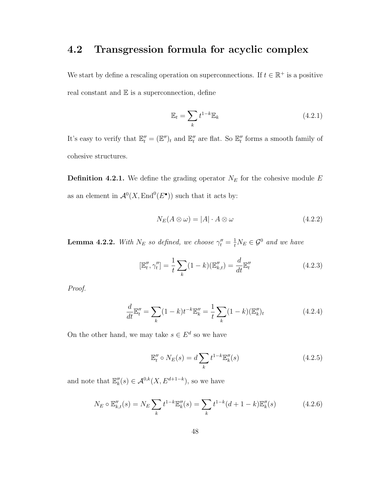## 4.2 Transgression formula for acyclic complex

We start by define a rescaling operation on superconnections. If  $t \in \mathbb{R}^+$  is a positive real constant and  $E$  is a superconnection, define

$$
\mathbb{E}_t = \sum_k t^{1-k} \mathbb{E}_k \tag{4.2.1}
$$

It's easy to verify that  $\mathbb{E}_{t}'' = (\mathbb{E}'')_{t}$  and  $\mathbb{E}_{t}''$  are flat. So  $\mathbb{E}_{t}''$  forms a smooth family of cohesive structures.

**Definition 4.2.1.** We define the grading operator  $N_E$  for the cohesive module  $E$ as an element in  $\mathcal{A}^0(X, \text{End}^0(E^{\bullet}))$  such that it acts by:

$$
N_E(A \otimes \omega) = |A| \cdot A \otimes \omega \tag{4.2.2}
$$

**Lemma 4.2.2.** With  $N_E$  so defined, we choose  $\gamma_t'' = \frac{1}{t} N_E \in \mathcal{G}^0$  and we have

$$
[\mathbb{E}_t'', \gamma_t''] = \frac{1}{t} \sum_k (1 - k)(\mathbb{E}_{k,t}'') = \frac{d}{dt} \mathbb{E}_t''
$$
\n(4.2.3)

Proof.

$$
\frac{d}{dt}\mathbb{E}_t'' = \sum_k (1-k)t^{-k}\mathbb{E}_k'' = \frac{1}{t}\sum_k (1-k)(\mathbb{E}_k'')_t
$$
\n(4.2.4)

On the other hand, we may take  $s \in E^d$  so we have

$$
\mathbb{E}_t'' \circ N_E(s) = d \sum_k t^{1-k} \mathbb{E}_k''(s)
$$
\n(4.2.5)

and note that  $\mathbb{E}_{k}''(s) \in \mathcal{A}^{0,k}(X, E^{d+1-k}),$  so we have

$$
N_E \circ \mathbb{E}_{k,t}''(s) = N_E \sum_k t^{1-k} \mathbb{E}_k''(s) = \sum_k t^{1-k} (d+1-k) \mathbb{E}_k''(s)
$$
(4.2.6)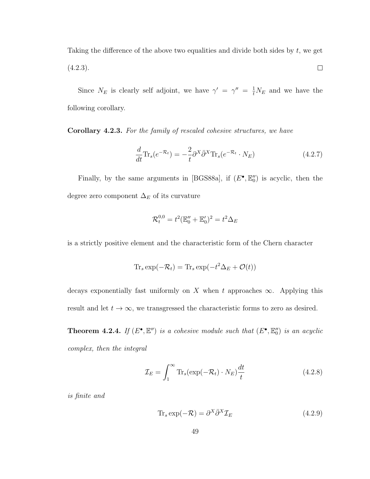Taking the difference of the above two equalities and divide both sides by  $t$ , we get  $\Box$  $(4.2.3).$ 

Since  $N_E$  is clearly self adjoint, we have  $\gamma' = \gamma'' = \frac{1}{t} N_E$  and we have the following corollary.

Corollary 4.2.3. For the family of rescaled cohesive structures, we have

$$
\frac{d}{dt}\text{Tr}_s(e^{-\mathcal{R}_t}) = -\frac{2}{t}\partial^X \bar{\partial}^X \text{Tr}_s(e^{-\mathcal{R}_t} \cdot N_E)
$$
\n(4.2.7)

Finally, by the same arguments in [BGS88a], if  $(E^{\bullet}, \mathbb{E}^{\prime\prime}_0)$  is acyclic, then the degree zero component $\Delta_E$  of its curvature

$$
\mathcal{R}_t^{0,0} = t^2 (\mathbb{E}_0'' + \mathbb{E}_0')^2 = t^2 \Delta_E
$$

is a strictly positive element and the characteristic form of the Chern character

$$
\text{Tr}_s \exp(-\mathcal{R}_t) = \text{Tr}_s \exp(-t^2 \Delta_E + \mathcal{O}(t))
$$

decays exponentially fast uniformly on X when t approaches  $\infty$ . Applying this result and let  $t \to \infty$ , we transgressed the characteristic forms to zero as desired.

**Theorem 4.2.4.** If  $(E^{\bullet}, \mathbb{E}^{\prime\prime})$  is a cohesive module such that  $(E^{\bullet}, \mathbb{E}^{\prime\prime})$  is an acyclic complex, then the integral

$$
\mathcal{I}_E = \int_1^\infty \text{Tr}_s(\exp(-\mathcal{R}_t) \cdot N_E) \frac{dt}{t} \tag{4.2.8}
$$

is finite and

$$
\text{Tr}_s \exp(-\mathcal{R}) = \partial^X \bar{\partial}^X \mathcal{I}_E \tag{4.2.9}
$$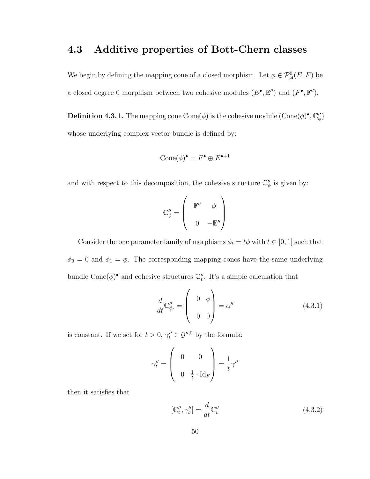## 4.3 Additive properties of Bott-Chern classes

We begin by defining the mapping cone of a closed morphism. Let  $\phi \in \mathcal{P}_{\mathcal{A}}^0(E,F)$  be a closed degree 0 morphism between two cohesive modules  $(E^{\bullet}, \mathbb{E}^{\prime\prime})$  and  $(F^{\bullet}, \mathbb{F}^{\prime\prime})$ .

**Definition 4.3.1.** The mapping cone Cone( $\phi$ ) is the cohesive module  $(\text{Cone}(\phi)^{\bullet}, \mathbb{C}_{\phi}^{"})$ whose underlying complex vector bundle is defined by:

$$
\operatorname{Cone}(\phi)^\bullet = F^\bullet \oplus E^{\bullet+1}
$$

and with respect to this decomposition, the cohesive structure  $\mathbb{C}_{\phi}^{"}$  is given by:

$$
\mathbb{C}_{\phi}'' = \left(\begin{array}{cc} \mathbb{F}'' & \phi \\ & \\ 0 & -\mathbb{E}'' \end{array}\right)
$$

Consider the one parameter family of morphisms  $\phi_t = t\phi$  with  $t\in [0,1]$  such that  $\phi_0 = 0$  and  $\phi_1 = \phi$ . The corresponding mapping cones have the same underlying bundle Cone $(\phi)$ <sup>•</sup> and cohesive structures  $\mathbb{C}''_t$ . It's a simple calculation that

$$
\frac{d}{dt}\mathbb{C}_{\phi_t}'' = \begin{pmatrix} 0 & \phi \\ 0 & 0 \end{pmatrix} = \alpha'' \tag{4.3.1}
$$

is constant. If we set for  $t > 0$ ,  $\gamma_t'' \in \mathcal{G}''$ , by the formula:

$$
\gamma_t'' = \begin{pmatrix} 0 & 0 \\ 0 & \frac{1}{t} \cdot \text{Id}_F \end{pmatrix} = \frac{1}{t} \gamma''
$$

then it satisfies that

$$
[\mathbb{C}_t'', \gamma_t''] = \frac{d}{dt} \mathbb{C}_t'' \tag{4.3.2}
$$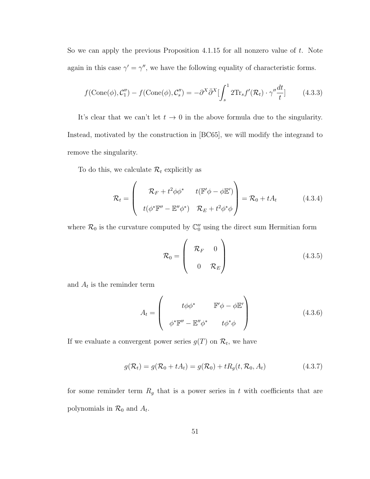So we can apply the previous Proposition 4.1.15 for all nonzero value of  $t$ . Note again in this case  $\gamma' = \gamma''$ , we have the following equality of characteristic forms.

$$
f(\text{Cone}(\phi), \mathcal{C}_1'') - f(\text{Cone}(\phi), \mathcal{C}_s'') = -\partial^X \bar{\partial}^X \left[ \int_s^1 2 \text{Tr}_s f'(\mathcal{R}_t) \cdot \gamma'' \frac{dt}{t} \right]
$$
(4.3.3)

It's clear that we can't let  $t \to 0$  in the above formula due to the singularity. Instead, motivated by the construction in [BC65], we will modify the integrand to remove the singularity.

To do this, we calculate  $\mathcal{R}_t$  explicitly as

$$
\mathcal{R}_t = \begin{pmatrix} \mathcal{R}_F + t^2 \phi \phi^* & t(\mathbb{F}' \phi - \phi \mathbb{E}') \\ t(\phi^* \mathbb{F}'' - \mathbb{E}'' \phi^*) & \mathcal{R}_E + t^2 \phi^* \phi \end{pmatrix} = \mathcal{R}_0 + tA_t \quad (4.3.4)
$$

where  $\mathcal{R}_0$  is the curvature computed by  $\mathbb{C}''_0$  using the direct sum Hermitian form

$$
\mathcal{R}_0 = \begin{pmatrix} \mathcal{R}_F & 0 \\ 0 & \mathcal{R}_E \end{pmatrix}
$$
 (4.3.5)

and  $A_t$  is the reminder term

$$
A_{t} = \begin{pmatrix} t\phi\phi^{*} & \mathbb{F}'\phi - \phi\mathbb{E}' \\ \phi^{*}\mathbb{F}'' - \mathbb{E}''\phi^{*} & t\phi^{*}\phi \end{pmatrix}
$$
 (4.3.6)

If we evaluate a convergent power series  $g(T)$  on  $\mathcal{R}_t$ , we have

$$
g(\mathcal{R}_t) = g(\mathcal{R}_0 + tA_t) = g(\mathcal{R}_0) + tR_g(t, \mathcal{R}_0, A_t)
$$
\n(4.3.7)

for some reminder term  $R_g$  that is a power series in t with coefficients that are polynomials in  $\mathcal{R}_0$  and  $A_t$ .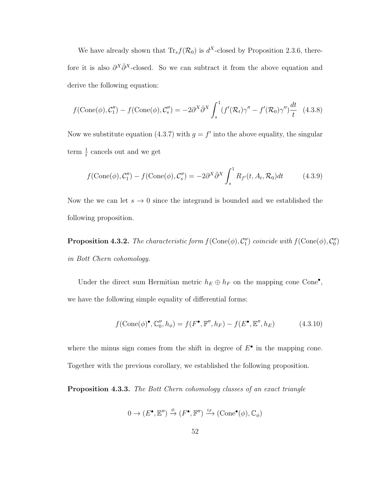We have already shown that  $\text{Tr}_s f(\mathcal{R}_0)$  is  $d^X$ -closed by Proposition 2.3.6, therefore it is also  $\partial^X \bar{\partial}^X$ -closed. So we can subtract it from the above equation and derive the following equation:

$$
f(\text{Cone}(\phi), \mathcal{C}_1'') - f(\text{Cone}(\phi), \mathcal{C}_s'') = -2\partial^X \bar{\partial}^X \int_s^1 (f'(\mathcal{R}_t)\gamma'' - f'(\mathcal{R}_0)\gamma'') \frac{dt}{t} \tag{4.3.8}
$$

Now we substitute equation (4.3.7) with  $g = f'$  into the above equality, the singular term  $\frac{1}{t}$  cancels out and we get

$$
f(\text{Cone}(\phi), \mathcal{C}_1'') - f(\text{Cone}(\phi), \mathcal{C}_s'') = -2\partial^X \bar{\partial}^X \int_s^1 R_{f'}(t, A_t, \mathcal{R}_0) dt \qquad (4.3.9)
$$

Now the we can let  $s \to 0$  since the integrand is bounded and we established the following proposition.

**Proposition 4.3.2.** The characteristic form  $f(\text{Cone}(\phi), C_1'')$  coincide with  $f(\text{Cone}(\phi), C_0'')$ in Bott Chern cohomology.

Under the direct sum Hermitian metric  $h_E \oplus h_F$  on the mapping cone Cone<sup>•</sup>, we have the following simple equality of differential forms:

$$
f(\text{Cone}(\phi)^{\bullet}, \mathbb{C}''_0, h_{\phi}) = f(F^{\bullet}, \mathbb{F}'', h_F) - f(E^{\bullet}, \mathbb{E}'', h_E)
$$
(4.3.10)

where the minus sign comes from the shift in degree of  $E^{\bullet}$  in the mapping cone. Together with the previous corollary, we established the following proposition.

Proposition 4.3.3. The Bott Chern cohomology classes of an exact triangle

$$
0 \to (E^{\bullet}, \mathbb{E}'') \xrightarrow{\phi} (F^{\bullet}, \mathbb{F}'') \xrightarrow{i_F} (\text{Cone}^{\bullet}(\phi), \mathbb{C}_{\phi})
$$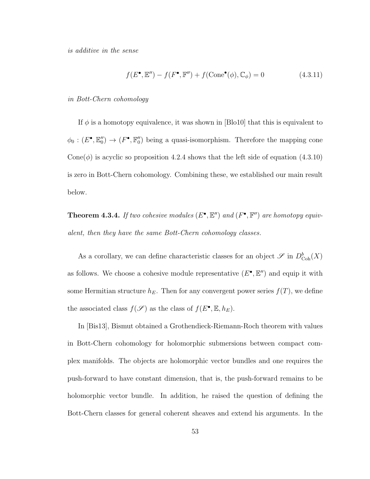is additive in the sense

$$
f(E^{\bullet}, \mathbb{E}'') - f(F^{\bullet}, \mathbb{F}'') + f(\text{Cone}^{\bullet}(\phi), \mathbb{C}_{\phi}) = 0 \qquad (4.3.11)
$$

in Bott-Chern cohomology

If  $\phi$  is a homotopy equivalence, it was shown in [Blo10] that this is equivalent to  $\phi_0: (E^{\bullet}, \mathbb{E}_0'') \to (F^{\bullet}, \mathbb{F}_0'')$  being a quasi-isomorphism. Therefore the mapping cone Cone( $\phi$ ) is acyclic so proposition 4.2.4 shows that the left side of equation (4.3.10) is zero in Bott-Chern cohomology. Combining these, we established our main result below.

**Theorem 4.3.4.** If two cohesive modules  $(E^{\bullet}, E'')$  and  $(F^{\bullet}, F'')$  are homotopy equivalent, then they have the same Bott-Chern cohomology classes.

As a corollary, we can define characteristic classes for an object  $\mathscr{S}$  in  $D^b_{\text{Coh}}(X)$ as follows. We choose a cohesive module representative  $(E^{\bullet}, E'')$  and equip it with some Hermitian structure  $h_E$ . Then for any convergent power series  $f(T)$ , we define the associated class  $f(\mathscr{S})$  as the class of  $f(E^{\bullet}, \mathbb{E}, h_E)$ .

In [Bis13], Bismut obtained a Grothendieck-Riemann-Roch theorem with values in Bott-Chern cohomology for holomorphic submersions between compact complex manifolds. The objects are holomorphic vector bundles and one requires the push-forward to have constant dimension, that is, the push-forward remains to be holomorphic vector bundle. In addition, he raised the question of defining the Bott-Chern classes for general coherent sheaves and extend his arguments. In the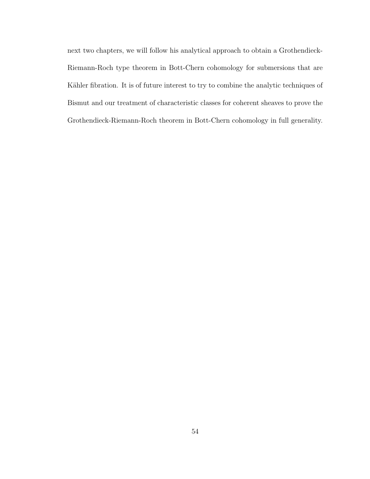next two chapters, we will follow his analytical approach to obtain a Grothendieck-Riemann-Roch type theorem in Bott-Chern cohomology for submersions that are Kähler fibration. It is of future interest to try to combine the analytic techniques of Bismut and our treatment of characteristic classes for coherent sheaves to prove the Grothendieck-Riemann-Roch theorem in Bott-Chern cohomology in full generality.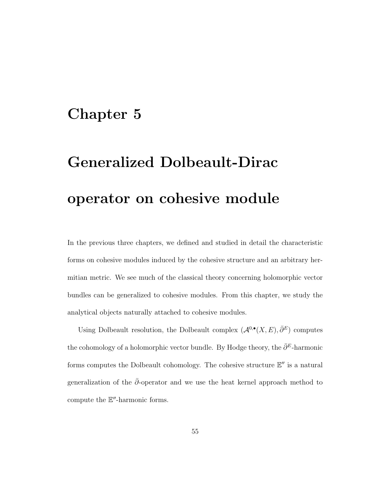## Chapter 5

# Generalized Dolbeault-Dirac operator on cohesive module

In the previous three chapters, we defined and studied in detail the characteristic forms on cohesive modules induced by the cohesive structure and an arbitrary hermitian metric. We see much of the classical theory concerning holomorphic vector bundles can be generalized to cohesive modules. From this chapter, we study the analytical objects naturally attached to cohesive modules.

Using Dolbeault resolution, the Dolbeault complex  $(\mathcal{A}^{0,\bullet}(X,E), \bar{\partial}^E)$  computes the cohomology of a holomorphic vector bundle. By Hodge theory, the  $\bar{\partial}^E$ -harmonic forms computes the Dolbeault cohomology. The cohesive structure  $\mathbb{E}''$  is a natural generalization of the  $\bar{\partial}$ -operator and we use the heat kernel approach method to compute the  $E''$ -harmonic forms.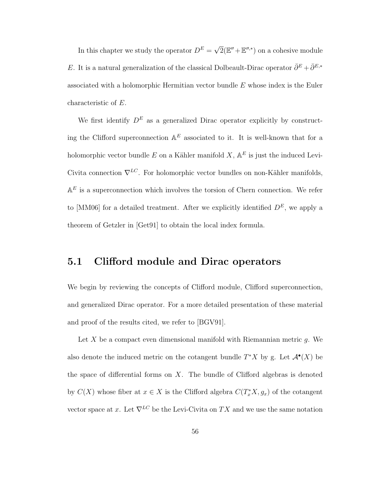In this chapter we study the operator  $D^E =$  $\sqrt{2}(\mathbb{E}'' + \mathbb{E}''^{*})$  on a cohesive module E. It is a natural generalization of the classical Dolbeault-Dirac operator  $\bar{\partial}^E + \bar{\partial}^{E,*}$ associated with a holomorphic Hermitian vector bundle E whose index is the Euler characteristic of E.

We first identify  $D^E$  as a generalized Dirac operator explicitly by constructing the Clifford superconnection  $A^E$  associated to it. It is well-known that for a holomorphic vector bundle E on a Kähler manifold  $X, \mathbb{A}^E$  is just the induced Levi-Civita connection  $\nabla^{LC}$ . For holomorphic vector bundles on non-Kähler manifolds,  $A^E$  is a superconnection which involves the torsion of Chern connection. We refer to [MM06] for a detailed treatment. After we explicitly identified  $D<sup>E</sup>$ , we apply a theorem of Getzler in [Get91] to obtain the local index formula.

### 5.1 Clifford module and Dirac operators

We begin by reviewing the concepts of Clifford module, Clifford superconnection, and generalized Dirac operator. For a more detailed presentation of these material and proof of the results cited, we refer to [BGV91].

Let X be a compact even dimensional manifold with Riemannian metric  $q$ . We also denote the induced metric on the cotangent bundle  $T^*X$  by g. Let  $\mathcal{A}^{\bullet}(X)$  be the space of differential forms on  $X$ . The bundle of Clifford algebras is denoted by  $C(X)$  whose fiber at  $x \in X$  is the Clifford algebra  $C(T_x^*X, g_x)$  of the cotangent vector space at x. Let  $\nabla^{LC}$  be the Levi-Civita on TX and we use the same notation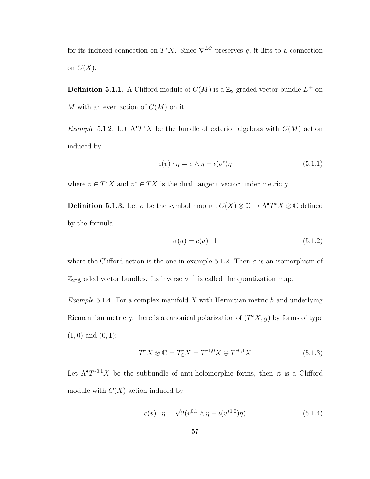for its induced connection on  $T^*X$ . Since  $\nabla^{LC}$  preserves g, it lifts to a connection on  $C(X)$ .

**Definition 5.1.1.** A Clifford module of  $C(M)$  is a  $\mathbb{Z}_2$ -graded vector bundle  $E^{\pm}$  on M with an even action of  $C(M)$  on it.

Example 5.1.2. Let  $\Lambda^{\bullet}T^{*}X$  be the bundle of exterior algebras with  $C(M)$  action induced by

$$
c(v) \cdot \eta = v \wedge \eta - \iota(v^*)\eta \tag{5.1.1}
$$

where  $v \in T^*X$  and  $v^* \in TX$  is the dual tangent vector under metric g.

**Definition 5.1.3.** Let  $\sigma$  be the symbol map  $\sigma : C(X) \otimes \mathbb{C} \to \Lambda^{\bullet}T^{*}X \otimes \mathbb{C}$  defined by the formula:

$$
\sigma(a) = c(a) \cdot 1 \tag{5.1.2}
$$

where the Clifford action is the one in example 5.1.2. Then  $\sigma$  is an isomorphism of  $\mathbb{Z}_2$ -graded vector bundles. Its inverse  $\sigma^{-1}$  is called the quantization map.

*Example* 5.1.4. For a complex manifold  $X$  with Hermitian metric  $h$  and underlying Riemannian metric g, there is a canonical polarization of  $(T^*X, g)$  by forms of type  $(1, 0)$  and  $(0, 1)$ :

$$
T^*X \otimes \mathbb{C} = T^*_{\mathbb{C}}X = T^{*1,0}X \oplus T^{*0,1}X \tag{5.1.3}
$$

Let  $\Lambda^{\bullet}T^{*0,1}X$  be the subbundle of anti-holomorphic forms, then it is a Clifford module with  $C(X)$  action induced by

$$
c(v) \cdot \eta = \sqrt{2}(v^{0,1} \wedge \eta - \iota(v^{*1,0})\eta)
$$
\n(5.1.4)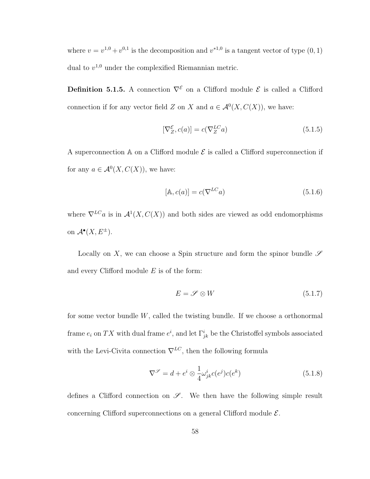where  $v = v^{1,0} + v^{0,1}$  is the decomposition and  $v^{*1,0}$  is a tangent vector of type  $(0, 1)$ dual to  $v^{1,0}$  under the complexified Riemannian metric.

**Definition 5.1.5.** A connection  $\nabla^{\mathcal{E}}$  on a Clifford module  $\mathcal{E}$  is called a Clifford connection if for any vector field Z on X and  $a \in \mathcal{A}^0(X, C(X))$ , we have:

$$
[\nabla_Z^{\mathcal{E}}, c(a)] = c(\nabla_Z^{LC} a)
$$
\n(5.1.5)

A superconnection  $\mathbb A$  on a Clifford module  $\mathcal E$  is called a Clifford superconnection if for any  $a \in \mathcal{A}^0(X, C(X))$ , we have:

$$
[\mathbb{A}, c(a)] = c(\nabla^{LC} a)
$$
\n(5.1.6)

where  $\nabla^{LC}a$  is in  $\mathcal{A}^1(X, C(X))$  and both sides are viewed as odd endomorphisms on  $\mathcal{A}^{\bullet}(X, E^{\pm}).$ 

Locally on X, we can choose a Spin structure and form the spinor bundle  $\mathscr S$ and every Clifford module  $E$  is of the form:

$$
E = \mathscr{S} \otimes W \tag{5.1.7}
$$

for some vector bundle W, called the twisting bundle. If we choose a orthonormal frame  $e_i$  on TX with dual frame  $e^i$ , and let  $\Gamma^i_{jk}$  be the Christoffel symbols associated with the Levi-Civita connection  $\nabla^{LC},$  then the following formula

$$
\nabla^{\mathscr{S}} = d + e^i \otimes \frac{1}{4} \omega^i_{jk} c(e^j) c(e^k)
$$
\n(5.1.8)

defines a Clifford connection on  $\mathscr{S}$ . We then have the following simple result concerning Clifford superconnections on a general Clifford module  $\mathcal{E}$ .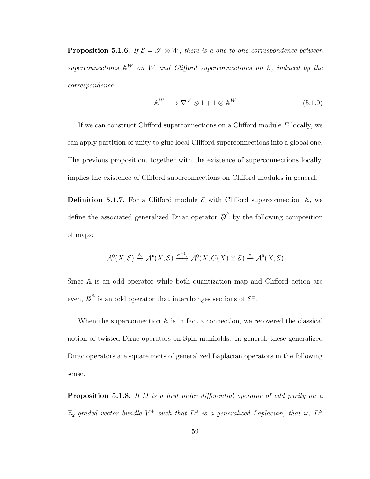**Proposition 5.1.6.** If  $\mathcal{E} = \mathcal{S} \otimes W$ , there is a one-to-one correspondence between superconnections  $\mathbb{A}^W$  on W and Clifford superconnections on  $\mathcal{E}$ , induced by the correspondence:

$$
\mathbb{A}^W \longrightarrow \nabla^{\mathscr{S}} \otimes 1 + 1 \otimes \mathbb{A}^W \tag{5.1.9}
$$

If we can construct Clifford superconnections on a Clifford module E locally, we can apply partition of unity to glue local Clifford superconnections into a global one. The previous proposition, together with the existence of superconnections locally, implies the existence of Clifford superconnections on Clifford modules in general.

**Definition 5.1.7.** For a Clifford module  $\mathcal{E}$  with Clifford superconnection A, we define the associated generalized Dirac operator  $\phi^{\mathbb{A}}$  by the following composition of maps:

$$
\mathcal{A}^0(X,\mathcal{E}) \xrightarrow{\mathbb{A}} \mathcal{A}^\bullet(X,\mathcal{E}) \xrightarrow{\sigma^{-1}} \mathcal{A}^0(X,C(X) \otimes \mathcal{E}) \xrightarrow{c} \mathcal{A}^0(X,\mathcal{E})
$$

Since A is an odd operator while both quantization map and Clifford action are even,  $\mathbf{D}^{\mathbb{A}}$  is an odd operator that interchanges sections of  $\mathcal{E}^{\pm}$ .

When the superconnection  $A$  is in fact a connection, we recovered the classical notion of twisted Dirac operators on Spin manifolds. In general, these generalized Dirac operators are square roots of generalized Laplacian operators in the following sense.

**Proposition 5.1.8.** If  $D$  is a first order differential operator of odd parity on a  $\mathbb{Z}_2$ -graded vector bundle  $V^{\pm}$  such that  $D^2$  is a generalized Laplacian, that is,  $D^2$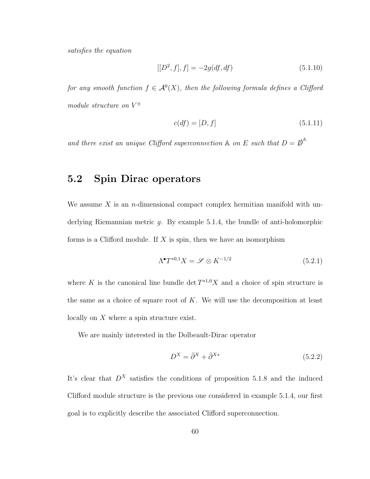satisfies the equation

$$
[[D^2, f], f] = -2g(df, df)
$$
\n(5.1.10)

for any smooth function  $f \in \mathcal{A}^0(X)$ , then the following formula defines a Clifford module structure on  $V^{\pm}$ 

$$
c(df) = [D, f] \tag{5.1.11}
$$

and there exist an unique Clifford superconnection  $\mathbb A$  on E such that  $D = \mathbb{D}^{\mathbb A}$ 

### 5.2 Spin Dirac operators

We assume X is an *n*-dimensional compact complex hermitian manifold with underlying Riemannian metric g. By example 5.1.4, the bundle of anti-holomorphic forms is a Clifford module. If X is spin, then we have an isomorphism

$$
\Lambda^{\bullet} T^{*0,1} X = \mathscr{S} \otimes K^{-1/2} \tag{5.2.1}
$$

where K is the canonical line bundle  $\det T^{*1,0}X$  and a choice of spin structure is the same as a choice of square root of  $K$ . We will use the decomposition at least locally on X where a spin structure exist.

We are mainly interested in the Dolbeault-Dirac operator

$$
D^X = \bar{\partial}^X + \bar{\partial}^{X*} \tag{5.2.2}
$$

It's clear that  $D^X$  satisfies the conditions of proposition 5.1.8 and the induced Clifford module structure is the previous one considered in example 5.1.4, our first goal is to explicitly describe the associated Clifford superconnection.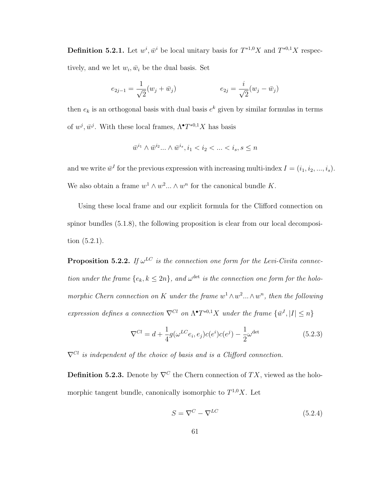**Definition 5.2.1.** Let  $w^i, \bar{w}^i$  be local unitary basis for  $T^{*1,0}X$  and  $T^{*0,1}X$  respectively, and we let  $w_i$ ,  $\bar{w}_i$  be the dual basis. Set

$$
e_{2j-1} = \frac{1}{\sqrt{2}}(w_j + \bar{w}_j) \qquad \qquad e_{2j} = \frac{i}{\sqrt{2}}(w_j - \bar{w}_j)
$$

then  $e_k$  is an orthogonal basis with dual basis  $e^k$  given by similar formulas in terms of  $w^j$ ,  $\bar{w}^j$ . With these local frames,  $\Lambda^{\bullet}T^{*0,1}X$  has basis

$$
\bar{w}^{i_1}\wedge \bar{w}^{i_2}...\wedge \bar{w}^{i_s}, i_1
$$

and we write  $\bar{w}^I$  for the previous expression with increasing multi-index  $I = (i_1, i_2, ..., i_s)$ . We also obtain a frame  $w^1 \wedge w^2 ... \wedge w^n$  for the canonical bundle K.

Using these local frame and our explicit formula for the Clifford connection on spinor bundles (5.1.8), the following proposition is clear from our local decomposition (5.2.1).

**Proposition 5.2.2.** If  $\omega^{LC}$  is the connection one form for the Levi-Civita connection under the frame  $\{e_k, k \leq 2n\}$ , and  $\omega^{\text{det}}$  is the connection one form for the holomorphic Chern connection on K under the frame  $w^1 \wedge w^2 ... \wedge w^n$ , then the following expression defines a connection  $\nabla^{Cl}$  on  $\Lambda^{\bullet} T^{*0,1} X$  under the frame  $\{\bar{w}^{I}, |I| \leq n\}$ 

$$
\nabla^{Cl} = d + \frac{1}{4} g(\omega^{LC} e_i, e_j) c(e^i) c(e^j) - \frac{1}{2} \omega^{\text{det}} \tag{5.2.3}
$$

 $\nabla^{Cl}$  is independent of the choice of basis and is a Clifford connection.

**Definition 5.2.3.** Denote by  $\nabla^C$  the Chern connection of  $TX$ , viewed as the holomorphic tangent bundle, canonically isomorphic to  $T^{1,0}X$ . Let

$$
S = \nabla^C - \nabla^{LC} \tag{5.2.4}
$$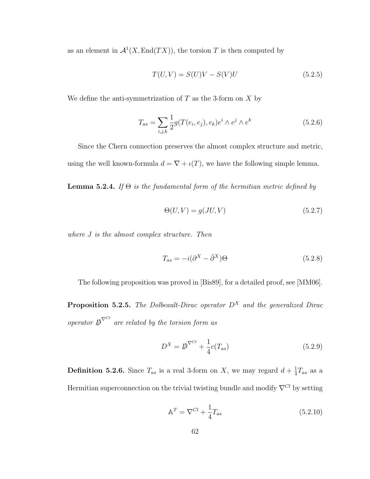as an element in  $\mathcal{A}^1(X,\text{End}(TX))$ , the torsion T is then computed by

$$
T(U,V) = S(U)V - S(V)U
$$
\n
$$
(5.2.5)
$$

We define the anti-symmetrization of  $T$  as the 3-form on  $X$  by

$$
T_{as} = \sum_{i,j,k} \frac{1}{2} g(T(e_i, e_j), e_k) e^i \wedge e^j \wedge e^k
$$
 (5.2.6)

Since the Chern connection preserves the almost complex structure and metric, using the well known-formula  $d = \nabla + \iota(T)$ , we have the following simple lemma.

**Lemma 5.2.4.** If  $\Theta$  is the fundamental form of the hermitian metric defined by

$$
\Theta(U, V) = g(JU, V) \tag{5.2.7}
$$

where J is the almost complex structure. Then

$$
T_{as} = -i(\partial^X - \bar{\partial}^X)\Theta
$$
\n(5.2.8)

The following proposition was proved in [Bis89], for a detailed proof, see [MM06].

**Proposition 5.2.5.** The Dolbeault-Dirac operator  $D^X$  and the generalized Dirac operator  $\mathbf{D}^{\nabla^{Cl}}$  are related by the torsion form as

$$
D^X = \not{D}^{\nabla^{Cl}} + \frac{1}{4}c(T_{as})
$$
\n(5.2.9)

**Definition 5.2.6.** Since  $T_{as}$  is a real 3-form on X, we may regard  $d + \frac{1}{4}$  $\frac{1}{4}T_{as}$  as a Hermitian superconnection on the trivial twisting bundle and modify  $\nabla^{Cl}$  by setting

$$
\mathbb{A}^T = \nabla^{Cl} + \frac{1}{4} T_{as} \tag{5.2.10}
$$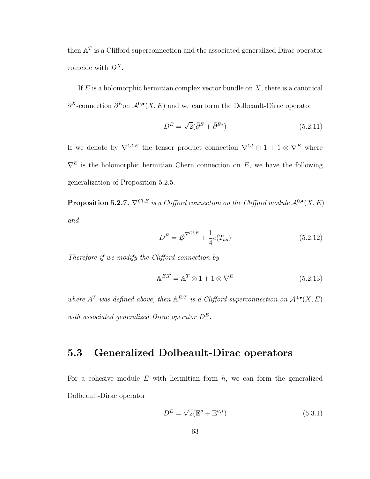then  $A<sup>T</sup>$  is a Clifford superconnection and the associated generalized Dirac operator coincide with  $D^X$ .

If  $E$  is a holomorphic hermitian complex vector bundle on  $X$ , there is a canonical  $\bar{\partial}^X$ -connection  $\bar{\partial}^E$ on  $\mathcal{A}^{0,\bullet}(X,E)$  and we can form the Dolbeault-Dirac operator

$$
D^{E} = \sqrt{2}(\bar{\partial}^{E} + \bar{\partial}^{E*})
$$
\n(5.2.11)

If we denote by  $\nabla^{Cl,E}$  the tensor product connection  $\nabla^{Cl} \otimes 1 + 1 \otimes \nabla^{E}$  where  $\nabla^E$  is the holomorphic hermitian Chern connection on E, we have the following generalization of Proposition 5.2.5.

**Proposition 5.2.7.**  $\nabla^{Cl,E}$  is a Clifford connection on the Clifford module  $\mathcal{A}^{0,\bullet}(X,E)$ and

$$
D^{E} = \not{D}^{\nabla^{Cl,E}} + \frac{1}{4}c(T_{as})
$$
\n(5.2.12)

Therefore if we modify the Clifford connection by

$$
\mathbb{A}^{E,T} = \mathbb{A}^T \otimes 1 + 1 \otimes \nabla^E \tag{5.2.13}
$$

where  $A<sup>T</sup>$  was defined above, then  $A<sup>E,T</sup>$  is a Clifford superconnection on  $A<sup>0, \bullet</sup>(X, E)$ with associated generalized Dirac operator  $D^E$ .

## 5.3 Generalized Dolbeault-Dirac operators

For a cohesive module  $E$  with hermitian form  $h$ , we can form the generalized Dolbeault-Dirac operator

$$
D^{E} = \sqrt{2}(\mathbb{E}'' + \mathbb{E}''^{*})
$$
\n(5.3.1)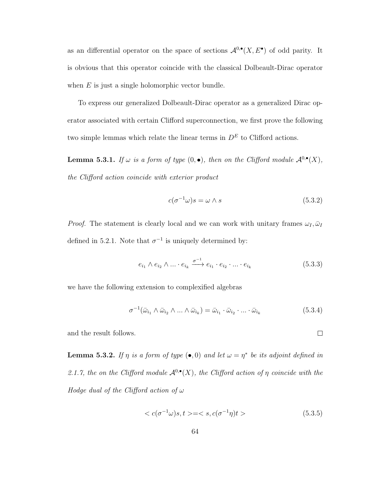as an differential operator on the space of sections  $\mathcal{A}^{0,\bullet}(X, E^{\bullet})$  of odd parity. It is obvious that this operator coincide with the classical Dolbeault-Dirac operator when  $E$  is just a single holomorphic vector bundle.

To express our generalized Dolbeault-Dirac operator as a generalized Dirac operator associated with certain Clifford superconnection, we first prove the following two simple lemmas which relate the linear terms in  $D<sup>E</sup>$  to Clifford actions.

**Lemma 5.3.1.** If  $\omega$  is a form of type  $(0, \bullet)$ , then on the Clifford module  $\mathcal{A}^{0,\bullet}(X)$ , the Clifford action coincide with exterior product

$$
c(\sigma^{-1}\omega)s = \omega \wedge s \tag{5.3.2}
$$

*Proof.* The statement is clearly local and we can work with unitary frames  $\omega_I, \bar{\omega}_I$ defined in 5.2.1. Note that  $\sigma^{-1}$  is uniquely determined by:

$$
e_{i_1} \wedge e_{i_2} \wedge \ldots \cdot e_{i_k} \xrightarrow{\sigma^{-1}} e_{i_1} \cdot e_{i_2} \cdot \ldots \cdot e_{i_k}
$$
 (5.3.3)

we have the following extension to complexified algebras

$$
\sigma^{-1}(\bar{\omega}_{i_1} \wedge \bar{\omega}_{i_2} \wedge \ldots \wedge \bar{\omega}_{i_k}) = \bar{\omega}_{i_1} \cdot \bar{\omega}_{i_2} \cdot \ldots \cdot \bar{\omega}_{i_k}
$$
\n(5.3.4)

 $\Box$ 

and the result follows.

**Lemma 5.3.2.** If  $\eta$  is a form of type  $(\bullet, 0)$  and let  $\omega = \eta^*$  be its adjoint defined in 2.1.7, the on the Clifford module  $\mathcal{A}^{0,\bullet}(X)$ , the Clifford action of  $\eta$  coincide with the Hodge dual of the Clifford action of  $\omega$ 

$$
\langle c(\sigma^{-1}\omega)s, t \rangle = \langle s, c(\sigma^{-1}\eta)t \rangle \tag{5.3.5}
$$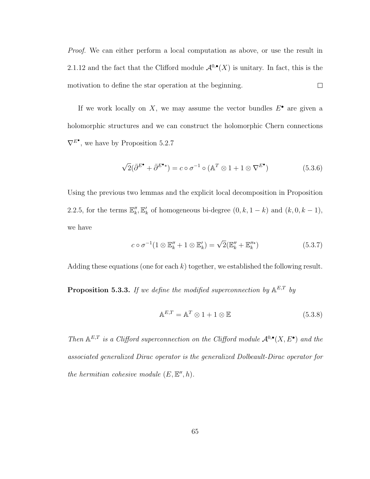Proof. We can either perform a local computation as above, or use the result in 2.1.12 and the fact that the Clifford module  $\mathcal{A}^{0,\bullet}(X)$  is unitary. In fact, this is the motivation to define the star operation at the beginning.  $\Box$ 

If we work locally on  $X$ , we may assume the vector bundles  $E^{\bullet}$  are given a holomorphic structures and we can construct the holomorphic Chern connections  $\nabla^{E^{\bullet}}$ , we have by Proposition 5.2.7

$$
\sqrt{2}(\bar{\partial}^{E^{\bullet}} + \bar{\partial}^{E^{\bullet}*}) = c \circ \sigma^{-1} \circ (\mathbb{A}^T \otimes 1 + 1 \otimes \nabla^{E^{\bullet}})
$$
(5.3.6)

Using the previous two lemmas and the explicit local decomposition in Proposition 2.2.5, for the terms  $\mathbb{E}_k''$ ,  $\mathbb{E}_k'$  of homogeneous bi-degree  $(0, k, 1-k)$  and  $(k, 0, k-1)$ , we have

$$
c \circ \sigma^{-1} (1 \otimes \mathbb{E}_k'' + 1 \otimes \mathbb{E}_k') = \sqrt{2} (\mathbb{E}_k'' + \mathbb{E}_k''^*)
$$
(5.3.7)

Adding these equations (one for each  $k$ ) together, we established the following result.

**Proposition 5.3.3.** If we define the modified superconnection by  $A^{E,T}$  by

$$
\mathbb{A}^{E,T} = \mathbb{A}^T \otimes 1 + 1 \otimes \mathbb{E} \tag{5.3.8}
$$

Then  $A^{E,T}$  is a Clifford superconnection on the Clifford module  $A^{0,\bullet}(X, E^{\bullet})$  and the associated generalized Dirac operator is the generalized Dolbeault-Dirac operator for the hermitian cohesive module  $(E, \mathbb{E}^n, h)$ .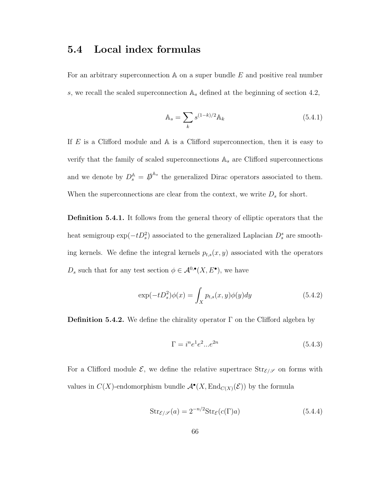## 5.4 Local index formulas

For an arbitrary superconnection  $A$  on a super bundle  $E$  and positive real number s, we recall the scaled superconnection  $A_s$  defined at the beginning of section 4.2,

$$
\mathbb{A}_s = \sum_k s^{(1-k)/2} \mathbb{A}_k \tag{5.4.1}
$$

If  $E$  is a Clifford module and  $\mathbb A$  is a Clifford superconnection, then it is easy to verify that the family of scaled superconnections  $A_s$  are Clifford superconnections and we denote by  $D_s^{\mathbb{A}} = \mathbb{D}^{\mathbb{A}_s}$  the generalized Dirac operators associated to them. When the superconnections are clear from the context, we write  $D_s$  for short.

Definition 5.4.1. It follows from the general theory of elliptic operators that the heat semigroup  $\exp(-tD_s^2)$  associated to the generalized Laplacian  $D_s^s$  are smoothing kernels. We define the integral kernels  $p_{t,s}(x, y)$  associated with the operators  $D_s$  such that for any test section  $\phi \in \mathcal{A}^{0,\bullet}(X, E^{\bullet})$ , we have

$$
\exp(-tD_s^2)\phi(x) = \int_X p_{t,s}(x,y)\phi(y)dy\tag{5.4.2}
$$

**Definition 5.4.2.** We define the chirality operator  $\Gamma$  on the Clifford algebra by

$$
\Gamma = i^n e^1 e^2 ... e^{2n} \tag{5.4.3}
$$

For a Clifford module  $\mathcal{E}$ , we define the relative supertrace  $\text{Str}_{\mathcal{E}/\mathcal{S}}$  on forms with values in  $C(X)$ -endomorphism bundle  $\mathcal{A}^{\bullet}(X, \text{End}_{C(X)}(\mathcal{E}))$  by the formula

$$
Str_{\mathcal{E}/\mathcal{S}}(a) = 2^{-n/2} Str_{\mathcal{E}}(c(\Gamma)a)
$$
\n(5.4.4)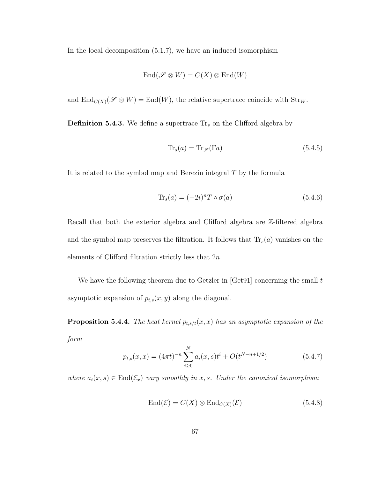In the local decomposition (5.1.7), we have an induced isomorphism

$$
End(\mathscr{S} \otimes W) = C(X) \otimes End(W)
$$

and  $\text{End}_{C(X)}(\mathscr{S} \otimes W) = \text{End}(W)$ , the relative supertrace coincide with  $\text{Str}_W$ .

**Definition 5.4.3.** We define a supertrace  $\text{Tr}_s$  on the Clifford algebra by

$$
\text{Tr}_s(a) = \text{Tr}_{\mathscr{S}}(\Gamma a) \tag{5.4.5}
$$

It is related to the symbol map and Berezin integral  $T$  by the formula

$$
\text{Tr}_s(a) = (-2i)^n T \circ \sigma(a) \tag{5.4.6}
$$

Recall that both the exterior algebra and Clifford algebra are Z-filtered algebra and the symbol map preserves the filtration. It follows that  $\text{Tr}_s(a)$  vanishes on the elements of Clifford filtration strictly less that 2n.

We have the following theorem due to Getzler in  $[Get91]$  concerning the small t asymptotic expansion of  $p_{t,s}(x, y)$  along the diagonal.

**Proposition 5.4.4.** The heat kernel  $p_{t,s/t}(x, x)$  has an asymptotic expansion of the form

$$
p_{t,s}(x,x) = (4\pi t)^{-n} \sum_{i\geq 0}^{N} a_i(x,s)t^i + O(t^{N-n+1/2})
$$
\n(5.4.7)

where  $a_i(x, s) \in \text{End}(\mathcal{E}_x)$  vary smoothly in x, s. Under the canonical isomorphism

$$
End(\mathcal{E}) = C(X) \otimes End_{C(X)}(\mathcal{E})
$$
\n(5.4.8)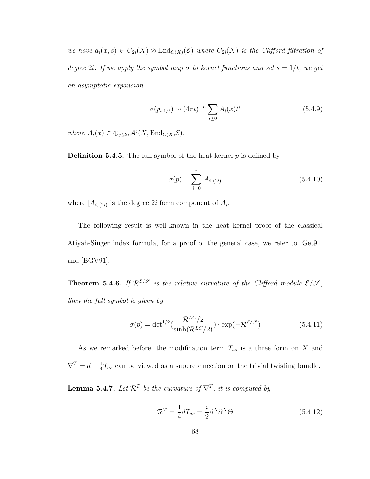we have  $a_i(x, s) \in C_{2i}(X) \otimes \text{End}_{C(X)}(\mathcal{E})$  where  $C_{2i}(X)$  is the Clifford filtration of degree 2i. If we apply the symbol map  $\sigma$  to kernel functions and set  $s = 1/t$ , we get an asymptotic expansion

$$
\sigma(p_{t,1/t}) \sim (4\pi t)^{-n} \sum_{i\geq 0} A_i(x) t^i
$$
\n(5.4.9)

where  $A_i(x) \in \bigoplus_{j \leq 2i} \mathcal{A}^j(X, \text{End}_{C(X)} \mathcal{E}).$ 

**Definition 5.4.5.** The full symbol of the heat kernel  $p$  is defined by

$$
\sigma(p) = \sum_{i=0}^{n} [A_i]_{(2i)} \tag{5.4.10}
$$

where  $[A_i]_{(2i)}$  is the degree 2*i* form component of  $A_i$ .

The following result is well-known in the heat kernel proof of the classical Atiyah-Singer index formula, for a proof of the general case, we refer to [Get91] and [BGV91].

**Theorem 5.4.6.** If  $\mathcal{R}^{\mathcal{E}/\mathcal{S}}$  is the relative curvature of the Clifford module  $\mathcal{E}/\mathcal{S}$ , then the full symbol is given by

$$
\sigma(p) = \det^{1/2}(\frac{\mathcal{R}^{LC}/2}{\sinh(\mathcal{R}^{LC}/2)}) \cdot \exp(-\mathcal{R}^{\mathcal{E}/\mathcal{S}})
$$
(5.4.11)

As we remarked before, the modification term  $T_{as}$  is a three form on X and  $\nabla^T = d + \frac{1}{4}$  $\frac{1}{4}T_{as}$  can be viewed as a superconnection on the trivial twisting bundle.

**Lemma 5.4.7.** Let  $\mathcal{R}^T$  be the curvature of  $\nabla^T$ , it is computed by

$$
\mathcal{R}^T = \frac{1}{4} dT_{as} = \frac{i}{2} \partial^X \bar{\partial}^X \Theta \tag{5.4.12}
$$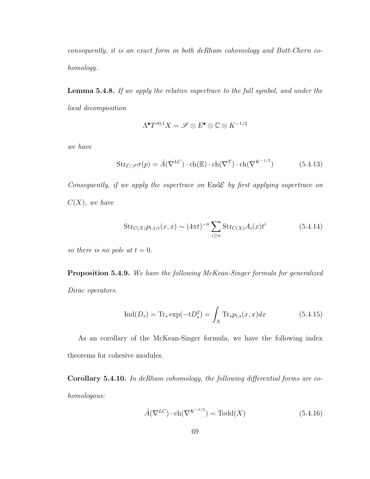consequently, it is an exact form in both deRham cohomology and Bott-Chern cohomology.

Lemma 5.4.8. If we apply the relative supertrace to the full symbol, and under the local decomposition

$$
\Lambda^{\bullet}T^{*0,1}X=\mathscr{S}\otimes E^{\bullet}\otimes\mathbb{C}\otimes K^{-1/2}
$$

we have

$$
\operatorname{Str}_{\mathcal{E}/\mathscr{S}}\sigma(p) = \hat{A}(\nabla^{LC}) \cdot \operatorname{ch}(\mathbb{E}) \cdot \operatorname{ch}(\nabla^{T}) \cdot \operatorname{ch}(\nabla^{K^{-1/2}})
$$
(5.4.13)

Consequently, if we apply the supertrace on  $End\mathcal{E}$  by first applying supertrace on  $C(X)$ , we have

$$
Str_{C(X)} p_{t,1/t}(x,x) \sim (4\pi t)^{-n} \sum_{i\geq n} Str_{C(X)} A_i(x) t^i
$$
 (5.4.14)

so there is no pole at  $t = 0$ .

Proposition 5.4.9. We have the following McKean-Singer formula for generalized Dirac operators.

$$
\operatorname{Ind}(D_s) = \operatorname{Tr}_s \exp(-tD_s^2) = \int_X \operatorname{Tr}_s p_{t,s}(x, x) dx \tag{5.4.15}
$$

As an corollary of the McKean-Singer formula, we have the following index theorems for cohesive modules.

Corollary 5.4.10. In deRham cohomology, the following differential forms are cohomologous:

$$
\hat{A}(\nabla^{LC}) \cdot \text{ch}(\nabla^{K^{-1/2}}) = \text{Todd}(X) \tag{5.4.16}
$$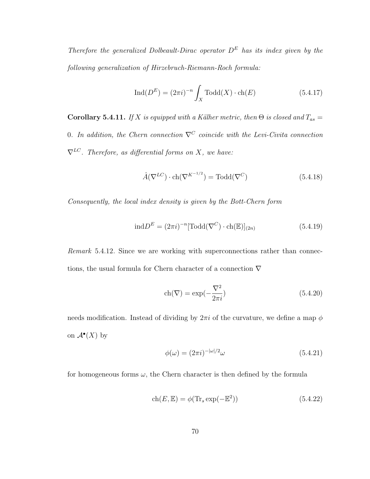Therefore the generalized Dolbeault-Dirac operator  $D^E$  has its index given by the following generalization of Hirzebruch-Riemann-Roch formula:

$$
\operatorname{Ind}(D^E) = (2\pi i)^{-n} \int_X \operatorname{Todd}(X) \cdot \operatorname{ch}(E) \tag{5.4.17}
$$

Corollary 5.4.11. If X is equipped with a Kälher metric, then  $\Theta$  is closed and  $T_{as} =$ 0. In addition, the Chern connection  $\nabla^C$  coincide with the Levi-Civita connection  $\nabla^{LC}$ . Therefore, as differential forms on X, we have:

$$
\hat{A}(\nabla^{LC}) \cdot \text{ch}(\nabla^{K^{-1/2}}) = \text{Todd}(\nabla^{C})
$$
\n(5.4.18)

Consequently, the local index density is given by the Bott-Chern form

$$
\text{ind}D^E = (2\pi i)^{-n} [\text{Todd}(\nabla^C) \cdot \text{ch}(\mathbb{E})]_{(2n)} \tag{5.4.19}
$$

Remark 5.4.12. Since we are working with superconnections rather than connections, the usual formula for Chern character of a connection  $\nabla$ 

$$
ch(\nabla) = \exp(-\frac{\nabla^2}{2\pi i})\tag{5.4.20}
$$

needs modification. Instead of dividing by  $2\pi i$  of the curvature, we define a map  $\phi$ on  $\mathcal{A}^{\bullet}(X)$  by

$$
\phi(\omega) = (2\pi i)^{-|\omega|/2}\omega\tag{5.4.21}
$$

for homogeneous forms  $\omega$ , the Chern character is then defined by the formula

$$
ch(E, \mathbb{E}) = \phi(\text{Tr}_s \exp(-\mathbb{E}^2))
$$
\n(5.4.22)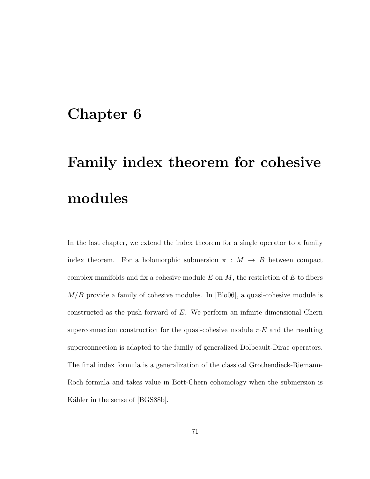### Chapter 6

# Family index theorem for cohesive modules

In the last chapter, we extend the index theorem for a single operator to a family index theorem. For a holomorphic submersion  $\pi : M \to B$  between compact complex manifolds and fix a cohesive module  $E$  on  $M$ , the restriction of  $E$  to fibers  $M/B$  provide a family of cohesive modules. In [Blo06], a quasi-cohesive module is constructed as the push forward of  $E$ . We perform an infinite dimensional Chern superconnection construction for the quasi-cohesive module  $\pi_!E$  and the resulting superconnection is adapted to the family of generalized Dolbeault-Dirac operators. The final index formula is a generalization of the classical Grothendieck-Riemann-Roch formula and takes value in Bott-Chern cohomology when the submersion is Kähler in the sense of [BGS88b].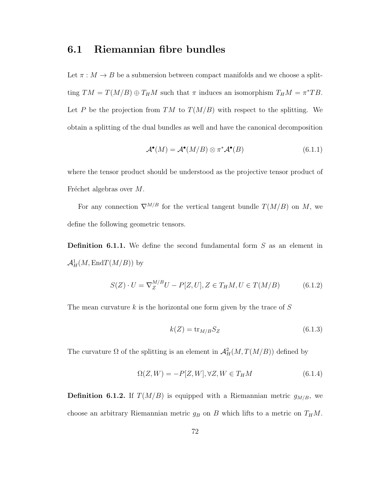### 6.1 Riemannian fibre bundles

Let  $\pi : M \to B$  be a submersion between compact manifolds and we choose a splitting  $TM = T(M/B) \oplus T_H M$  such that  $\pi$  induces an isomorphism  $T_H M = \pi^* TB$ . Let P be the projection from TM to  $T(M/B)$  with respect to the splitting. We obtain a splitting of the dual bundles as well and have the canonical decomposition

$$
\mathcal{A}^{\bullet}(M) = \mathcal{A}^{\bullet}(M/B) \otimes \pi^* \mathcal{A}^{\bullet}(B) \tag{6.1.1}
$$

where the tensor product should be understood as the projective tensor product of Fréchet algebras over  $M$ .

For any connection  $\nabla^{M/B}$  for the vertical tangent bundle  $T(M/B)$  on M, we define the following geometric tensors.

**Definition 6.1.1.** We define the second fundamental form  $S$  as an element in  $\mathcal{A}^1_H(M,\mathrm{End} T(M/B))$  by

$$
S(Z) \cdot U = \nabla_Z^{M/B} U - P[Z, U], Z \in T_H M, U \in T(M/B)
$$
(6.1.2)

The mean curvature  $k$  is the horizontal one form given by the trace of  $S$ 

$$
k(Z) = \text{tr}_{M/B} S_Z \tag{6.1.3}
$$

The curvature  $\Omega$  of the splitting is an element in  $\mathcal{A}^2_H(M, T(M/B))$  defined by

$$
\Omega(Z, W) = -P[Z, W], \forall Z, W \in T_H M \tag{6.1.4}
$$

**Definition 6.1.2.** If  $T(M/B)$  is equipped with a Riemannian metric  $g_{M/B}$ , we choose an arbitrary Riemannian metric  $g_B$  on B which lifts to a metric on  $T_HM$ .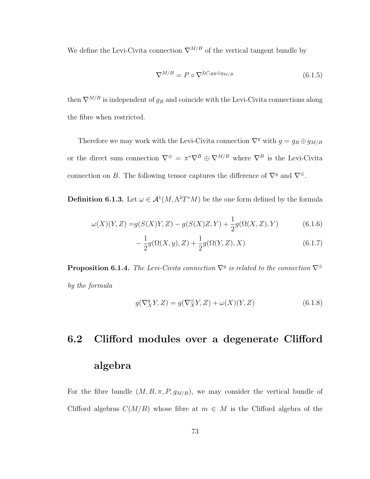We define the Levi-Civita connection  $\nabla^{M/B}$  of the vertical tangent bundle by

$$
\nabla^{M/B} = P \circ \nabla^{LC, g_B \oplus g_{M/B}} \tag{6.1.5}
$$

then  $\nabla^{M/B}$  is independent of  $g_B$  and coincide with the Levi-Civita connections along the fibre when restricted.

Therefore we may work with the Levi-Civita connection  $\nabla^g$  with  $g = g_B \oplus g_{M/B}$ or the direct sum connection  $\nabla^{\oplus} = \pi^* \nabla^B \oplus \nabla^{M/B}$  where  $\nabla^B$  is the Levi-Civita connection on B. The following tensor captures the difference of  $\nabla^g$  and  $\nabla^{\oplus}$ .

**Definition 6.1.3.** Let  $\omega \in A^1(M, \Lambda^2 T^*M)$  be the one form defined by the formula

$$
\omega(X)(Y,Z) = g(S(X)Y,Z) - g(S(X)Z,Y) + \frac{1}{2}g(\Omega(X,Z),Y)
$$
\n(6.1.6)

$$
-\frac{1}{2}g(\Omega(X,y),Z) + \frac{1}{2}g(\Omega(Y,Z),X) \tag{6.1.7}
$$

**Proposition 6.1.4.** The Levi-Civita connection  $\nabla^g$  is related to the connection  $\nabla^{\oplus}$ by the formula

$$
g(\nabla^g_X Y, Z) = g(\nabla^{\oplus}_X Y, Z) + \omega(X)(Y, Z)
$$
\n(6.1.8)

# 6.2 Clifford modules over a degenerate Clifford algebra

For the fibre bundle  $(M, B, \pi, P, g_{M/B})$ , we may consider the vertical bundle of Clifford algebras  $C(M/B)$  whose fibre at  $m \in M$  is the Clifford algebra of the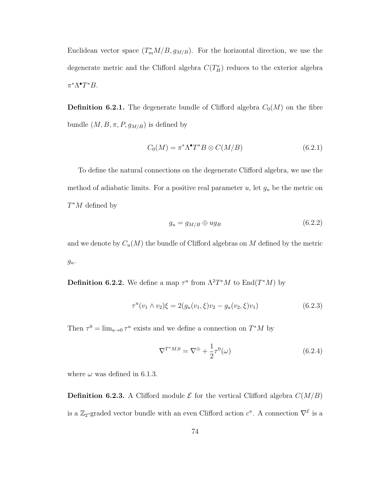Euclidean vector space  $(T_m^*M/B, g_{M/B})$ . For the horizontal direction, we use the degenerate metric and the Clifford algebra  $C(T_H^*)$  reduces to the exterior algebra  $\pi^*\Lambda^{\bullet}T^*B$ .

**Definition 6.2.1.** The degenerate bundle of Clifford algebra  $C_0(M)$  on the fibre bundle  $(M, B, \pi, P, g_{M/B})$  is defined by

$$
C_0(M) = \pi^* \Lambda^{\bullet} T^* B \otimes C(M/B)
$$
\n(6.2.1)

To define the natural connections on the degenerate Clifford algebra, we use the method of adiabatic limits. For a positive real parameter  $u$ , let  $g_u$  be the metric on  $T^*M$  defined by

$$
g_u = g_{M/B} \oplus u g_B \tag{6.2.2}
$$

and we denote by  $C_u(M)$  the bundle of Clifford algebras on M defined by the metric  $g_u$ .

**Definition 6.2.2.** We define a map  $\tau^u$  from  $\Lambda^2T^*M$  to  $\text{End}(T^*M)$  by

$$
\tau^{u}(v_1 \wedge v_2)\xi = 2(g_u(v_1, \xi)v_2 - g_u(v_2, \xi)v_1)
$$
\n(6.2.3)

Then  $\tau^0 = \lim_{u \to 0} \tau^u$  exists and we define a connection on  $T^*M$  by

$$
\nabla^{T^*M,0} = \nabla^{\oplus} + \frac{1}{2}\tau^0(\omega)
$$
\n(6.2.4)

where  $\omega$  was defined in 6.1.3.

**Definition 6.2.3.** A Clifford module  $\mathcal{E}$  for the vertical Clifford algebra  $C(M/B)$ is a  $\mathbb{Z}_2$ -graded vector bundle with an even Clifford action  $c^{\pi}$ . A connection  $\nabla^{\mathcal{E}}$  is a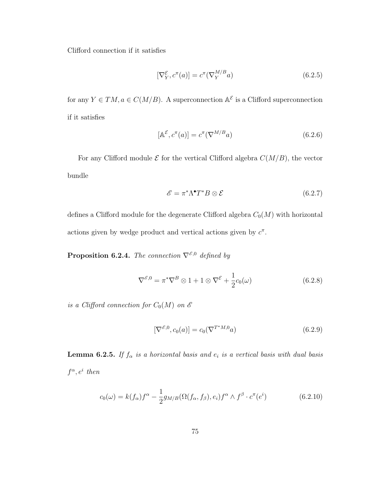Clifford connection if it satisfies

$$
[\nabla_Y^{\mathcal{E}}, c^{\pi}(a)] = c^{\pi}(\nabla_Y^{M/B} a)
$$
\n(6.2.5)

for any  $Y \in TM$ ,  $a \in C(M/B)$ . A superconnection  $A^{\mathcal{E}}$  is a Clifford superconnection if it satisfies

$$
[\mathbb{A}^{\mathcal{E}}, c^{\pi}(a)] = c^{\pi}(\nabla^{M/B}a)
$$
\n(6.2.6)

For any Clifford module  $\mathcal E$  for the vertical Clifford algebra  $C(M/B)$ , the vector bundle

$$
\mathscr{E} = \pi^* \Lambda^{\bullet} T^* B \otimes \mathcal{E}
$$
 (6.2.7)

defines a Clifford module for the degenerate Clifford algebra  $C_0(M)$  with horizontal actions given by wedge product and vertical actions given by  $c^{\pi}$ .

**Proposition 6.2.4.** The connection  $\nabla^{\mathscr{E},0}$  defined by

$$
\nabla^{\mathcal{E},0} = \pi^* \nabla^B \otimes 1 + 1 \otimes \nabla^{\mathcal{E}} + \frac{1}{2} c_0(\omega)
$$
 (6.2.8)

is a Clifford connection for  $C_0(M)$  on  $\mathscr E$ 

$$
[\nabla^{\mathcal{E},0}, c_0(a)] = c_0(\nabla^{T^*M,0}a)
$$
\n(6.2.9)

**Lemma 6.2.5.** If  $f_{\alpha}$  is a horizontal basis and  $e_i$  is a vertical basis with dual basis  $f^{\alpha}, e^i$  then

$$
c_0(\omega) = k(f_\alpha)f^\alpha - \frac{1}{2}g_{M/B}(\Omega(f_\alpha, f_\beta), e_i)f^\alpha \wedge f^\beta \cdot c^\pi(e^i)
$$
(6.2.10)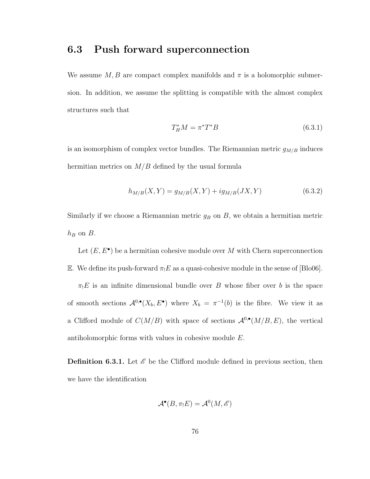#### 6.3 Push forward superconnection

We assume  $M, B$  are compact complex manifolds and  $\pi$  is a holomorphic submersion. In addition, we assume the splitting is compatible with the almost complex structures such that

$$
T_H^* M = \pi^* T^* B \tag{6.3.1}
$$

is an isomorphism of complex vector bundles. The Riemannian metric  $g_{M/B}$  induces hermitian metrics on  $M/B$  defined by the usual formula

$$
h_{M/B}(X,Y) = g_{M/B}(X,Y) + ig_{M/B}(JX,Y)
$$
\n(6.3.2)

Similarly if we choose a Riemannian metric  $g_B$  on  $B$ , we obtain a hermitian metric  $h_B$  on  $B$ .

Let  $(E, E^{\bullet})$  be a hermitian cohesive module over M with Chern superconnection E. We define its push-forward  $\pi_!E$  as a quasi-cohesive module in the sense of [Blo06].

 $\pi_!E$  is an infinite dimensional bundle over B whose fiber over b is the space of smooth sections  $\mathcal{A}^{0,\bullet}(X_b, E^{\bullet})$  where  $X_b = \pi^{-1}(b)$  is the fibre. We view it as a Clifford module of  $C(M/B)$  with space of sections  $\mathcal{A}^{0,\bullet}(M/B, E)$ , the vertical antiholomorphic forms with values in cohesive module E.

**Definition 6.3.1.** Let  $\mathscr E$  be the Clifford module defined in previous section, then we have the identification

$$
\mathcal{A}^{\bullet}(B,\pi_!E)=\mathcal{A}^0(M,\mathscr{E})
$$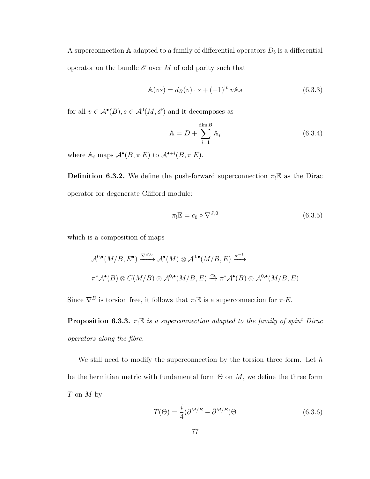A superconnection  $\mathbb A$  adapted to a family of differential operators  $D_b$  is a differential operator on the bundle  $\mathscr E$  over M of odd parity such that

$$
\mathbb{A}(vs) = d_B(v) \cdot s + (-1)^{|v|} v \mathbb{A}s \tag{6.3.3}
$$

for all  $v \in \mathcal{A}^{\bullet}(B), s \in \mathcal{A}^{0}(M, \mathscr{E})$  and it decomposes as

$$
\mathbb{A} = D + \sum_{i=1}^{\dim B} \mathbb{A}_i \tag{6.3.4}
$$

where  $\mathbb{A}_i$  maps  $\mathcal{A}^{\bullet}(B, \pi_!E)$  to  $\mathcal{A}^{\bullet+i}(B, \pi_!E)$ .

**Definition 6.3.2.** We define the push-forward superconnection  $\pi_! \mathbb{E}$  as the Dirac operator for degenerate Clifford module:

$$
\pi_! \mathbb{E} = c_0 \circ \nabla^{\mathscr{E},0} \tag{6.3.5}
$$

which is a composition of maps

$$
\mathcal{A}^{0,\bullet}(M/B, E^{\bullet}) \xrightarrow{\nabla^{\mathscr{E},0}} \mathcal{A}^{\bullet}(M) \otimes \mathcal{A}^{0,\bullet}(M/B, E) \xrightarrow{\sigma^{-1}} \pi^*\mathcal{A}^{\bullet}(B) \otimes C(M/B) \otimes \mathcal{A}^{0,\bullet}(M/B, E) \xrightarrow{\alpha_0} \pi^*\mathcal{A}^{\bullet}(B) \otimes \mathcal{A}^{0,\bullet}(M/B, E)
$$

Since  $\nabla^B$  is torsion free, it follows that  $\pi_! \mathbb{E}$  is a superconnection for  $\pi_! E$ .

**Proposition 6.3.3.**  $\pi_! \mathbb{E}$  is a superconnection adapted to the family of spin<sup>c</sup> Dirac operators along the fibre.

We still need to modify the superconnection by the torsion three form. Let  $h$ be the hermitian metric with fundamental form  $\Theta$  on  $M$ , we define the three form T on M by

$$
T(\Theta) = \frac{i}{4} (\partial^{M/B} - \bar{\partial}^{M/B}) \Theta
$$
\n(6.3.6)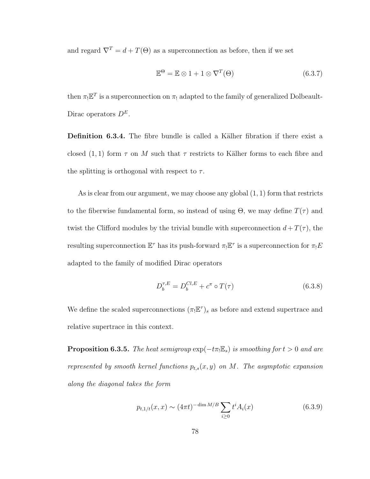and regard  $\nabla^T = d + T(\Theta)$  as a superconnection as before, then if we set

$$
\mathbb{E}^{\Theta} = \mathbb{E} \otimes 1 + 1 \otimes \nabla^{T}(\Theta)
$$
\n(6.3.7)

then  $\pi_! \mathbb{E}^T$  is a superconnection on  $\pi_!$  adapted to the family of generalized Dolbeault-Dirac operators  $D^E$ .

Definition 6.3.4. The fibre bundle is called a Kälher fibration if there exist a closed  $(1, 1)$  form  $\tau$  on M such that  $\tau$  restricts to Kälher forms to each fibre and the splitting is orthogonal with respect to  $\tau$ .

As is clear from our argument, we may choose any global  $(1, 1)$  form that restricts to the fiberwise fundamental form, so instead of using  $\Theta$ , we may define  $T(\tau)$  and twist the Clifford modules by the trivial bundle with superconnection  $d+T(\tau)$ , the resulting superconnection  $\mathbb{E}^{\tau}$  has its push-forward  $\pi_! \mathbb{E}^{\tau}$  is a superconnection for  $\pi_! E$ adapted to the family of modified Dirac operators

$$
D_b^{\tau,E} = D_b^{Cl,E} + c^{\pi} \circ T(\tau)
$$
\n(6.3.8)

We define the scaled superconnections  $(\pi_! \mathbb{E}^{\tau})_s$  as before and extend supertrace and relative supertrace in this context.

**Proposition 6.3.5.** The heat semigroup  $exp(-t\pi E_s)$  is smoothing for  $t > 0$  and are represented by smooth kernel functions  $p_{t,s}(x, y)$  on M. The asymptotic expansion along the diagonal takes the form

$$
p_{t,1/t}(x,x) \sim (4\pi t)^{-\dim M/B} \sum_{i\geq 0} t^i A_i(x) \tag{6.3.9}
$$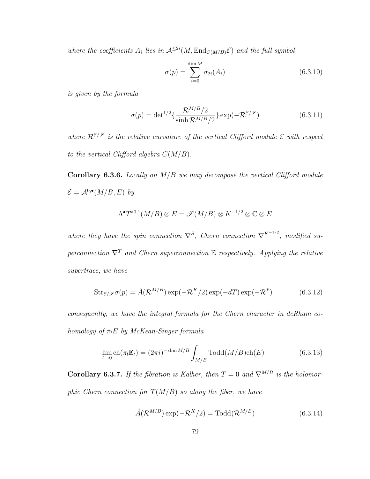where the coefficients  $A_i$  lies in  $\mathcal{A}^{\leq 2i}(M, \text{End}_{C(M/B)}\mathcal{E})$  and the full symbol

$$
\sigma(p) = \sum_{i=0}^{\dim M} \sigma_{2i}(A_i)
$$
\n(6.3.10)

is given by the formula

$$
\sigma(p) = \det^{1/2} \left\{ \frac{\mathcal{R}^{M/B}/2}{\sinh \mathcal{R}^{M/B}/2} \right\} \exp(-\mathcal{R}^{\mathcal{E}/\mathcal{S}})
$$
(6.3.11)

where  $\mathcal{R}^{\mathcal{E}/\mathcal{S}}$  is the relative curvature of the vertical Clifford module  $\mathcal E$  with respect to the vertical Clifford algebra  $C(M/B)$ .

**Corollary 6.3.6.** Locally on  $M/B$  we may decompose the vertical Clifford module  $\mathcal{E} = \mathcal{A}^{0,\bullet}(M/B,E)$  by

$$
\Lambda^\bullet T^{*0,1}(M/B)\otimes E=\mathscr{S}(M/B)\otimes K^{-1/2}\otimes\mathbb{C}\otimes E
$$

where they have the spin connection  $\nabla^S$ , Chern connection  $\nabla^{K^{-1/2}}$ , modified superconnection  $\nabla^T$  and Chern superconnection E respectively. Applying the relative supertrace, we have

$$
Str_{\mathcal{E}/\mathcal{S}}\sigma(p) = \hat{A}(\mathcal{R}^{M/B}) \exp(-\mathcal{R}^K/2) \exp(-dT) \exp(-\mathcal{R}^{\mathbb{E}})
$$
(6.3.12)

consequently, we have the integral formula for the Chern character in deRham cohomology of  $\pi_!E$  by McKean-Singer formula

$$
\lim_{t \to 0} \text{ch}(\pi_! \mathbb{E}_t) = (2\pi i)^{-\dim M/B} \int_{M/B} \text{Todd}(M/B) \text{ch}(E) \tag{6.3.13}
$$

Corollary 6.3.7. If the fibration is Kälher, then  $T = 0$  and  $\nabla^{M/B}$  is the holomorphic Chern connection for  $T(M/B)$  so along the fiber, we have

$$
\hat{A}(\mathcal{R}^{M/B}) \exp(-\mathcal{R}^K/2) = \text{Total}(\mathcal{R}^{M/B})
$$
\n(6.3.14)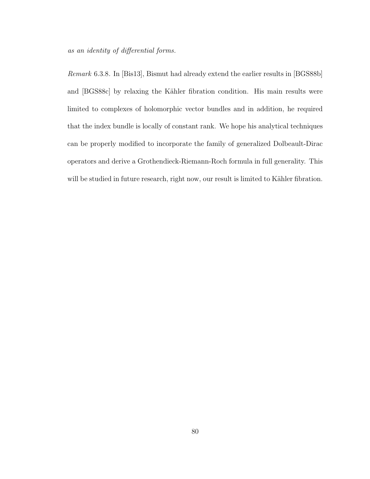as an identity of differential forms.

Remark 6.3.8. In [Bis13], Bismut had already extend the earlier results in [BGS88b] and [BGS88c] by relaxing the Kähler fibration condition. His main results were limited to complexes of holomorphic vector bundles and in addition, he required that the index bundle is locally of constant rank. We hope his analytical techniques can be properly modified to incorporate the family of generalized Dolbeault-Dirac operators and derive a Grothendieck-Riemann-Roch formula in full generality. This will be studied in future research, right now, our result is limited to Kähler fibration.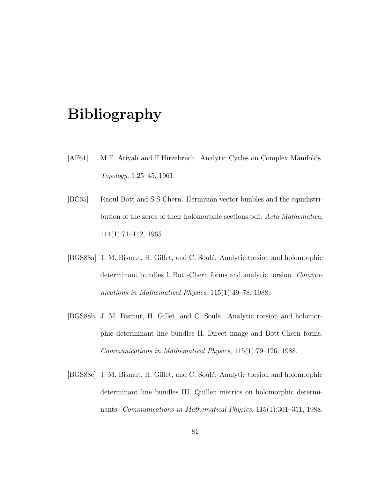## Bibliography

- [AF61] M.F. Atiyah and F.Hirzebruch. Analytic Cycles on Complex Manifolds. Topology, 1:25–45, 1961.
- [BC65] Raoul Bott and S S Chern. Hermitian vector bunbles and the equidistribution of the zeros of their holomorphic sections.pdf. Acta Mathematica, 114(1):71–112, 1965.
- [BGS88a] J. M. Bismut, H. Gillet, and C. Soulé. Analytic torsion and holomorphic determinant bundles I. Bott-Chern forms and analytic torsion. Communications in Mathematical Physics, 115(1):49–78, 1988.
- [BGS88b] J. M. Bismut, H. Gillet, and C. Soulé. Analytic torsion and holomorphic determinant line bundles II. Direct image and Bott-Chern forms. Communications in Mathematical Physics, 115(1):79–126, 1988.
- [BGS88c] J. M. Bismut, H. Gillet, and C. Soulé. Analytic torsion and holomorphic determinant line bundles III. Quillen metrics on holomorphic determinants. Communications in Mathematical Physics, 115(1):301–351, 1988.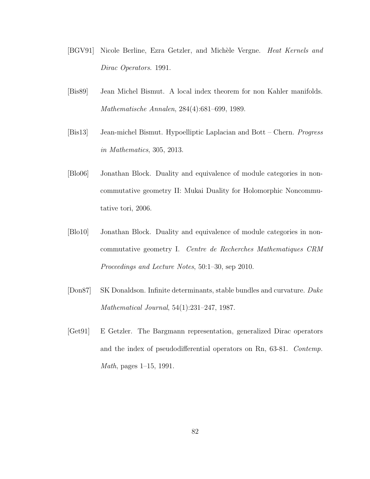- [BGV91] Nicole Berline, Ezra Getzler, and Michèle Vergne. Heat Kernels and Dirac Operators. 1991.
- [Bis89] Jean Michel Bismut. A local index theorem for non Kahler manifolds. Mathematische Annalen, 284(4):681–699, 1989.
- [Bis13] Jean-michel Bismut. Hypoelliptic Laplacian and Bott Chern. *Progress* in Mathematics, 305, 2013.
- [Blo06] Jonathan Block. Duality and equivalence of module categories in noncommutative geometry II: Mukai Duality for Holomorphic Noncommutative tori, 2006.
- [Blo10] Jonathan Block. Duality and equivalence of module categories in noncommutative geometry I. Centre de Recherches Mathematiques CRM Proceedings and Lecture Notes, 50:1–30, sep 2010.
- [Don87] SK Donaldson. Infinite determinants, stable bundles and curvature. Duke Mathematical Journal, 54(1):231–247, 1987.
- [Get91] E Getzler. The Bargmann representation, generalized Dirac operators and the index of pseudodifferential operators on Rn, 63-81. Contemp. Math, pages 1–15, 1991.